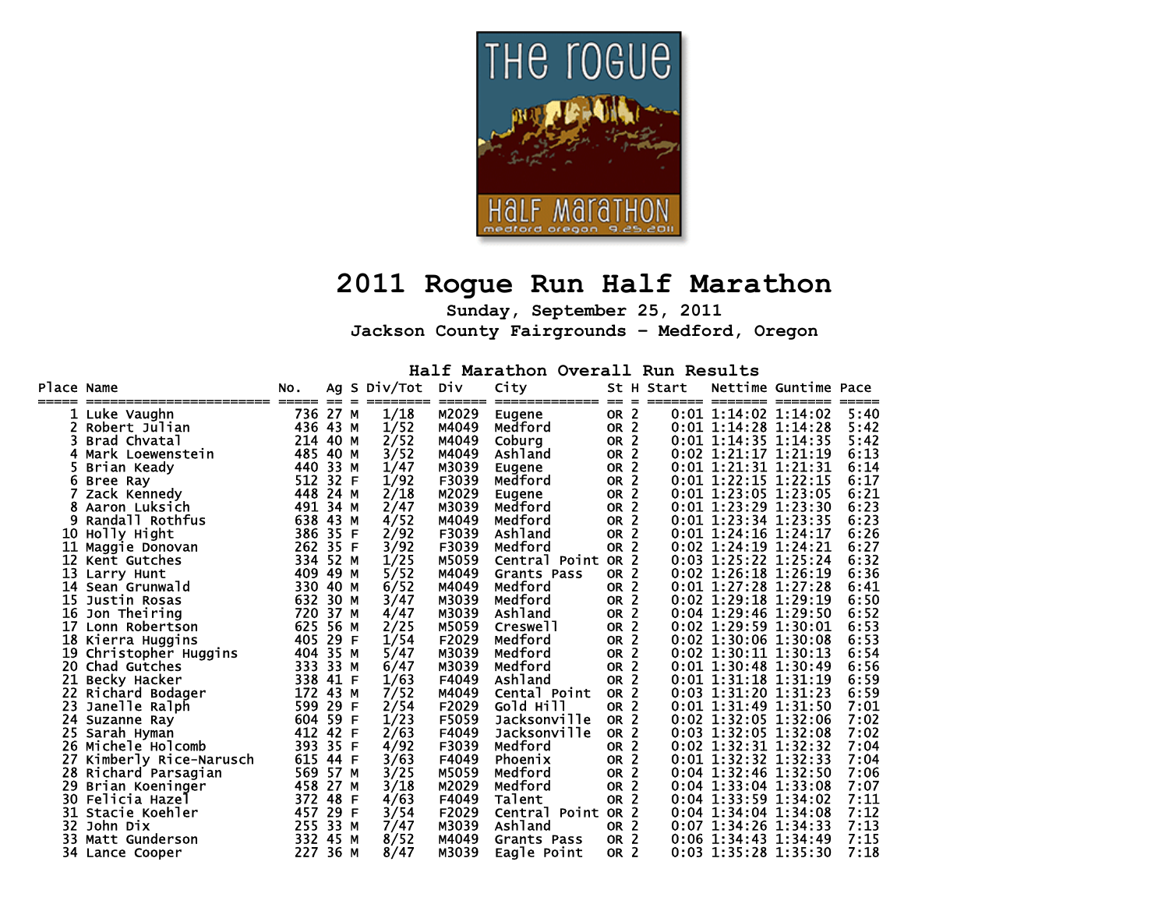

## **2011 Rogue Run Half Marathon**

**Sunday, September 25, 2011 Jackson County Fairgrounds – Medford, Oregon** 

**Half Marathon Overall Run Results** 

| Place Name |                                         | NO.           |            |    | Ag S Div/Tot | Div             | City                    |                       |                                | St H Start |                                            | Nettime Guntime Pace |      |
|------------|-----------------------------------------|---------------|------------|----|--------------|-----------------|-------------------------|-----------------------|--------------------------------|------------|--------------------------------------------|----------------------|------|
|            | ----------------------<br>1 Luke Vaughn | ------<br>736 | --<br>27 M |    | 1/18         | ------<br>M2029 | -------------<br>Eugene | ==<br>OR <sub>2</sub> | $\qquad \qquad =\qquad \qquad$ |            | ======== =======<br>$0:01$ 1:14:02 1:14:02 |                      | 5:40 |
| 2.         | Robert Julian                           | 436 43 M      |            |    | 1/52         | M4049           | Medford                 | OR <sub>2</sub>       |                                |            | $0:01$ 1:14:28 1:14:28                     |                      | 5:42 |
|            | Brad Chvatal                            | 214           | 40 M       |    | 2/52         | M4049           | Coburg                  | OR <sub>2</sub>       |                                |            | 0:01 1:14:35 1:14:35                       |                      | 5:42 |
| 4          | Mark Loewenstein                        | 485           | 40 M       |    | 3/52         | M4049           | Ashland                 | OR <sub>2</sub>       |                                |            | 0:02 1:21:17 1:21:19                       |                      | 6:13 |
|            | Brian Keady                             | 440           | 33 M       |    | 1/47         | M3039           | Eugene                  | <b>OR</b>             | $\overline{2}$                 |            | 0:01 1:21:31 1:21:31                       |                      | 6:14 |
| 6          | Bree Ray                                | 512           | 32 F       |    | 1/92         | F3039           | Medford                 | <b>OR</b>             | $\overline{2}$                 |            | 0:01 1:22:15 1:22:15                       |                      | 6:17 |
|            | Zack Kennedy                            | 448           | 24 M       |    | 2/18         | M2029           | Eugene                  | <b>OR</b>             | $\overline{2}$                 |            | $0:01$ 1:23:05                             | 1:23:05              | 6:21 |
| 8          | Aaron Luksich                           | 491           | 34 M       |    | 2/47         | M3039           | Medford                 | <b>OR</b>             | $\overline{2}$                 |            | $0:01$ 1:23:29                             | 1:23:30              | 6:23 |
| 9          | Randall Rothfus                         | 638           | 43 M       |    | 4/52         | M4049           | Medford                 | <b>OR</b>             | $\overline{2}$                 |            | 0:01 1:23:34 1:23:35                       |                      | 6:23 |
| 10         | Holly Hight                             | 386           | 35         | F  | 2/92         | F3039           | Ashland                 | <b>OR</b>             | $\overline{2}$                 |            | 0:01 1:24:16 1:24:17                       |                      | 6:26 |
| 11         | Maggie Donovan                          | 262           | 35 F       |    | 3/92         | F3039           | Medford                 | <b>OR</b>             | -2                             |            | 0:02 1:24:19 1:24:21                       |                      | 6:27 |
| 12         | Kent Gutches                            | 334           | 52 M       |    | 1/25         | M5059           | Central Point           | OR <sub>2</sub>       |                                |            | 0:03 1:25:22 1:25:24                       |                      | 6:32 |
| 13         | Larry Hunt                              | 409           | 49 M       |    | 5/52         | M4049           | Grants Pass             | OR <sub>2</sub>       |                                |            | 0:02 1:26:18 1:26:19                       |                      | 6:36 |
| 14         | Sean Grunwald                           | 330           | 40 M       |    | 6/52         | M4049           | Medford                 | OR <sub>2</sub>       |                                |            | 0:01 1:27:28 1:27:28                       |                      | 6:41 |
| 15         | Justin Rosas                            | 632           | 30 M       |    | 3/47         | M3039           | Medford                 | <b>OR</b>             | 2                              |            | 0:02 1:29:18 1:29:19                       |                      | 6:50 |
| 16         | Jon Theiring                            | 720           | 37 M       |    | 4/47         | M3039           | Ashland                 | <b>OR</b>             | $\overline{2}$                 |            | 0:04 1:29:46 1:29:50                       |                      | 6:52 |
| 17         | Lonn Robertson                          | 625           | 56 M       |    | 2/25         | M5059           | Creswell                | <b>OR</b>             | $\overline{2}$                 |            | 0:02 1:29:59 1:30:01                       |                      | 6:53 |
|            | 18 Kierra Huggins                       | 405           | 29 F       |    | 1/54         | F2029           | Medford                 | OR <sub>2</sub>       |                                |            | 0:02 1:30:06 1:30:08                       |                      | 6:53 |
| 19         | Christopher Huggins                     | 404           | 35 M       |    | 5/47         | M3039           | Medford                 | OR <sub>2</sub>       |                                |            | 0:02 1:30:11 1:30:13                       |                      | 6:54 |
| 20         | Chad Gutches                            | 333           | 33 M       |    | 6/47         | M3039           | Medford                 | <b>OR</b>             | $\overline{2}$                 |            | 0:01 1:30:48 1:30:49                       |                      | 6:56 |
| 21         | Becky Hacker                            | 338           | 41 F       |    | 1/63         | F4049           | Ashland                 | OR <sub>2</sub>       |                                |            | $0:01$ 1:31:18 1:31:19                     |                      | 6:59 |
| 22         | Richard Bodager                         | 172           | 43 M       |    | 7/52         | M4049           | Cental Point            | OR <sub>2</sub>       |                                |            | 0:03 1:31:20 1:31:23                       |                      | 6:59 |
| 23         | Janelle Ralph                           | 599           | 29         | -F | 2/54         | F2029           | Gold Hill               | OR <sub>2</sub>       |                                |            | $0:01$ 1:31:49                             | 1:31:50              | 7:01 |
| 24         | Suzanne Ray                             | 604           | 59         | F  | 1/23         | F5059           | Jacksonville            | OR <sub>2</sub>       |                                |            | 0:02 1:32:05 1:32:06                       |                      | 7:02 |
|            | 25 Sarah Hyman                          | 412           | 42         | F  | 2/63         | F4049           | Jacksonville            | OR <sub>2</sub>       |                                |            | 0:03 1:32:05 1:32:08                       |                      | 7:02 |
|            | <b>26 Michele Holcomb</b>               | 393           | 35         | F  | 4/92         | F3039           | Medford                 | OR <sub>2</sub>       |                                |            | 0:02 1:32:31 1:32:32                       |                      | 7:04 |
| 27         | Kimberly Rice-Narusch                   | 615           | 44 F       |    | 3/63         | F4049           | Phoenix                 | <b>OR</b>             | -2                             |            | 0:01 1:32:32 1:32:33                       |                      | 7:04 |
| 28         | Richard Parsagian                       | 569           | 57 M       |    | 3/25         | M5059           | Medford                 | <b>OR</b>             | $\overline{2}$                 |            | 0:04 1:32:46 1:32:50                       |                      | 7:06 |
| 29         | Brian Koeninger                         | 458           | 27 M       |    | 3/18         | M2029           | Medford                 | <b>OR</b>             | 2                              |            | 0:04 1:33:04 1:33:08                       |                      | 7:07 |
| 30         | Felicia Hazel                           | 372           | 48 F       |    | 4/63         | F4049           | Talent                  | OR <sub>2</sub>       |                                |            | 0:04 1:33:59 1:34:02                       |                      | 7:11 |
|            | 31 Stacie Koehler                       | 457           | 29 F       |    | 3/54         | F2029           | Central Point OR 2      |                       |                                |            | $0:04$ 1:34:04 1:34:08                     |                      | 7:12 |
|            | 32 John Dix                             | 255           | 33 M       |    | 7/47         | M3039           | Ashland                 | OR <sub>2</sub>       |                                |            | 0:07 1:34:26 1:34:33                       |                      | 7:13 |
| 33         | Matt Gunderson                          | 332           | 45 M       |    | 8/52         | M4049           | <b>Grants Pass</b>      | OR <sub>2</sub>       |                                |            | $0:06$ 1:34:43 1:34:49                     |                      | 7:15 |
|            | 34 Lance Cooper                         | 227           | 36 M       |    | 8/47         | M3039           | Eagle Point             | OR <sub>2</sub>       |                                |            | 0:03 1:35:28 1:35:30                       |                      | 7:18 |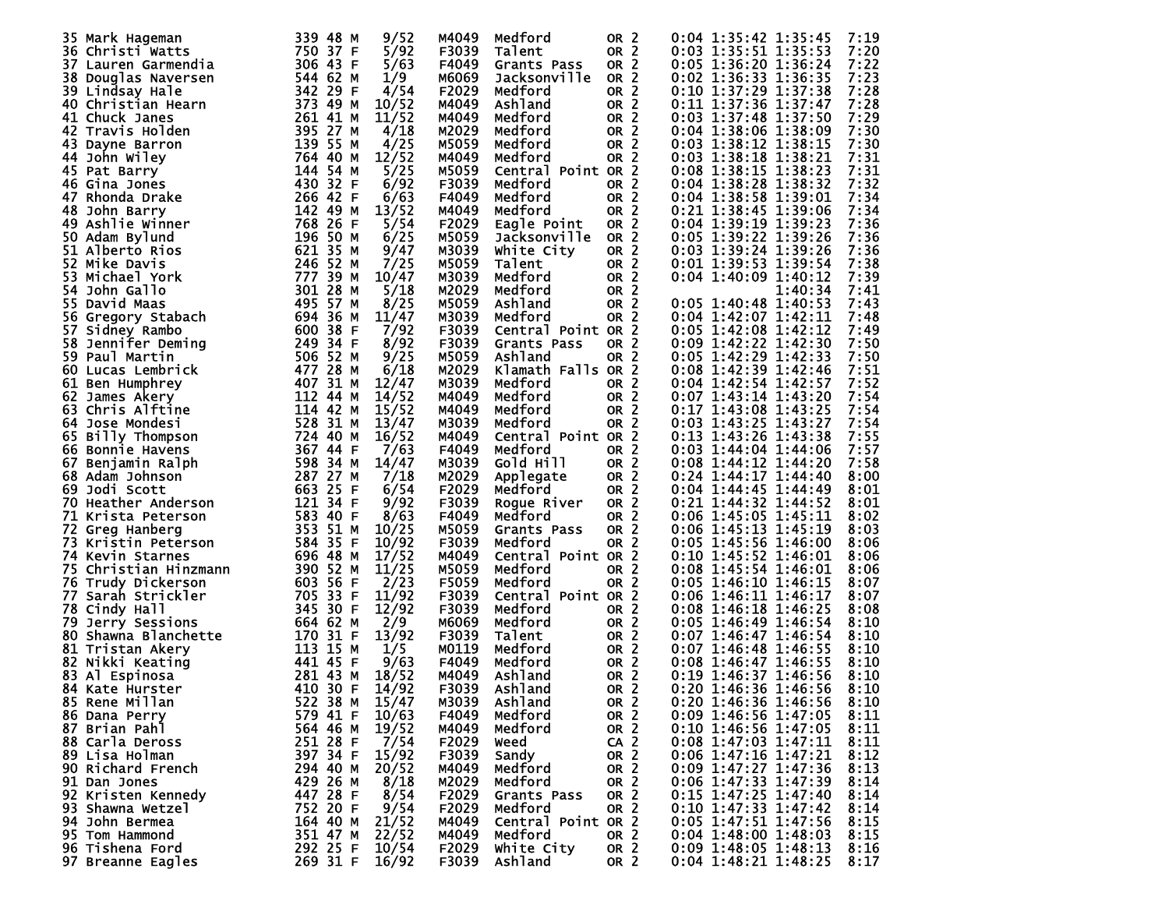|    | 35 Mark Hageman         | 339 48 M | 9/52  | M4049 | Medford            | OR <sub>2</sub> | 0:04 1:35:42 1:35:45<br>7:19   |  |
|----|-------------------------|----------|-------|-------|--------------------|-----------------|--------------------------------|--|
|    |                         |          |       |       |                    |                 |                                |  |
|    | 36 Christi Watts        | 750 37 F | 5/92  | F3039 | Talent             | OR <sub>2</sub> | 0:03 1:35:51 1:35:53<br>7:20   |  |
|    | 37 Lauren Garmendia     | 306 43 F | 5/63  | F4049 | Grants Pass        | OR <sub>2</sub> | 7:22<br>0:05 1:36:20 1:36:24   |  |
|    | 38 Douglas Naversen     | 544 62 M | 1/9   | M6069 | Jacksonville       | OR <sub>2</sub> | 7:23<br>0:02 1:36:33 1:36:35   |  |
|    | 39 Lindsay Hale         | 342 29 F | 4/54  | F2029 | Medford            | OR <sub>2</sub> | 7:28<br>$0:10$ 1:37:29 1:37:38 |  |
|    |                         |          |       |       |                    |                 |                                |  |
|    | 40 Christian Hearn      | 373 49 M | 10/52 | M4049 | Ashland            | OR <sub>2</sub> | 0:11 1:37:36 1:37:47<br>7:28   |  |
|    | 41 Chuck Janes          | 261 41 M | 11/52 | M4049 | Medford            | OR <sub>2</sub> | 7:29<br>$0:03$ 1:37:48 1:37:50 |  |
|    | 42 Travis Holden        | 395 27 M | 4/18  | M2029 | Medford            | OR <sub>2</sub> | 0:04 1:38:06 1:38:09<br>7:30   |  |
|    |                         | 139 55 M | 4/25  | M5059 | Medford            |                 | 7:30<br>$0:03$ 1:38:12 1:38:15 |  |
|    | 43 Dayne Barron         |          |       |       |                    | OR <sub>2</sub> |                                |  |
|    | 44 John Wiley           | 764 40 M | 12/52 | M4049 | Medford            | OR <sub>2</sub> | 0:03 1:38:18 1:38:21<br>7:31   |  |
|    | 45 Pat Barry            | 144 54 M | 5/25  | M5059 | Central Point OR 2 |                 | 7:31<br>0:08 1:38:15 1:38:23   |  |
|    | 46 Gina Jones           | 430 32 F | 6/92  | F3039 | Medford            | OR <sub>2</sub> | 0:04 1:38:28 1:38:32<br>7:32   |  |
|    | 47 Rhonda Drake         | 266 42 F | 6/63  | F4049 | Medford            | OR <sub>2</sub> | 7:34<br>$0:04$ 1:38:58 1:39:01 |  |
|    |                         |          |       |       |                    |                 |                                |  |
|    | 48 John Barry           | 142 49 M | 13/52 | M4049 | Medford            | OR <sub>2</sub> | 0:21 1:38:45 1:39:06<br>7:34   |  |
|    | <b>49 Ashlie Winner</b> | 768 26 F | 5/54  | F2029 | Eagle Point        | OR <sub>2</sub> | $0:04$ 1:39:19 1:39:23<br>7:36 |  |
|    | 50 Adam Bylund          | 196 50 M | 6/25  | M5059 | Jacksonville       | OR <sub>2</sub> | 0:05 1:39:22 1:39:26<br>7:36   |  |
|    | 51 Alberto Rios         | 621 35 M | 9/47  | M3039 | White City         | OR <sub>2</sub> | 7:36<br>0:03 1:39:24 1:39:26   |  |
|    | 52 Mike Davis           | 246 52 M | 7/25  | M5059 | Talent             | OR <sub>2</sub> | 0:01 1:39:53 1:39:54<br>7:38   |  |
|    |                         |          |       |       |                    |                 |                                |  |
|    | 53 Michael York         | 777 39 M | 10/47 | M3039 | Medford            | OR <sub>2</sub> | 7:39<br>0:04 1:40:09 1:40:12   |  |
| 54 | John Gallo              | 301 28 M | 5/18  | M2029 | Medford            | OR <sub>2</sub> | 1:40:34<br>7:41                |  |
|    | 55 David Maas           | 495 57 M | 8/25  | M5059 | Ashland            | OR <sub>2</sub> | $0:05$ 1:40:48 1:40:53<br>7:43 |  |
|    | 56 Gregory Stabach      | 694 36 M | 11/47 | M3039 | Medford            | OR <sub>2</sub> | $0:04$ 1:42:07 1:42:11<br>7:48 |  |
|    | 57 Sidney Rambo         | 600 38 F | 7/92  | F3039 | Central Point OR 2 |                 | $0:05$ 1:42:08 1:42:12<br>7:49 |  |
|    |                         |          |       |       |                    |                 |                                |  |
|    | 58 Jennifer Deming      | 249 34 F | 8/92  | F3039 | Grants Pass        | OR <sub>2</sub> | 0:09 1:42:22 1:42:30<br>7:50   |  |
|    | 59 Paul Martin          | 506 52 M | 9/25  | M5059 | Ashland            | OR <sub>2</sub> | 0:05 1:42:29 1:42:33<br>7:50   |  |
|    | 60 Lucas Lembrick       | 477 28 M | 6/18  | M2029 | Klamath Falls OR 2 |                 | 0:08 1:42:39 1:42:46<br>7:51   |  |
|    | 61 Ben Humphrey         | 407 31 M | 12/47 | M3039 | Medford            | OR <sub>2</sub> | $0:04$ 1:42:54 1:42:57<br>7:52 |  |
|    | 62 James Akery          | 112 44 M | 14/52 | M4049 | Medford            | OR <sub>2</sub> | $0:07$ 1:43:14 1:43:20<br>7:54 |  |
|    |                         |          |       |       |                    |                 |                                |  |
|    | 63 Chris Alftine        | 114 42 M | 15/52 | M4049 | Medford            | OR <sub>2</sub> | 0:17 1:43:08 1:43:25<br>7:54   |  |
|    | 64 Jose Mondesi         | 528 31 M | 13/47 | M3039 | Medford            | OR <sub>2</sub> | 0:03 1:43:25 1:43:27<br>7:54   |  |
|    | 65 Billy Thompson       | 724 40 M | 16/52 | M4049 | Central Point OR 2 |                 | 0:13 1:43:26 1:43:38<br>7:55   |  |
|    | 66 Bonnie Havens        | 367 44 F | 7/63  | F4049 | Medford            | OR <sub>2</sub> | 0:03 1:44:04 1:44:06<br>7:57   |  |
|    |                         | 598 34 M |       |       |                    |                 | $0:08$ 1:44:12 1:44:20         |  |
|    | 67 Benjamin Ralph       |          | 14/47 | M3039 | Gold Hill          | OR <sub>2</sub> | 7:58                           |  |
|    | 68 Adam Johnson         | 287 27 M | 7/18  | M2029 | Applegate          | OR <sub>2</sub> | $0:24$ 1:44:17 1:44:40<br>8:00 |  |
|    | 69 Jodi Scott           | 663 25 F | 6/54  | F2029 | Medford            | OR <sub>2</sub> | 8:01<br>$0:04$ 1:44:45 1:44:49 |  |
|    | 70 Heather Anderson     | 121 34 F | 9/92  | F3039 | Roque River        | OR <sub>2</sub> | $0:21$ 1:44:32 1:44:52<br>8:01 |  |
|    | 71 Krista Peterson      | 583 40 F | 8/63  | F4049 | Medford            | OR <sub>2</sub> | 0:06 1:45:05 1:45:11<br>8:02   |  |
|    |                         |          |       |       |                    |                 |                                |  |
|    | 72 Greg Hanberg         | 353 51 M | 10/25 | M5059 | Grants Pass        | OR <sub>2</sub> | $0:06$ 1:45:13 1:45:19<br>8:03 |  |
|    | 73 Kristin Peterson     | 584 35 F | 10/92 | F3039 | Medford            | OR <sub>2</sub> | 0:05 1:45:56 1:46:00<br>8:06   |  |
|    | 74 Kevin Starnes        | 696 48 M | 17/52 | M4049 | Central Point OR 2 |                 | 0:10 1:45:52 1:46:01<br>8:06   |  |
|    | 75 Christian Hinzmann   | 390 52 M | 11/25 | M5059 | Medford            | OR <sub>2</sub> | 0:08 1:45:54 1:46:01<br>8:06   |  |
|    | 76 Trudy Dickerson      | 603 56 F | 2/23  | F5059 | Medford            | OR <sub>2</sub> | $0:05$ 1:46:10 1:46:15<br>8:07 |  |
|    |                         |          |       |       |                    |                 |                                |  |
| 77 | Sarah Strickler         | 705 33 F | 11/92 | F3039 | Central Point OR 2 |                 | $0:06$ 1:46:11 1:46:17<br>8:07 |  |
|    | 78 Cindy Hall           | 345 30 F | 12/92 | F3039 | Medford            | OR <sub>2</sub> | $0:08$ 1:46:18 1:46:25<br>8:08 |  |
|    | 79 Jerry Sessions       | 664 62 M | 2/9   | M6069 | Medford            | OR <sub>2</sub> | 0:05 1:46:49 1:46:54<br>8:10   |  |
|    | 80 Shawna Blanchette    | 170 31 F | 13/92 | F3039 | Talent             | OR <sub>2</sub> | $0:07$ 1:46:47 1:46:54<br>8:10 |  |
|    | 81 Tristan Akery        | 113 15 M | 1/5   | M0119 | Medford            | OR <sub>2</sub> | 8:10<br>$0:07$ 1:46:48 1:46:55 |  |
|    |                         | 441 45 F |       |       |                    |                 |                                |  |
|    | 82 Nikki Keating        |          | 9/63  | F4049 | Medford            | OR <sub>2</sub> | $0:08$ 1:46:47 1:46:55<br>8:10 |  |
|    | 83 Al Espinosa          | 281 43 M | 18/52 | M4049 | Ashland            | OR <sub>2</sub> | $0:19$ 1:46:37 1:46:56<br>8:10 |  |
|    | 84 Kate Hurster         | 410 30 F | 14/92 | F3039 | Ashland            | OR <sub>2</sub> | $0:20$ 1:46:36 1:46:56<br>8:10 |  |
|    | 85 Rene Millan          | 522 38 M | 15/47 | M3039 | Ashland            | OR <sub>2</sub> | 0:20 1:46:36 1:46:56<br>8:10   |  |
|    | 86 Dana Perry           | 579 41 F | 10/63 | F4049 | Medford            | OR <sub>2</sub> | 0:09 1:46:56 1:47:05<br>8:11   |  |
|    |                         | 564 46 M | 19/52 |       |                    | OR <sub>2</sub> | 0:10 1:46:56 1:47:05<br>8:11   |  |
|    | 87 Brian Pahl           |          |       | M4049 | Medford            |                 |                                |  |
|    | 88 Carla Deross         | 251 28 F | 7/54  | F2029 | weed               | CA <sub>2</sub> | $0:08$ 1:47:03 1:47:11<br>8:11 |  |
|    | 89 Lisa Holman          | 397 34 F | 15/92 | F3039 | Sandy              | OR <sub>2</sub> | 0:06 1:47:16 1:47:21<br>8:12   |  |
|    | 90 Richard French       | 294 40 M | 20/52 | M4049 | Medford            | OR <sub>2</sub> | 0:09 1:47:27 1:47:36<br>8:13   |  |
|    | 91 Dan Jones            | 429 26 M | 8/18  | M2029 | Medford            | OR <sub>2</sub> | 0:06 1:47:33 1:47:39<br>8:14   |  |
|    |                         | 447 28 F | 8/54  |       |                    |                 | $0:15$ 1:47:25 1:47:40         |  |
|    | 92 Kristen Kennedy      |          |       | F2029 | Grants Pass        | OR <sub>2</sub> | 8:14                           |  |
|    | 93 Shawna Wetzel        | 752 20 F | 9/54  | F2029 | Medford            | OR <sub>2</sub> | $0:10$ 1:47:33 1:47:42<br>8:14 |  |
|    | 94 John Bermea          | 164 40 M | 21/52 | M4049 | Central Point OR 2 |                 | 0:05 1:47:51 1:47:56<br>8:15   |  |
|    | 95 Tom Hammond          | 351 47 M | 22/52 | M4049 | Medford            | OR 2            | 0:04 1:48:00 1:48:03<br>8:15   |  |
|    | 96 Tishena Ford         | 292 25 F | 10/54 | F2029 | White City         | OR 2            | 0:09 1:48:05 1:48:13<br>8:16   |  |
|    | 97 Breanne Eagles       | 269 31 F | 16/92 |       | F3039 Ashland      | OR 2            | $0:04$ 1:48:21 1:48:25<br>8:17 |  |
|    |                         |          |       |       |                    |                 |                                |  |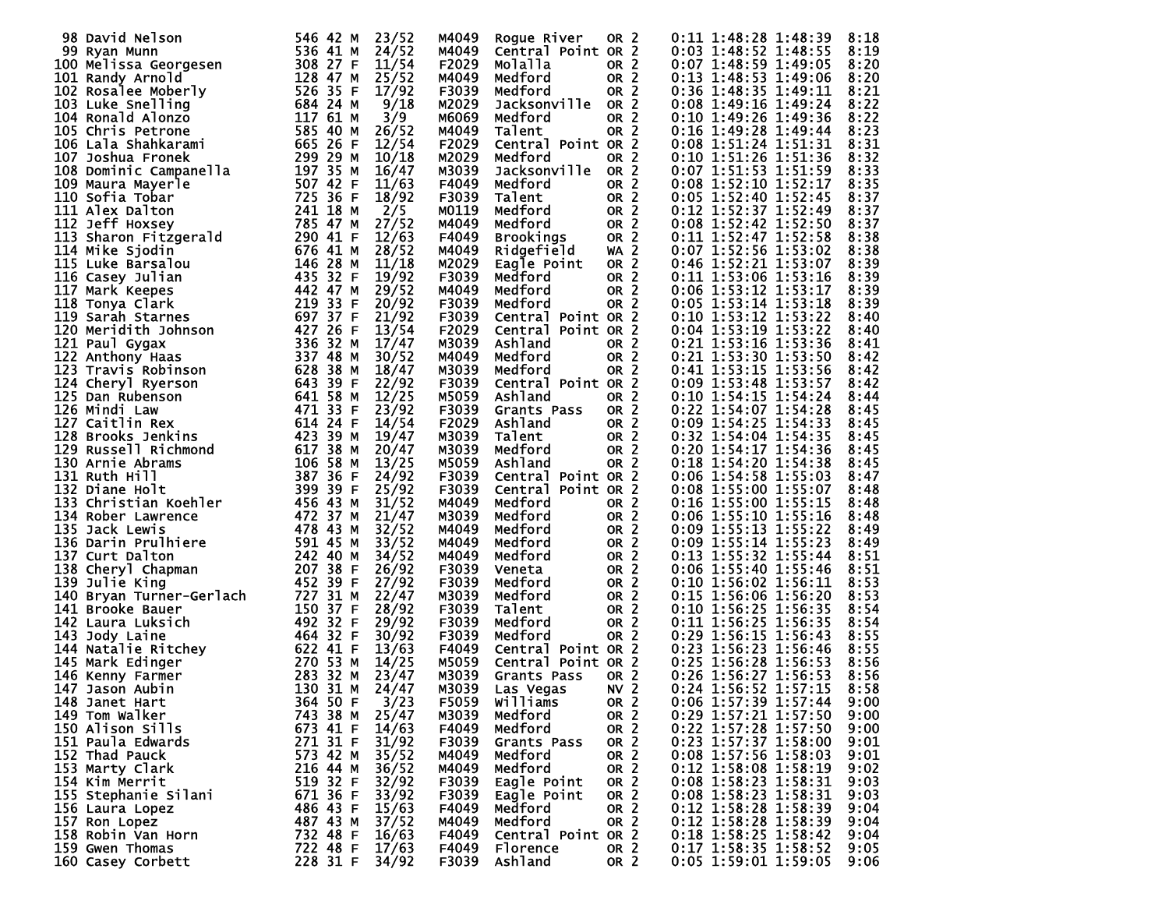| 98 David Nelson                                                                                                                                                                                                                                                            | 546 42 M |               | M4049 |                    | OR <sub>2</sub> |                                                      |
|----------------------------------------------------------------------------------------------------------------------------------------------------------------------------------------------------------------------------------------------------------------------------|----------|---------------|-------|--------------------|-----------------|------------------------------------------------------|
|                                                                                                                                                                                                                                                                            |          | 23/52         |       | Rogue River        |                 | 0:11 1:48:28 1:48:39<br>8:18                         |
|                                                                                                                                                                                                                                                                            |          | 24/52         | M4049 | Central Point OR 2 |                 | 0:03 1:48:52 1:48:55<br>8:19                         |
| 99 Eyan Munn<br>100 Melissa Georgesen<br>100 Melissa Georgesen<br>101 Randy Arnold<br>102 Rosalee Moberly<br>103 Luke Snelling<br>103 Luke Snelling<br>104 Ronald Alonzo<br>105 Chris Petrone<br>105 Chris Petrone<br>106 Lala Shahkarami<br>106 Lal                       |          | 11/54         | F2029 | Molalla            | OR <sub>2</sub> | 0:07 1:48:59 1:49:05<br>8:20                         |
|                                                                                                                                                                                                                                                                            |          | 25/52         | M4049 | Medford            | OR <sub>2</sub> | 0:13 1:48:53 1:49:06<br>8:20                         |
|                                                                                                                                                                                                                                                                            |          |               |       |                    |                 |                                                      |
|                                                                                                                                                                                                                                                                            |          | 17/92         | F3039 | Medford            | OR <sub>2</sub> | 0:36 1:48:35 1:49:11<br>8:21                         |
|                                                                                                                                                                                                                                                                            |          | 9/18          | M2029 | Jacksonville       | OR <sub>2</sub> | 0:08 1:49:16 1:49:24<br>8:22                         |
|                                                                                                                                                                                                                                                                            |          | 3/9           | M6069 | Medford            | OR <sub>2</sub> | 0:10 1:49:26 1:49:36<br>8:22                         |
|                                                                                                                                                                                                                                                                            |          | 26/52         |       |                    | OR <sub>2</sub> |                                                      |
|                                                                                                                                                                                                                                                                            |          |               | M4049 | Talent             |                 | 0:16 1:49:28 1:49:44<br>8:23                         |
|                                                                                                                                                                                                                                                                            |          | 12/54         | F2029 | Central Point OR 2 |                 | 0:08 1:51:24 1:51:31<br>8:31                         |
|                                                                                                                                                                                                                                                                            |          | 10/18         | M2029 | Medford            | OR <sub>2</sub> | 0:10 1:51:26 1:51:36<br>8:32                         |
|                                                                                                                                                                                                                                                                            |          | 16/47         | M3039 | Jacksonville       | OR <sub>2</sub> | 0:07 1:51:53 1:51:59<br>8:33                         |
|                                                                                                                                                                                                                                                                            |          |               |       |                    |                 |                                                      |
|                                                                                                                                                                                                                                                                            |          | 11/63         | F4049 | Medford            | OR <sub>2</sub> | $0:08$ 1:52:10 1:52:17<br>8:35                       |
|                                                                                                                                                                                                                                                                            |          | 18/92         | F3039 | Talent             | OR <sub>2</sub> | $0:05$ 1:52:40 1:52:45<br>8:37                       |
|                                                                                                                                                                                                                                                                            |          | 2/5           | M0119 | Medford            | OR <sub>2</sub> | 0:12 1:52:37 1:52:49<br>8:37                         |
|                                                                                                                                                                                                                                                                            |          | 27/52         | M4049 | Medford            | OR <sub>2</sub> | $0:08$ 1:52:42 1:52:50<br>8:37                       |
|                                                                                                                                                                                                                                                                            |          |               |       |                    |                 |                                                      |
|                                                                                                                                                                                                                                                                            |          | 12/63         | F4049 | Brookings          | OR <sub>2</sub> | 0:11 1:52:47 1:52:58<br>8:38                         |
|                                                                                                                                                                                                                                                                            |          | 28/52         | M4049 | Ridgefield         | $WA$ 2          | $0:07$ 1:52:56 1:53:02<br>8:38                       |
|                                                                                                                                                                                                                                                                            |          | 11/18         | M2029 | Eagle Point        | OR <sub>2</sub> | 0:46 1:52:21 1:53:07<br>8:39                         |
|                                                                                                                                                                                                                                                                            |          |               |       |                    |                 |                                                      |
|                                                                                                                                                                                                                                                                            |          | 19/92         | F3039 | Medford            | OR <sub>2</sub> | 8:39<br>0:11 1:53:06 1:53:16                         |
|                                                                                                                                                                                                                                                                            |          | 29/52         | M4049 | Medford            | OR <sub>2</sub> | 0:06 1:53:12 1:53:17<br>8:39                         |
|                                                                                                                                                                                                                                                                            |          | 20/92         | F3039 | Medford            | OR <sub>2</sub> | $0:05$ 1:53:14 1:53:18<br>8:39                       |
|                                                                                                                                                                                                                                                                            |          | 21/92         | F3039 | Central Point OR 2 |                 | 0:10 1:53:12 1:53:22<br>8:40                         |
|                                                                                                                                                                                                                                                                            |          |               |       |                    |                 |                                                      |
|                                                                                                                                                                                                                                                                            |          | 13/54         | F2029 | Central Point OR 2 |                 | $0:04$ 1:53:19 1:53:22<br>8:40                       |
|                                                                                                                                                                                                                                                                            |          | 17/47         | M3039 | Ashland            | OR <sub>2</sub> | 0:21 1:53:16 1:53:36<br>8:41                         |
|                                                                                                                                                                                                                                                                            |          | 30/52         | M4049 | Medford            | OR <sub>2</sub> | 0:21 1:53:30 1:53:50<br>8:42                         |
|                                                                                                                                                                                                                                                                            |          | 18/47         | M3039 | Medford            | OR <sub>2</sub> | 0:41 1:53:15 1:53:56<br>8:42                         |
|                                                                                                                                                                                                                                                                            |          |               |       |                    |                 |                                                      |
|                                                                                                                                                                                                                                                                            |          | 22/92         | F3039 | Central Point OR 2 |                 | $0:09$ 1:53:48 1:53:57<br>8:42                       |
|                                                                                                                                                                                                                                                                            |          | 12/25         | M5059 | Ashland            | OR <sub>2</sub> | $0:10$ 1:54:15 1:54:24<br>8:44                       |
|                                                                                                                                                                                                                                                                            |          | 23/92         | F3039 | Grants Pass        | OR <sub>2</sub> | 0:22 1:54:07 1:54:28<br>8:45                         |
|                                                                                                                                                                                                                                                                            |          |               |       |                    |                 |                                                      |
|                                                                                                                                                                                                                                                                            |          | 14/54         | F2029 | Ashland            | OR <sub>2</sub> | 0:09 1:54:25 1:54:33<br>8:45                         |
|                                                                                                                                                                                                                                                                            |          | 19/47         | M3039 | Talent             | OR <sub>2</sub> | $0:32$ 1:54:04 1:54:35<br>8:45                       |
|                                                                                                                                                                                                                                                                            |          | 20/47         | M3039 | Medford            | OR <sub>2</sub> | 0:20 1:54:17 1:54:36<br>8:45                         |
|                                                                                                                                                                                                                                                                            |          | 13/25         | M5059 | Ashland            | OR <sub>2</sub> | 0:18 1:54:20 1:54:38<br>8:45                         |
|                                                                                                                                                                                                                                                                            |          |               |       |                    |                 |                                                      |
|                                                                                                                                                                                                                                                                            |          | 24/92         | F3039 | Central Point OR 2 |                 | 0:06 1:54:58 1:55:03<br>8:47                         |
|                                                                                                                                                                                                                                                                            |          | 25/92         | F3039 | Central Point OR 2 |                 | 0:08 1:55:00 1:55:07<br>8:48                         |
|                                                                                                                                                                                                                                                                            |          | 31/52         | M4049 | Medford            | OR <sub>2</sub> | 0:16 1:55:00 1:55:15<br>8:48                         |
|                                                                                                                                                                                                                                                                            |          |               |       | Medford            |                 |                                                      |
| 106 Laia Snankaram<br>107 Joshua Fronek<br>108 Dominic Campanella<br>109 Maura Mayerle<br>1109 Maura Mayerle<br>1109 Maura Mayerle<br>1112 Jeff Hoxsey<br>1112 Jeff Hoxsey<br>112 Jeff Hoxsey<br>112 Jeff Hoxsey<br>113 Saron Fitzgerald<br>114 Mike<br>134 Rober Lawrence | 472 37 M | 21/47         | M3039 |                    | OR <sub>2</sub> | $0:06$ 1:55:10 1:55:16<br>8:48                       |
| 135 Jack Lewis                                                                                                                                                                                                                                                             | 478 43 M | 32/52         | M4049 | Medford            | OR <sub>2</sub> | 0:09 1:55:13 1:55:22<br>8:49                         |
|                                                                                                                                                                                                                                                                            |          | 33/52         | M4049 | Medford            | OR <sub>2</sub> | $0:09$ 1:55:14 1:55:23<br>8:49                       |
|                                                                                                                                                                                                                                                                            |          | 34/52         | M4049 | Medford            | OR <sub>2</sub> | 0:13 1:55:32 1:55:44<br>8:51                         |
|                                                                                                                                                                                                                                                                            |          |               |       |                    |                 |                                                      |
|                                                                                                                                                                                                                                                                            |          | 26/92         | F3039 | Veneta             | OR <sub>2</sub> | $0:06$ 1:55:40 1:55:46<br>8:51                       |
|                                                                                                                                                                                                                                                                            |          | 27/92         | F3039 | Medford            | OR <sub>2</sub> | $0:10$ 1:56:02 1:56:11<br>8:53                       |
|                                                                                                                                                                                                                                                                            |          | 22/47         | M3039 | Medford            | OR <sub>2</sub> | 8:53<br>0:15 1:56:06 1:56:20                         |
|                                                                                                                                                                                                                                                                            |          | 28/92         | F3039 | Talent             | OR <sub>2</sub> | 0:10 1:56:25 1:56:35<br>8:54                         |
|                                                                                                                                                                                                                                                                            |          |               |       |                    |                 |                                                      |
| 135 Jack Lewis<br>136 Darin Prulhiere<br>137 Curt Dalton<br>138 Cheryl Chapman<br>138 Cheryl Chapman<br>138 Oberyl Chapman<br>140 Bryan Turner-Gerlach<br>141 Brooke Bauer<br>141 Brooke Bauer<br>142 Laura Luksich<br>143 Jody Laine<br>143 Jody La                       |          | 29/92         | F3039 | Medford            | OR <sub>2</sub> | 0:11 1:56:25 1:56:35<br>8:54                         |
|                                                                                                                                                                                                                                                                            |          | 30/92         | F3039 | Medford            | OR <sub>2</sub> | 0:29 1:56:15 1:56:43<br>8:55                         |
|                                                                                                                                                                                                                                                                            |          | 13/63         | F4049 | Central Point OR 2 |                 | 0:23 1:56:23 1:56:46<br>8:55                         |
|                                                                                                                                                                                                                                                                            |          | 14/25         | M5059 | Central Point OR 2 |                 | 0:25 1:56:28 1:56:53<br>8:56                         |
|                                                                                                                                                                                                                                                                            |          |               |       |                    |                 |                                                      |
|                                                                                                                                                                                                                                                                            |          | 23/47         | M3039 | Grants Pass        | OR <sub>2</sub> | 0:26 1:56:27 1:56:53<br>8:56                         |
| 130 31 M<br>147 Jason Aubin                                                                                                                                                                                                                                                |          | 24/47<br>3/23 | M3039 | Las Vegas          | NV <sub>2</sub> | $0:24$ 1:56:52 1:57:15<br>8:58                       |
| 148 Janet Hart                                                                                                                                                                                                                                                             | 364 50 F |               | F5059 | Williams           | OR 2            | 0:06 1:57:39 1:57:44<br>9:00                         |
|                                                                                                                                                                                                                                                                            |          | 25/47         | M3039 |                    | OR <sub>2</sub> | 0:29 1:57:21 1:57:50<br>9:00                         |
| 149 Tom Walker                                                                                                                                                                                                                                                             | 743 38 M |               |       | Medford            |                 |                                                      |
| 150 Alison Sills                                                                                                                                                                                                                                                           | 673 41 F | 14/63         | F4049 | Medford            | OR 2            | 0:22 1:57:28 1:57:50<br>9:00                         |
| 151 Paula Edwards                                                                                                                                                                                                                                                          | 271 31 F | 31/92         | F3039 | Grants Pass        | OR <sub>2</sub> | 0:23 1:57:37 1:58:00<br>9:01                         |
| 152 Thad Pauck                                                                                                                                                                                                                                                             | 573 42 M | 35/52         | M4049 | Medford            | OR 2            | 0:08 1:57:56 1:58:03<br>9:01                         |
|                                                                                                                                                                                                                                                                            |          |               |       | Medford            |                 | 0:12 1:58:08 1:58:19                                 |
| 153 Marty Clark                                                                                                                                                                                                                                                            | 216 44 M | 36/52         | M4049 |                    | OR <sub>2</sub> | 9:02                                                 |
| 154 Kim Merrit                                                                                                                                                                                                                                                             | 519 32 F | 32/92         | F3039 | Eagle Point        | OR <sub>2</sub> | 0:08 1:58:23 1:58:31<br>9:03                         |
| 155 Stephanie Silani                                                                                                                                                                                                                                                       | 671 36 F | 33/92         | F3039 | Eagle Point        | OR <sub>2</sub> | 0:08 1:58:23 1:58:31<br>9:03                         |
| 156 Laura Lopez                                                                                                                                                                                                                                                            | 486 43 F | 15/63         | F4049 | Medford            | OR <sub>2</sub> | 0:12 1:58:28 1:58:39<br>9:04                         |
|                                                                                                                                                                                                                                                                            |          |               |       |                    | <b>OR 2</b>     | $0:12$ 1:58:28 1:58:39                               |
| 157 Ron Lopez                                                                                                                                                                                                                                                              | 487 43 M | 37/52         | M4049 | Medford            |                 | 9:04                                                 |
| 158 Robin Van Horn                                                                                                                                                                                                                                                         | 732 48 F | 16/63         | F4049 | Central Point OR 2 |                 | 9:04                                                 |
| 159 Gwen Thomas                                                                                                                                                                                                                                                            | 722 48 F | 17/63         | F4049 | Florence           | OR 2            | 0:18 1:58:25 1:58:42<br>0:17 1:58:35 1:58:52<br>9:05 |
| 160 Casey Corbett                                                                                                                                                                                                                                                          | 228 31 F | 34/92         |       | F3039 Ashland      | OR 2            | 0:05 1:59:01 1:59:05<br>9:06                         |
|                                                                                                                                                                                                                                                                            |          |               |       |                    |                 |                                                      |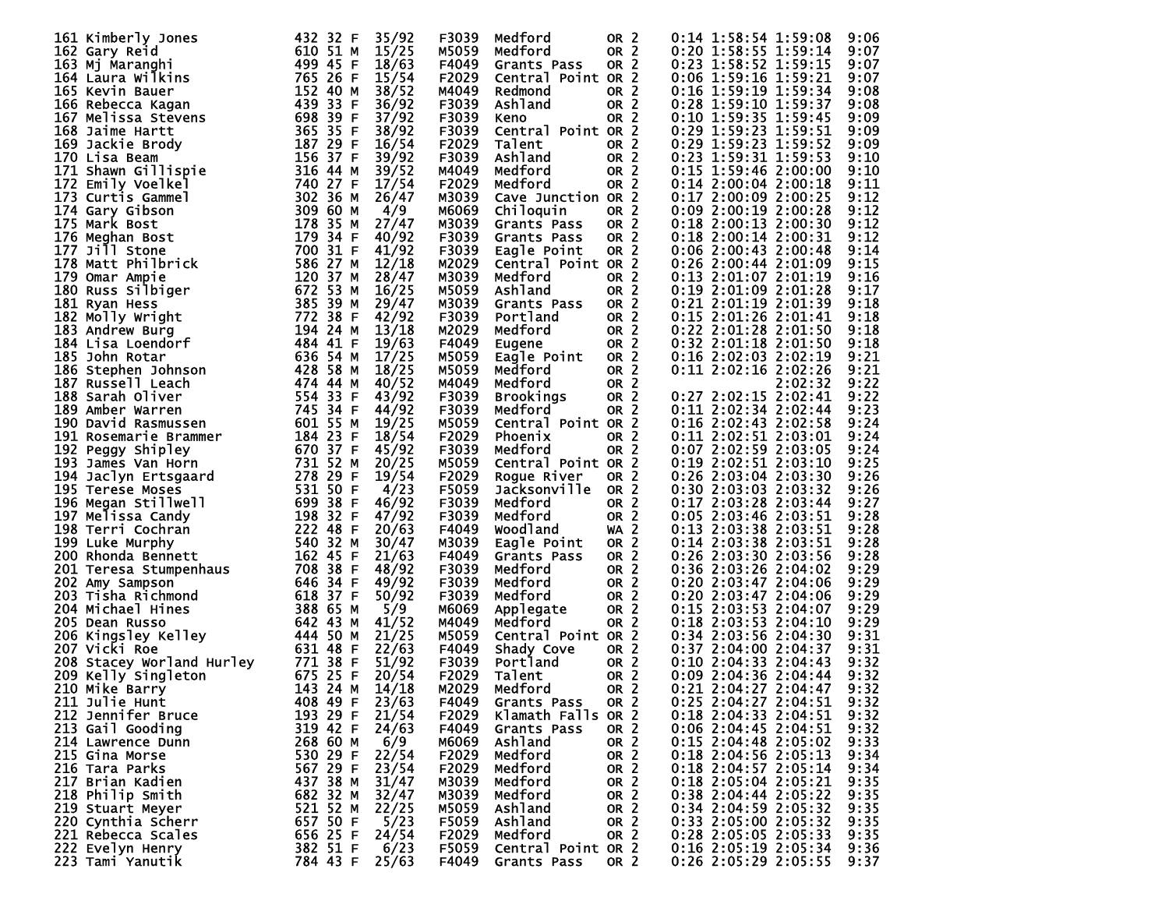|                | 161 Kimberly Jones                                                                    | 432 32 F     | 35/92 | F3039 | Medford            | OR <sub>2</sub> | $0:14$ 1:58:54 1:59:08     |                            | 9:06 |
|----------------|---------------------------------------------------------------------------------------|--------------|-------|-------|--------------------|-----------------|----------------------------|----------------------------|------|
|                |                                                                                       |              |       |       |                    |                 |                            |                            |      |
| 162 Gary Reid  |                                                                                       | 610 51 M     | 15/25 | M5059 | Medford            | OR <sub>2</sub> | $0:20$ 1:58:55 1:59:14     |                            | 9:07 |
|                | 163 Mj Maranghi                                                                       | 499 45 F     | 18/63 | F4049 | Grants Pass        | OR <sub>2</sub> | $0:23$ 1:58:52 1:59:15     |                            | 9:07 |
|                | 164 Laura Wilkins                                                                     | 765 26 F     | 15/54 | F2029 | Central Point OR 2 |                 | 0:06 1:59:16 1:59:21       |                            | 9:07 |
|                |                                                                                       |              |       |       |                    |                 |                            |                            |      |
|                | 165 Kevin Bauer                                                                       | 152 40 M     | 38/52 | M4049 | Redmond            | OR <sub>2</sub> | $0:16$ 1:59:19 1:59:34     |                            | 9:08 |
|                | 166 Rebecca Kagan                                                                     | 439 33<br>-F | 36/92 | F3039 | Ashland            | OR <sub>2</sub> | 0:28 1:59:10 1:59:37       |                            | 9:08 |
|                |                                                                                       | 698 39 F     | 37/92 | F3039 |                    | OR <sub>2</sub> | 0:10 1:59:35 1:59:45       |                            | 9:09 |
|                | 167 Melissa Stevens                                                                   |              |       |       | Keno               |                 |                            |                            |      |
|                | 168 Jaime Hartt                                                                       | 365 35 F     | 38/92 | F3039 | Central Point OR 2 |                 | 0:29 1:59:23 1:59:51       |                            | 9:09 |
|                | 169 Jackie Brody                                                                      | 187 29 F     | 16/54 | F2029 | Talent             | OR <sub>2</sub> | 0:29 1:59:23 1:59:52       |                            | 9:09 |
|                |                                                                                       | 156 37 F     |       |       |                    |                 | 0:23 1:59:31 1:59:53       |                            |      |
| 170 Lisa Beam  |                                                                                       |              | 39/92 | F3039 | Ashland            | OR <sub>2</sub> |                            |                            | 9:10 |
|                | 171 Shawn Gillispie                                                                   | 316 44 M     | 39/52 | M4049 | Medford            | OR <sub>2</sub> | 0:15 1:59:46 2:00:00       |                            | 9:10 |
|                | 172 Emily Voelkel                                                                     | 740 27 F     | 17/54 | F2029 | Medford            | OR <sub>2</sub> | $0:14$ 2:00:04 2:00:18     |                            | 9:11 |
|                | 173 Curtis Gammel                                                                     |              |       |       |                    |                 |                            |                            |      |
|                |                                                                                       | 302 36 M     | 26/47 | M3039 | Cave Junction OR 2 |                 | 0:17 2:00:09 2:00:25       |                            | 9:12 |
|                | 174 Garv Gibson                                                                       | 309 60 M     | 4/9   | м6069 | Chiloquin          | OR <sub>2</sub> | 0:09 2:00:19 2:00:28       |                            | 9:12 |
| 175 Mark Bost  |                                                                                       | 178 35 M     | 27/47 | M3039 | Grants Pass        | OR <sub>2</sub> | 0:18 2:00:13 2:00:30       |                            | 9:12 |
|                |                                                                                       |              |       |       |                    |                 |                            |                            |      |
|                | 176 Meghan Bost                                                                       | 179 34 F     | 40/92 | F3039 | Grants Pass        | OR <sub>2</sub> | 0:18 2:00:14 2:00:31       |                            | 9:12 |
| 177 Jill Stone |                                                                                       | 700 31 F     | 41/92 | F3039 | Eagle Point        | OR <sub>2</sub> | $0:06$ 2:00:43 2:00:48     |                            | 9:14 |
|                | 178 Matt Philbrick                                                                    | 586 27 M     | 12/18 | M2029 | Central Point OR 2 |                 | 0:26 2:00:44 2:01:09       |                            | 9:15 |
|                |                                                                                       |              |       |       |                    |                 |                            |                            |      |
| 179 Omar Ampie |                                                                                       | 120 37 M     | 28/47 | M3039 | Medford            | OR <sub>2</sub> | 0:13 2:01:07 2:01:19       |                            | 9:16 |
|                | $672$ 53 M<br>180 Russ Silbiger                                                       |              | 16/25 | M5059 | Ashland            | OR <sub>2</sub> | 0:19 2:01:09 2:01:28       |                            | 9:17 |
| 181 Ryan Hess  |                                                                                       | 385 39 M     | 29/47 | M3039 | Grants Pass        | OR <sub>2</sub> | 0:21 2:01:19 2:01:39       |                            | 9:18 |
|                |                                                                                       |              |       |       |                    |                 |                            |                            |      |
|                | 182 Molly Wright                                                                      | 772 38 F     | 42/92 | F3039 | Portland           | OR <sub>2</sub> | 0:15 2:01:26 2:01:41       |                            | 9:18 |
|                | 183 Andrew Burg                                                                       | 194 24 M     | 13/18 | M2029 | Medford            | OR <sub>2</sub> | 0:22 2:01:28 2:01:50       |                            | 9:18 |
|                | 184 Lisa Loendorf                                                                     | 484 41 F     | 19/63 | F4049 | Eugene             | OR <sub>2</sub> | $0:32$ 2:01:18 2:01:50     |                            | 9:18 |
|                |                                                                                       |              |       |       |                    |                 |                            |                            |      |
| 185 John Rotar |                                                                                       | 636 54 M     | 17/25 | M5059 | Eagle Point        | OR <sub>2</sub> | $0:16$ 2:02:03 2:02:19     |                            | 9:21 |
|                | 186 Stephen Johnson                                                                   | 428 58 M     | 18/25 | M5059 | Medford            | OR <sub>2</sub> | $0:11$ $2:02:16$ $2:02:26$ |                            | 9:21 |
|                | 187 Russell Leach                                                                     | 474 44 M     | 40/52 | M4049 | Medford            | OR <sub>2</sub> |                            | 2:02:32                    | 9:22 |
|                |                                                                                       |              |       |       |                    |                 |                            |                            |      |
|                | 188 Sarah Oliver                                                                      | 554 33 F     | 43/92 | F3039 | <b>Brookings</b>   | OR <sub>2</sub> | 0:27 2:02:15 2:02:41       |                            | 9:22 |
|                | 189 Amber Warren                                                                      | 745 34 F     | 44/92 | F3039 | Medford            | OR <sub>2</sub> | $0:11$ $2:02:34$ $2:02:44$ |                            | 9:23 |
|                |                                                                                       | 601 55 M     |       |       |                    |                 |                            |                            |      |
|                | 190 David Rasmussen                                                                   |              | 19/25 | M5059 | Central Point OR 2 |                 | 0:16 2:02:43 2:02:58       |                            | 9:24 |
|                | 191 Rosemarie Brammer                                                                 | 184 23<br>-F | 18/54 | F2029 | Phoenix            | OR <sub>2</sub> | 0:11 2:02:51 2:03:01       |                            | 9:24 |
|                | 192 Peggy Shipley                                                                     | 670 37 F     | 45/92 | F3039 | Medford            | OR <sub>2</sub> | 0:07 2:02:59 2:03:05       |                            | 9:24 |
|                |                                                                                       |              |       |       |                    |                 |                            |                            |      |
|                | 193 James Van Horn                                                                    | 731 52 M     | 20/25 | M5059 | Central Point OR 2 |                 | $0:19$ 2:02:51 2:03:10     |                            | 9:25 |
|                | 193 James van Horn<br>194 Jaclyn Ertsgaard<br>195 Terese Moses<br>196 Megan Stillwell | 278 29 F     | 19/54 | F2029 | Rogue River        | OR <sub>2</sub> | 0:26 2:03:04 2:03:30       |                            | 9:26 |
|                |                                                                                       | 531 50 F     | 4/23  | F5059 | Jacksonville       | OR <sub>2</sub> | 0:30 2:03:03 2:03:32       |                            | 9:26 |
|                |                                                                                       |              |       |       |                    |                 |                            |                            |      |
|                |                                                                                       | 699 38<br>-F | 46/92 | F3039 | Medford            | OR <sub>2</sub> | 0:17 2:03:28 2:03:44       |                            | 9:27 |
|                | 197 Melissa Candy                                                                     | 198 32 F     | 47/92 | F3039 | Medford            | OR <sub>2</sub> | 0:05 2:03:46 2:03:51       |                            | 9:28 |
|                | 198 Terri Cochran                                                                     | 222 48<br>-F | 20/63 | F4049 | <b>Woodland</b>    | WA <sub>2</sub> | 0:13 2:03:38 2:03:51       |                            | 9:28 |
|                |                                                                                       |              |       |       |                    |                 |                            |                            |      |
|                | 199 Luke Murphy                                                                       | 540 32 M     | 30/47 | M3039 | Eagle Point        | OR <sub>2</sub> | 0:14 2:03:38 2:03:51       |                            | 9:28 |
|                | 200 Rhonda Bennett                                                                    | 162 45<br>-F | 21/63 | F4049 | Grants Pass        | OR <sub>2</sub> | 0:26 2:03:30 2:03:56       |                            | 9:28 |
|                |                                                                                       | 708 38<br>-F | 48/92 | F3039 | Medford            | OR <sub>2</sub> | 0:36 2:03:26 2:04:02       |                            | 9:29 |
|                | 201 Teresa Stumpenhaus<br>202 Amv Sampson                                             |              |       |       |                    |                 |                            |                            |      |
|                | 202 Amy Sampson                                                                       | 646 34 F     | 49/92 | F3039 | Medford            | OR <sub>2</sub> | 0:20 2:03:47 2:04:06       |                            | 9:29 |
|                | 203 Tisha Richmond                                                                    | 618 37 F     | 50/92 | F3039 | Medford            | OR <sub>2</sub> | 0:20 2:03:47 2:04:06       |                            | 9:29 |
|                | 204 Michael Hines                                                                     | 388 65 M     | 5/9   | м6069 | Applegate          | OR <sub>2</sub> | 0:15 2:03:53 2:04:07       |                            | 9:29 |
|                |                                                                                       |              |       |       |                    |                 |                            |                            |      |
| 205 Dean Russo |                                                                                       | 642 43 M     | 41/52 | M4049 | Medford            | OR <sub>2</sub> | $0:18$ 2:03:53 2:04:10     |                            | 9:29 |
|                | 444 50 M<br>206 Kingsley Kelley                                                       |              | 21/25 | M5059 | Central Point OR 2 |                 | 0:34 2:03:56 2:04:30       |                            | 9:31 |
| 207 Vicki Roe  |                                                                                       | 631 48<br>-F | 22/63 | F4049 | Shady Cove         | OR <sub>2</sub> | $0:37$ 2:04:00 2:04:37     |                            | 9:31 |
|                |                                                                                       |              |       |       |                    |                 |                            |                            |      |
|                | 208 Stacey Worland Hurley                                                             |              | 51/92 | F3039 | Portland           | OR <sub>2</sub> | $0:10$ 2:04:33 2:04:43     |                            | 9:32 |
|                | 209 Kelly Singleton                                                                   |              | 20/54 | F2029 | Talent             | OR <sub>2</sub> | $0:09$ 2:04:36 2:04:44     |                            | 9:32 |
| 210 Mike Barry |                                                                                       | 143 24 M     | 14/18 | M2029 | Medford            | OR <sub>2</sub> |                            | $0:21$ $2:04:27$ $2:04:47$ | 9:32 |
|                |                                                                                       |              |       |       |                    |                 |                            |                            |      |
| 211 Julie Hunt |                                                                                       | 408 49 F     | 23/63 | F4049 | Grants Pass        | OR <sub>2</sub> | 0:25 2:04:27 2:04:51       |                            | 9:32 |
|                | 212 Jennifer Bruce                                                                    | 193 29 F     | 21/54 | F2029 | Klamath Falls OR 2 |                 | 0:18 2:04:33 2:04:51       |                            | 9:32 |
|                |                                                                                       | 319 42 F     | 24/63 |       |                    | OR <sub>2</sub> |                            |                            |      |
|                | 213 Gail Gooding                                                                      |              |       | F4049 | Grants Pass        |                 | $0:06$ 2:04:45 2:04:51     |                            | 9:32 |
|                | 214 Lawrence Dunn                                                                     | 268 60 M     | 6/9   | м6069 | Ashland            | OR <sub>2</sub> | 0:15 2:04:48 2:05:02       |                            | 9:33 |
| 215 Gina Morse |                                                                                       | 530 29 F     | 22/54 | F2029 | Medford            | OR <sub>2</sub> | 0:18 2:04:56 2:05:13       |                            | 9:34 |
|                |                                                                                       |              |       |       |                    |                 |                            |                            |      |
| 216 Tara Parks |                                                                                       | 567 29 F     | 23/54 | F2029 | Medford            | OR <sub>2</sub> | 0:18 2:04:57 2:05:14       |                            | 9:34 |
|                | 217 Brian Kadien                                                                      | 437 38 M     | 31/47 | M3039 | Medford            | OR <sub>2</sub> | 0:18 2:05:04 2:05:21       |                            | 9:35 |
|                | 218 Philip Smith                                                                      | 682 32 M     | 32/47 | M3039 | Medford            | OR <sub>2</sub> | 0:38 2:04:44 2:05:22       |                            | 9:35 |
|                |                                                                                       |              |       |       |                    |                 |                            |                            |      |
|                | 219 Stuart Meyer                                                                      | 521 52 M     | 22/25 | M5059 | Ashland            | OR <sub>2</sub> | 0:34 2:04:59 2:05:32       |                            | 9:35 |
|                | 220 Cynthia Scherr                                                                    | 657 50 F     | 5/23  | F5059 | Ashland            | OR <sub>2</sub> | 0:33 2:05:00 2:05:32       |                            | 9:35 |
|                | 221 Rebecca Scales                                                                    | 656 25 F     | 24/54 | F2029 | Medford            | OR <sub>2</sub> | 0:28 2:05:05 2:05:33       |                            | 9:35 |
|                |                                                                                       |              |       |       |                    |                 |                            |                            |      |
|                | 222 Evelyn Henry                                                                      | 382 51 F     | 6/23  | F5059 | Central Point OR 2 |                 | 0:16 2:05:19 2:05:34       |                            | 9:36 |
|                | 223 Tami Yanutik                                                                      | 784 43 F     | 25/63 | F4049 | Grants Pass        | OR 2            |                            | 0:26 2:05:29 2:05:55       | 9:37 |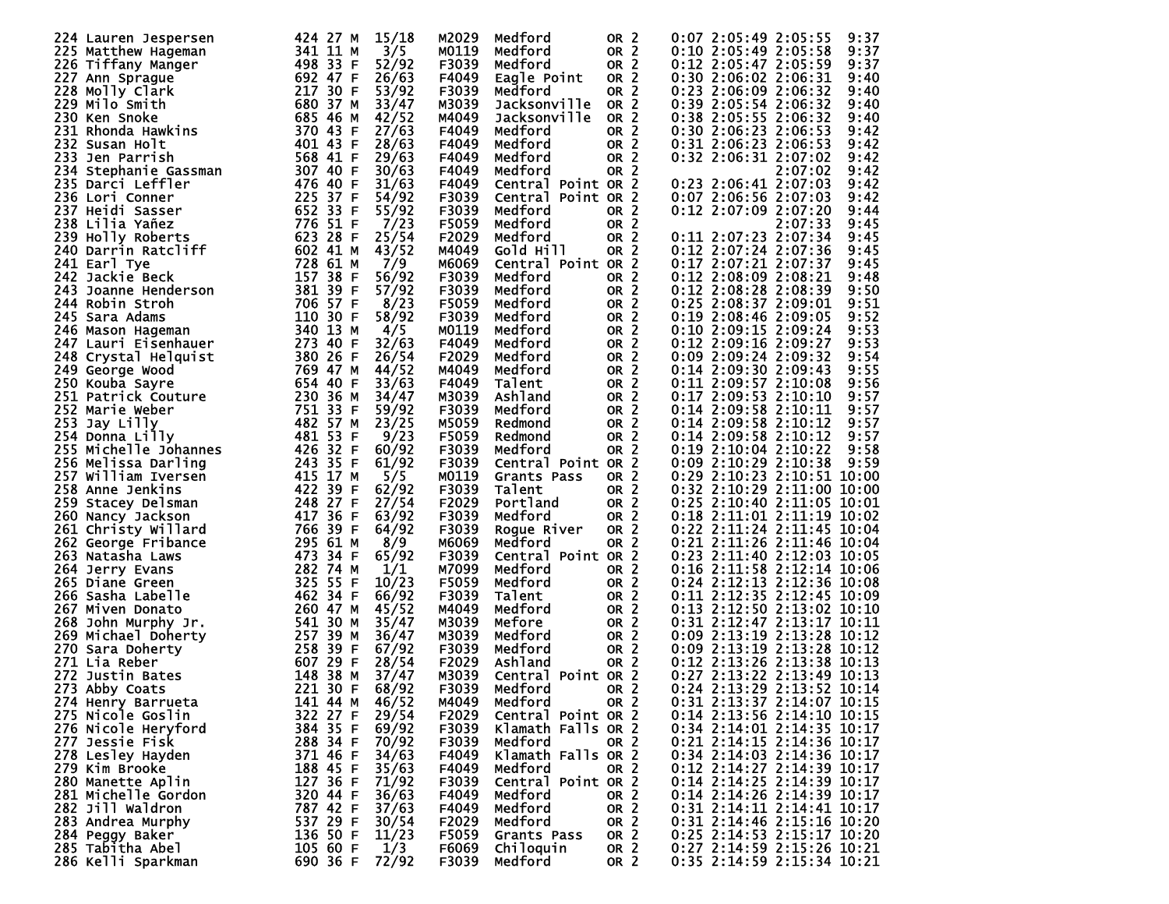| 224 Lauren Jespersen  | 424 27 M<br>15/18     | M2029 | Medford               | OR <sub>2</sub> | 0:07 2:05:49 2:05:55<br>9:37    |
|-----------------------|-----------------------|-------|-----------------------|-----------------|---------------------------------|
| 225 Matthew Hageman   | 341 11 M<br>3/5       | M0119 | Medford               | OR <sub>2</sub> | 0:10 2:05:49 2:05:58<br>9:37    |
|                       | 498 33 F<br>52/92     | F3039 | Medford               | OR <sub>2</sub> | 0:12 2:05:47 2:05:59<br>9:37    |
| 226 Tiffany Manger    |                       |       |                       |                 |                                 |
| 227 Ann Sprague       | 692 47 F<br>26/63     | F4049 | Eagle Point           | OR <sub>2</sub> | 0:30 2:06:02 2:06:31<br>9:40    |
| 228 Molly Clark       | 217 30 F<br>53/92     | F3039 | Medford               | OR <sub>2</sub> | 0:23 2:06:09 2:06:32<br>9:40    |
| 229 Milo Smith        | 680 37 M<br>33/47     | M3039 | Jacksonville          | OR <sub>2</sub> | 0:39 2:05:54 2:06:32<br>9:40    |
| 230 Ken Snoke         | 685 46 M<br>42/52     | M4049 | Jacksonville          | OR <sub>2</sub> | 0:38 2:05:55 2:06:32<br>9:40    |
| 231 Rhonda Hawkins    | 370 43 F<br>27/63     | F4049 | Medford               | OR <sub>2</sub> | 0:30 2:06:23 2:06:53<br>9:42    |
| 232 Susan Holt        | 401 43<br>28/63<br>F  | F4049 | Medford               | OR <sub>2</sub> | 0:31 2:06:23 2:06:53<br>9:42    |
| 233 Jen Parrish       | 568 41 F              | F4049 |                       |                 |                                 |
|                       | 29/63                 |       | Medford               | OR <sub>2</sub> | 0:32 2:06:31 2:07:02<br>9:42    |
| 234 Stephanie Gassman | 307 40<br>30/63<br>F  | F4049 | Medford               | OR <sub>2</sub> | 2:07:02<br>9:42                 |
| 235 Darci Leffler     | 476 40 F<br>31/63     | F4049 | Point OR 2<br>Central |                 | 0:23 2:06:41 2:07:03<br>9:42    |
| 236 Lori Conner       | 225 37<br>F<br>54/92  | F3039 | Point OR 2<br>Central |                 | 0:07 2:06:56 2:07:03<br>9:42    |
| 237 Heidi Sasser      | 652 33<br>55/92<br>-F | F3039 | Medford               | OR <sub>2</sub> | 0:12 2:07:09 2:07:20<br>9:44    |
| 238 Lilia Yañez       | 776 51 F<br>7/23      | F5059 | Medford               | OR <sub>2</sub> | 2:07:33<br>9:45                 |
| 239 Holly Roberts     | 623 28 F<br>25/54     | F2029 | Medford               | OR <sub>2</sub> | 0:11 2:07:23 2:07:34<br>9:45    |
|                       |                       |       |                       | OR <sub>2</sub> | 9:45                            |
| 240 Darrin Ratcliff   | 602 41 M<br>43/52     | M4049 | Gold Hill             |                 | 0:12 2:07:24 2:07:36            |
| 241 Earl Tye          | 728 61 M<br>7/9       | M6069 | Central Point OR 2    |                 | 0:17 2:07:21 2:07:37<br>9:45    |
| 242 Jackie Beck       | 157 38 F<br>56/92     | F3039 | Medford               | OR <sub>2</sub> | 0:12 2:08:09 2:08:21<br>9:48    |
| 243 Joanne Henderson  | 381 39 F<br>57/92     | F3039 | Medford               | OR <sub>2</sub> | 0:12 2:08:28 2:08:39<br>9:50    |
| 244 Robin Stroh       | 706 57 F<br>8/23      | F5059 | Medford               | OR <sub>2</sub> | 0:25 2:08:37 2:09:01<br>9:51    |
| 245 Sara Adams        | 110 30 F<br>58/92     | F3039 | Medford               | OR <sub>2</sub> | 0:19 2:08:46 2:09:05<br>9:52    |
|                       | 340 13 M<br>4/5       | M0119 | Medford               | OR <sub>2</sub> | $0:10$ 2:09:15 2:09:24<br>9:53  |
| 246 Mason Hageman     |                       |       |                       |                 |                                 |
| 247 Lauri Eisenhauer  | 273 40 F<br>32/63     | F4049 | Medford               | OR <sub>2</sub> | 0:12 2:09:16 2:09:27<br>9:53    |
| 248 Crystal Helquist  | 380 26 F<br>26/54     | F2029 | Medford               | OR <sub>2</sub> | 0:09 2:09:24 2:09:32<br>9:54    |
| 249 George Wood       | 769 47 M<br>44/52     | M4049 | Medford               | OR <sub>2</sub> | 0:14 2:09:30 2:09:43<br>9:55    |
| 250 Kouba Sayre       | 654 40 F<br>33/63     | F4049 | Talent                | OR <sub>2</sub> | $0:11$ 2:09:57 2:10:08<br>9:56  |
| 251 Patrick Couture   | 230 36 M<br>34/47     | M3039 | Ashland               | OR <sub>2</sub> | $0:17$ 2:09:53 2:10:10<br>9:57  |
| 252 Marie Weber       | 751 33 F<br>59/92     | F3039 | Medford               | OR <sub>2</sub> | $0:14$ 2:09:58 2:10:11<br>9:57  |
| 253 Jay Lilly         | 482 57 M<br>23/25     | M5059 |                       | OR <sub>2</sub> | $0:14$ 2:09:58 2:10:12<br>9:57  |
|                       |                       |       | Redmond               |                 |                                 |
| 254 Donna Lilly       | 481 53<br>9/23<br>-F  | F5059 | Redmond               | OR <sub>2</sub> | $0:14$ 2:09:58 2:10:12<br>9:57  |
| 255 Michelle Johannes | 426 32 F<br>60/92     | F3039 | Medford               | OR <sub>2</sub> | $0:19$ 2:10:04 2:10:22<br>9:58  |
| 256 Melissa Darling   | 243 35 F<br>61/92     | F3039 | Central Point OR 2    |                 | $0:09$ 2:10:29 2:10:38<br>9:59  |
| 257 William Iversen   | 415 17 M<br>5/5       | M0119 | Grants Pass           | OR <sub>2</sub> | 0:29 2:10:23 2:10:51 10:00      |
| 258 Anne Jenkins      | 422 39 F<br>62/92     | F3039 | Talent                | OR <sub>2</sub> | 0:32 2:10:29 2:11:00 10:00      |
| 259 Stacey Delsman    | 248 27<br>27/54<br>-F | F2029 | Portland              | OR <sub>2</sub> | 0:25 2:10:40 2:11:05 10:01      |
|                       |                       |       |                       |                 |                                 |
| 260 Nancy Jackson     | 417 36 F<br>63/92     | F3039 | Medford               | OR <sub>2</sub> | $0:18$ 2:11:01 2:11:19 10:02    |
| 261 Christy Willard   | 64/92<br>766 39 F     | F3039 | Roque River           | OR <sub>2</sub> | 0:22 2:11:24 2:11:45 10:04      |
| 262 George Fribance   | 295 61 M<br>8/9       | M6069 | Medford               | OR <sub>2</sub> | 0:21 2:11:26 2:11:46 10:04      |
| 263 Natasha Laws      | 473 34 F<br>65/92     | F3039 | Central Point OR 2    |                 | 0:23 2:11:40 2:12:03 10:05      |
| 264 Jerry Evans       | 282 74 M<br>1/1       | M7099 | Medford               | OR <sub>2</sub> | $0:16$ 2:11:58 2:12:14 10:06    |
| 265 Diane Green       | 325 55 F<br>10/23     | F5059 | Medford               | OR <sub>2</sub> | 0:24 2:12:13 2:12:36 10:08      |
| 266 Sasha Labelle     | 462 34 F<br>66/92     | F3039 | Talent                | OR <sub>2</sub> | 0:11 2:12:35 2:12:45 10:09      |
|                       |                       |       |                       |                 |                                 |
| 267 Miven Donato      | 260 47 M<br>45/52     | M4049 | Medford               | OR <sub>2</sub> | 0:13 2:12:50 2:13:02 10:10      |
| 268 John Murphy Jr.   | 541 30 M<br>35/47     | M3039 | Mefore                | OR <sub>2</sub> | 0:31 2:12:47 2:13:17 10:11      |
| 269 Michael Doherty   | 257 39 M<br>36/47     | M3039 | Medford               | OR <sub>2</sub> | 0:09 2:13:19 2:13:28 10:12      |
| 270 Sara Doherty      | 258 39 F<br>67/92     | F3039 | Medford               | OR <sub>2</sub> | $0:09$ 2:13:19<br>2:13:28 10:12 |
| 271 Lia Reber         | 607 29 F<br>28/54     | F2029 | Ashland               | OR <sub>2</sub> | 0:12 2:13:26 2:13:38 10:13      |
| 272 Justin Bates      | 148<br>38 M<br>37/47  | M3039 | Central Point OR 2    |                 | 0:27 2:13:22 2:13:49 10:13      |
|                       | 221 30 F<br>68/92     | F3039 | Medford               | OR <sub>2</sub> | 0:24 2:13:29 2:13:52 10:14      |
| 273 Abby Coats        |                       |       |                       |                 |                                 |
| 274 Henry Barrueta    | 141 44 M<br>46/52     | M4049 | Medford               | OR <sub>2</sub> | 0:31 2:13:37 2:14:07 10:15      |
| 275 Nicole Goslin     | 322 27 F<br>29/54     | F2029 | Central Point OR 2    |                 | 0:14 2:13:56 2:14:10 10:15      |
| 276 Nicole Heryford   | 384 35 F<br>69/92     | F3039 | Klamath Falls OR 2    |                 | 0:34 2:14:01 2:14:35 10:17      |
| 277 Jessie Fisk       | 288 34 F<br>70/92     | F3039 | Medford               | OR <sub>2</sub> | 0:21 2:14:15 2:14:36 10:17      |
| 278 Lesley Hayden     | 371 46 F<br>34/63     | F4049 | Klamath Falls OR 2    |                 | 0:34 2:14:03 2:14:36 10:17      |
| 279 Kim Brooke        | 188 45 F<br>35/63     | F4049 | Medford               | OR <sub>2</sub> | 0:12 2:14:27 2:14:39 10:17      |
|                       |                       |       |                       |                 |                                 |
| 280 Manette Aplin     | 127 36 F<br>71/92     | F3039 | Central Point OR 2    |                 | 0:14 2:14:25 2:14:39 10:17      |
| 281 Michelle Gordon   | 320 44 F<br>36/63     | F4049 | Medford               | OR <sub>2</sub> | 0:14 2:14:26 2:14:39 10:17      |
| 282 Jill Waldron      | 787 42 F<br>37/63     | F4049 | Medford               | OR <sub>2</sub> | 0:31 2:14:11 2:14:41 10:17      |
| 283 Andrea Murphy     | 537 29 F<br>30/54     | F2029 | Medford               | OR <sub>2</sub> | 0:31 2:14:46 2:15:16 10:20      |
| 284 Peggy Baker       | 136 50 F<br>11/23     | F5059 | Grants Pass           | OR <sub>2</sub> | 0:25 2:14:53 2:15:17 10:20      |
| 285 Tabitha Abel      | 1/3<br>105 60 F       | F6069 | Chiloquin             | OR <sub>2</sub> | 0:27 2:14:59 2:15:26 10:21      |
| 286 Kelli Sparkman    | 690 36 F<br>72/92     | F3039 | Medford               | OR <sub>2</sub> | 0:35 2:14:59 2:15:34 10:21      |
|                       |                       |       |                       |                 |                                 |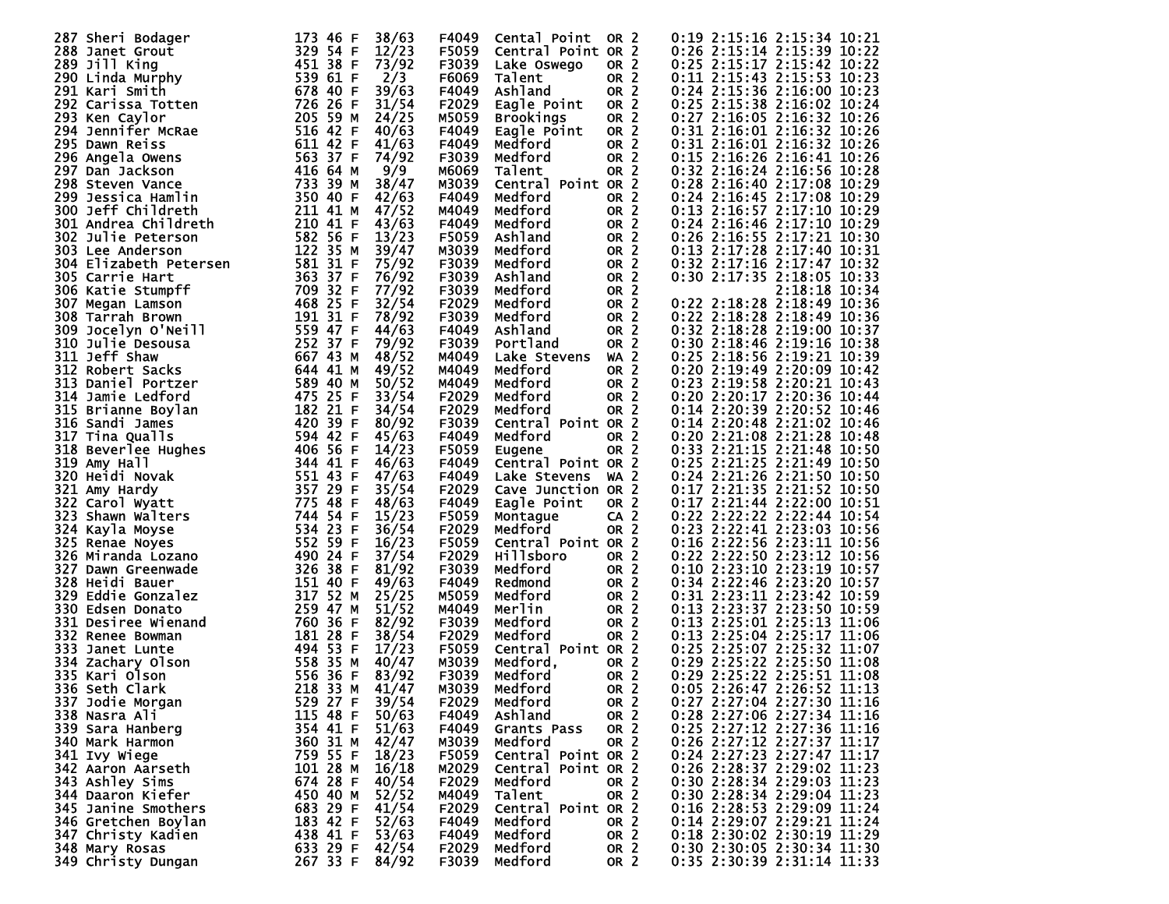| 287 Sheri Bodager                                                                                                                                                                                      | 173 46 F<br>38/63     | F4049        | Cental Point       | OR <sub>2</sub> | 0:19 2:15:16 2:15:34 10:21         |
|--------------------------------------------------------------------------------------------------------------------------------------------------------------------------------------------------------|-----------------------|--------------|--------------------|-----------------|------------------------------------|
|                                                                                                                                                                                                        | 329 54 F<br>12/23     |              |                    |                 | 0:26 2:15:14 2:15:39 10:22         |
| 288 Janet Grout                                                                                                                                                                                        |                       | F5059        | Central Point OR 2 |                 |                                    |
| 289 Jill King                                                                                                                                                                                          | 451 38 F<br>73/92     | F3039        | Lake Oswego        | OR <sub>2</sub> | $0:25$ 2:15:17 2:15:42 10:22       |
| 290 Linda Murphy                                                                                                                                                                                       | 539 61 F<br>2/3       | F6069        | Talent             | OR <sub>2</sub> | 0:11 2:15:43 2:15:53 10:23         |
| 291 Kari Smith                                                                                                                                                                                         | 678 40 F<br>39/63     | F4049        | Ashland            | OR <sub>2</sub> | 0:24 2:15:36 2:16:00 10:23         |
| 292 Carissa Totten                                                                                                                                                                                     | 726 26 F<br>31/54     | F2029        | Eagle Point        | OR <sub>2</sub> | 0:25 2:15:38 2:16:02 10:24         |
| 293 Ken Caylor                                                                                                                                                                                         | 205 59 M<br>24/25     | M5059        | <b>Brookings</b>   | OR <sub>2</sub> | 0:27 2:16:05 2:16:32 10:26         |
|                                                                                                                                                                                                        |                       |              |                    |                 |                                    |
| 294 Jennifer McRae                                                                                                                                                                                     | 516 42 F<br>40/63     | F4049        | Eagle Point        | OR <sub>2</sub> | 0:31 2:16:01 2:16:32 10:26         |
| 295 Dawn Reiss                                                                                                                                                                                         | 611 42 F<br>41/63     | F4049        | Medford            | OR <sub>2</sub> | 0:31 2:16:01 2:16:32 10:26         |
| 296 Angela Owens                                                                                                                                                                                       | 563 37 F<br>74/92     | F3039        | Medford            | OR <sub>2</sub> | 0:15 2:16:26 2:16:41 10:26         |
| 297 Dan Jackson                                                                                                                                                                                        | 416 64 M<br>9/9       | M6069        | Talent             | OR <sub>2</sub> | 0:32 2:16:24 2:16:56 10:28         |
| 298 Steven Vance                                                                                                                                                                                       | 733 39 M<br>38/47     | M3039        | Central Point OR 2 |                 | 0:28 2:16:40 2:17:08 10:29         |
|                                                                                                                                                                                                        | 350 40 F              | F4049        |                    |                 |                                    |
| 299 Jessica Hamlin<br>299 Jess.<br>300 Jeff Childretn<br>301 Andrea Childreth<br>^^^ ייזיי Peterson                                                                                                    | 42/63                 |              | Medford            | OR <sub>2</sub> | 0:24 2:16:45 2:17:08 10:29         |
|                                                                                                                                                                                                        | 211 41 M<br>47/52     | M4049        | Medford            | OR <sub>2</sub> | 0:13 2:16:57 2:17:10 10:29         |
|                                                                                                                                                                                                        | 210 41 F<br>43/63     | F4049        | Medford            | OR <sub>2</sub> | 0:24 2:16:46 2:17:10 10:29         |
|                                                                                                                                                                                                        | 582 56 F<br>13/23     | F5059        | Ashland            | OR <sub>2</sub> | 0:26 2:16:55 2:17:21 10:30         |
|                                                                                                                                                                                                        | 122 35 M<br>39/47     | M3039        | Medford            | OR <sub>2</sub> | 0:13 2:17:28 2:17:40 10:31         |
|                                                                                                                                                                                                        | 581 31 F<br>75/92     | F3039        | Medford            | OR <sub>2</sub> | 0:32 2:17:16 2:17:47 10:32         |
|                                                                                                                                                                                                        |                       |              |                    |                 |                                    |
|                                                                                                                                                                                                        | 363 37 F<br>76/92     | F3039        | Ashland            | OR <sub>2</sub> | 0:30 2:17:35 2:18:05 10:33         |
|                                                                                                                                                                                                        | 709 32 F<br>77/92     | F3039        | Medford            | OR <sub>2</sub> | 2:18:18 10:34                      |
|                                                                                                                                                                                                        | 468 25 F<br>32/54     | F2029        | Medford            | OR <sub>2</sub> | 0:22 2:18:28 2:18:49 10:36         |
|                                                                                                                                                                                                        | 191 31 F<br>78/92     | F3039        | Medford            | OR <sub>2</sub> | 0:22 2:18:28 2:18:49 10:36         |
| <b>303 Lee Anderson<br/>304 Elizabeth Petersen<br/>305 Carrie Hart<br/>306 Katie Stumpff<br/>307 Megan Lamson<br/>308 Tarrah Brown<br/>309 Jocelyn O'Neill<br/>310 Julie Desousa<br/>311 leff Shaw</b> | 559 47 F<br>44/63     | F4049        | Ashland            | OR <sub>2</sub> | 0:32 2:18:28 2:19:00 10:37         |
|                                                                                                                                                                                                        |                       |              |                    |                 |                                    |
|                                                                                                                                                                                                        | 252 37 F<br>79/92     | F3039        | Portland           | OR <sub>2</sub> | 0:30 2:18:46 2:19:16 10:38         |
| 311 Jeff Shaw                                                                                                                                                                                          | 667 43 M<br>48/52     | M4049        | Lake Stevens       | <b>WA 2</b>     | 0:25 2:18:56 2:19:21 10:39         |
| 312 Robert Sacks                                                                                                                                                                                       | 644 41 M<br>49/52     | M4049        | Medford            | OR <sub>2</sub> | 0:20 2:19:49 2:20:09 10:42         |
| 313 Daniel Portzer                                                                                                                                                                                     | 589 40 M<br>50/52     | M4049        | Medford            | OR <sub>2</sub> | 0:23 2:19:58 2:20:21 10:43         |
| 314 Jamie Ledford                                                                                                                                                                                      | 475 25 F<br>33/54     | F2029        | Medford            | OR <sub>2</sub> | 0:20 2:20:17 2:20:36 10:44         |
| 315 Brianne Boylan                                                                                                                                                                                     | 182 21 F<br>34/54     | F2029        | Medford            | OR <sub>2</sub> | 0:14 2:20:39 2:20:52 10:46         |
|                                                                                                                                                                                                        |                       |              |                    |                 |                                    |
| 316 Sandi James                                                                                                                                                                                        | 420 39 F<br>80/92     | F3039        | Central Point OR 2 |                 | 0:14 2:20:48 2:21:02 10:46         |
|                                                                                                                                                                                                        | 594 42 F<br>45/63     | F4049        | Medford            | OR <sub>2</sub> | 0:20 2:21:08 2:21:28 10:48         |
| --.  yualls<br>318 Beverlee Hughes<br>319 Amy Hall<br>320 Heid                                                                                                                                         | 406 56 F<br>14/23     | F5059        | Eugene             | OR <sub>2</sub> | 0:33 2:21:15 2:21:48 10:50         |
|                                                                                                                                                                                                        | 344 41 F<br>46/63     | F4049        | Central Point OR 2 |                 | 0:25 2:21:25 2:21:49 10:50         |
| 320 Heidi Novak                                                                                                                                                                                        | 551 43 F<br>47/63     | F4049        | Lake Stevens       | $WA$ 2          | 0:24 2:21:26 2:21:50 10:50         |
|                                                                                                                                                                                                        |                       |              |                    |                 |                                    |
| 321 Amy Hardy                                                                                                                                                                                          | 357 29<br>35/54<br>-F | F2029        | Cave Junction OR 2 |                 | 0:17 2:21:35 2:21:52 10:50         |
| 322 Carol Wyatt                                                                                                                                                                                        | 775 48 F<br>48/63     | F4049        | Eagle Point        | OR <sub>2</sub> | 0:17 2:21:44 2:22:00 10:51         |
| 323 Shawn Walters                                                                                                                                                                                      | 15/23<br>744 54 F     | F5059        | Montague           | CA <sub>2</sub> | 0:22 2:22:22 2:22:44 10:54         |
| 324 Kayla Moyse                                                                                                                                                                                        | 534 23 F<br>36/54     | F2029        | Medford            | OR <sub>2</sub> | 0:23 2:22:41 2:23:03 10:56         |
| 325 Renae Noyes                                                                                                                                                                                        | 552 59 F<br>16/23     | F5059        | Central Point OR 2 |                 | 0:16 2:22:56 2:23:11 10:56         |
| 326 Miranda Lozano                                                                                                                                                                                     | 490 24 F<br>37/54     | F2029        | <b>Hillsboro</b>   | OR <sub>2</sub> | 0:22 2:22:50 2:23:12 10:56         |
|                                                                                                                                                                                                        |                       |              |                    |                 |                                    |
| 327 Dawn Greenwade                                                                                                                                                                                     | 326 38 F<br>81/92     | F3039        | Medford            | OR <sub>2</sub> | $0:10$ $2:23:10$ $2:23:19$ $10:57$ |
| 328 Heidi Bauer                                                                                                                                                                                        | 151 40 F<br>49/63     | F4049        | Redmond            | OR <sub>2</sub> | 0:34 2:22:46 2:23:20 10:57         |
| 329 Eddie Gonzalez                                                                                                                                                                                     | 317 52 M<br>25/25     | M5059        | Medford            | OR <sub>2</sub> | 0:31 2:23:11 2:23:42 10:59         |
| 330 Edsen Donato                                                                                                                                                                                       | 259 47 M<br>51/52     | M4049        | Merlin             | OR <sub>2</sub> | 0:13 2:23:37 2:23:50 10:59         |
| 331 Desiree Wienand                                                                                                                                                                                    | 760 36 F<br>82/92     | F3039        | Medford            | OR <sub>2</sub> | 0:13 2:25:01 2:25:13 11:06         |
| 332 Renee Bowman                                                                                                                                                                                       | 38/54<br>181 28<br>-F | F2029        | Medford            | OR <sub>2</sub> | 0:13 2:25:04 2:25:17 11:06         |
|                                                                                                                                                                                                        | 17/23                 |              |                    |                 |                                    |
| 333.<br>Janet Lunte                                                                                                                                                                                    | 494 53 F              | F5059        | Central Point OR 2 |                 | 0:25 2:25:07 2:25:32 11:07         |
| 334 Zachary Olson                                                                                                                                                                                      | 558 35 M<br>40/47     | M3039        | Medford,           | OR <sub>2</sub> | 0:29 2:25:22 2:25:50 11:08         |
| 335 Kari Olson                                                                                                                                                                                         | 556 36 F<br>83/92     | F3039        | Medford            | OR <sub>2</sub> | 0:29 2:25:22 2:25:51 11:08         |
| 336 Seth Clark                                                                                                                                                                                         | 218 33 M<br>41/47     | M3039        | Medford            | OR <sub>2</sub> | $0:05$ 2:26:47 2:26:52 11:13       |
| 337 Jodie Morgan                                                                                                                                                                                       | 39/54<br>529 27 F     | F2029        | Medford            | OR <sub>2</sub> | 0:27 2:27:04 2:27:30 11:16         |
|                                                                                                                                                                                                        |                       |              |                    |                 |                                    |
| 338 Nasra Ali                                                                                                                                                                                          | 115 48 F<br>50/63     | F4049        | Ashland            | OR <sub>2</sub> | 0:28 2:27:06 2:27:34 11:16         |
| 339 Sara Hanberg                                                                                                                                                                                       | 354 41 F<br>51/63     | F4049        | <b>Grants Pass</b> | OR <sub>2</sub> | 0:25 2:27:12 2:27:36 11:16         |
| 340 Mark Harmon                                                                                                                                                                                        | 360 31 M<br>42/47     | M3039        | Medford            | OR <sub>2</sub> | 0:26 2:27:12 2:27:37 11:17         |
| 341 Ivy Wiege                                                                                                                                                                                          | 759 55 F<br>18/23     | <b>F5059</b> | Central Point OR 2 |                 | 0:24 2:27:23 2:27:47 11:17         |
| 342 Aaron Aarseth                                                                                                                                                                                      | 101 28 M<br>16/18     | M2029        | Central Point OR 2 |                 | 0:26 2:28:37 2:29:02 11:23         |
| 343 Ashley Sims                                                                                                                                                                                        | 674 28 F<br>40/54     | F2029        | Medford            | OR <sub>2</sub> | 0:30 2:28:34 2:29:03 11:23         |
|                                                                                                                                                                                                        |                       |              |                    |                 |                                    |
| 344 Daaron Kiefer                                                                                                                                                                                      | 450 40 M<br>52/52     | M4049        | Talent             | OR <sub>2</sub> | 0:30 2:28:34 2:29:04 11:23         |
| 345 Janine Smothers                                                                                                                                                                                    | 683 29 F<br>41/54     | F2029        | Central Point OR 2 |                 | 0:16 2:28:53 2:29:09 11:24         |
| 346 Gretchen Boylan                                                                                                                                                                                    | 183 42 F<br>52/63     | F4049        | Medford            | OR <sub>2</sub> | 0:14 2:29:07 2:29:21 11:24         |
| 347 Christy Kadien                                                                                                                                                                                     | 438 41 F<br>53/63     | F4049        | Medford            | OR <sub>2</sub> | 0:18 2:30:02 2:30:19 11:29         |
| 348 Mary Rosas                                                                                                                                                                                         | 633 29 F<br>42/54     | F2029        | Medford            | OR <sub>2</sub> | 0:30 2:30:05 2:30:34 11:30         |
| 349 Christy Dungan                                                                                                                                                                                     | 267 33 F<br>84/92     | F3039        | Medford            | OR 2            | 0:35 2:30:39 2:31:14 11:33         |
|                                                                                                                                                                                                        |                       |              |                    |                 |                                    |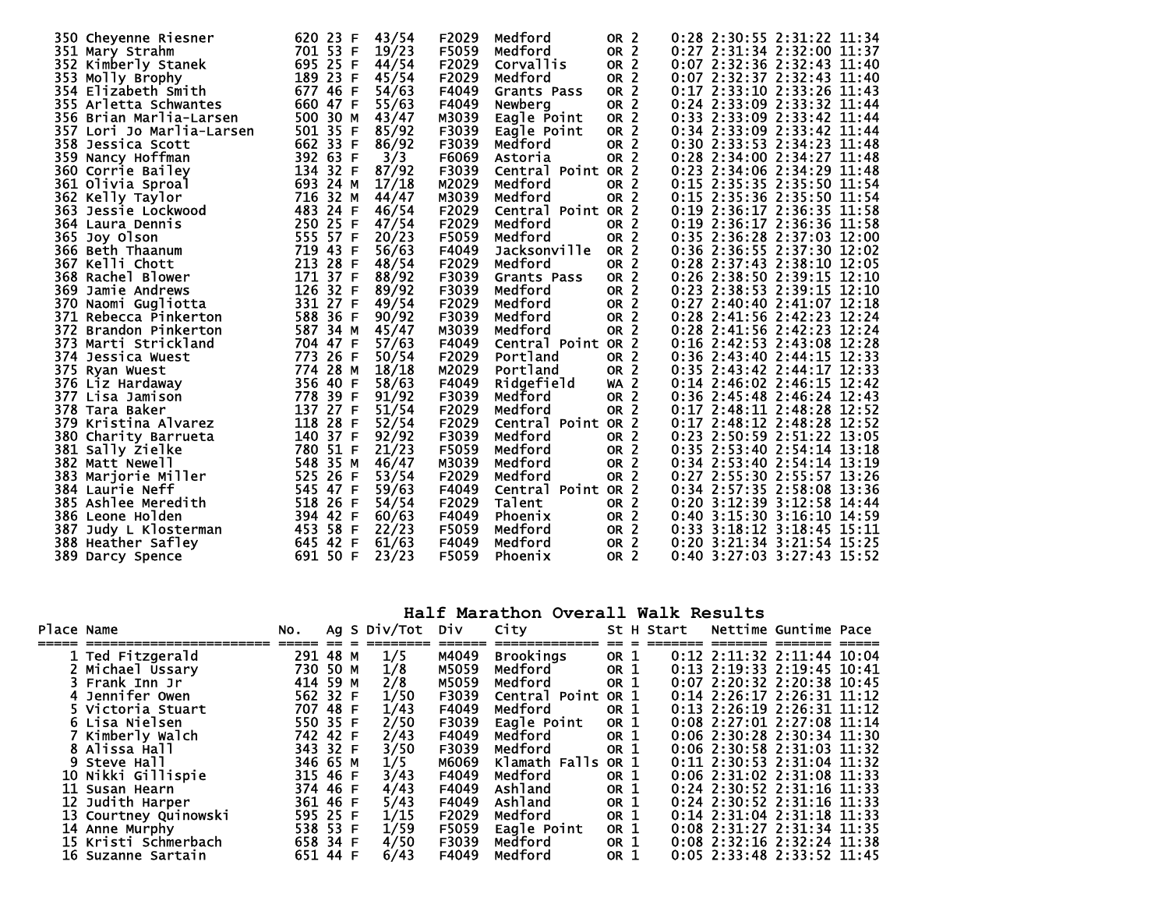| 350 Cheyenne Riesner                           | 620 23 F    | F2029<br>43/54 | Medford            | OR <sub>2</sub> | 0:28 2:30:55 2:31:22 11:34   |
|------------------------------------------------|-------------|----------------|--------------------|-----------------|------------------------------|
| 351 Mary Strahm                                | 701 53 F    | F5059<br>19/23 | Medford            | OR <sub>2</sub> | 0:27 2:31:34 2:32:00 11:37   |
| 352 Kimberly Stanek                            | 695 25 F    | 44/54<br>F2029 | <b>Corvallis</b>   | OR <sub>2</sub> | 0:07 2:32:36 2:32:43 11:40   |
| 353 Molly Brophy                               | 189 23 F    | F2029<br>45/54 | Medford            | OR <sub>2</sub> | 0:07 2:32:37 2:32:43 11:40   |
| 354 Elizabeth Smith                            | 677 46 F    | 54/63<br>F4049 | Grants Pass        | OR <sub>2</sub> | 0:17 2:33:10 2:33:26 11:43   |
| 355 Arletta Schwantes                          | 660 47 F    | 55/63<br>F4049 | Newberg            | OR <sub>2</sub> | 0:24 2:33:09 2:33:32 11:44   |
| 356 Brian Marlia-Larsen                        | 500 30 M    | 43/47<br>M3039 | Eagle Point        | OR <sub>2</sub> | 0:33 2:33:09 2:33:42 11:44   |
| 357 Lori Jo Marlia-Larsen                      | 501 35 F    | F3039<br>85/92 | Eagle Point        | OR <sub>2</sub> | 0:34 2:33:09 2:33:42 11:44   |
| 358 Jessica Scott                              | 662<br>33 F | 86/92<br>F3039 | Medford            | OR <sub>2</sub> | 0:30 2:33:53 2:34:23 11:48   |
| 359 Nancy Hoffman                              | 392 63 F    | 3/3<br>F6069   | Astoria            | OR <sub>2</sub> | 0:28 2:34:00 2:34:27 11:48   |
| 360 Corrie Bailey                              | 32 F<br>134 | 87/92<br>F3039 | Central Point OR 2 |                 | 0:23 2:34:06 2:34:29 11:48   |
| 361 Olivia Sproal                              | 693 24 M    | 17/18<br>M2029 | Medford            | OR <sub>2</sub> | 0:15 2:35:35 2:35:50 11:54   |
| 362 Kelly Taylor                               | 716<br>32 M | 44/47<br>M3039 | Medford            | OR <sub>2</sub> | 0:15 2:35:36 2:35:50 11:54   |
| <b>363 Jessie Lockwood</b>                     | 483 24 F    | 46/54<br>F2029 | Central Point OR 2 |                 | 0:19 2:36:17 2:36:35 11:58   |
| 364 Laura Dennis                               | 250 25 F    | F2029<br>47/54 | Medford            | OR <sub>2</sub> | 0:19 2:36:17 2:36:36 11:58   |
| 365 Joy Olson                                  | 555 57 F    | F5059<br>20/23 | Medford            | OR <sub>2</sub> | 0:35 2:36:28 2:37:03 12:00   |
| 366 Beth Thaanum                               | 719 43 F    | 56/63<br>F4049 | Jacksonville       | OR <sub>2</sub> | 0:36 2:36:55 2:37:30 12:02   |
| 367 Kelli Chott                                | 213 28 F    | F2029<br>48/54 | Medford            | OR <sub>2</sub> | 0:28 2:37:43 2:38:10 12:05   |
| 368 Rachel Blower                              | 171 37 F    | 88/92<br>F3039 | Grants Pass        | OR <sub>2</sub> | 0:26 2:38:50 2:39:15 12:10   |
| 369 Jamie Andrews                              | 126 32 F    | 89/92<br>F3039 | Medford            | OR <sub>2</sub> | 0:23 2:38:53 2:39:15 12:10   |
| 370 Naomi Gugliotta                            | 331 27 F    | 49/54<br>F2029 | Medford            | OR <sub>2</sub> | 0:27 2:40:40 2:41:07 12:18   |
|                                                | 588 36 F    | 90/92<br>F3039 | Medford            | OR <sub>2</sub> | 0:28 2:41:56 2:42:23 12:24   |
| 371 Rebecca Pinkerton<br>372 Brandon Pinkerton | 587 34 M    | M3039<br>45/47 | Medford            | OR <sub>2</sub> | 0:28 2:41:56 2:42:23 12:24   |
| 373 Marti Strickland                           | 704 47 F    | F4049          | Central Point OR 2 |                 | 0:16 2:42:53 2:43:08 12:28   |
|                                                | 773<br>26 F | 57/63<br>F2029 | Portland           |                 | 0:36 2:43:40 2:44:15 12:33   |
| 374 Jessica Wuest                              | 28 M<br>774 | 50/54<br>M2029 |                    | OR <sub>2</sub> | 0:35 2:43:42 2:44:17 12:33   |
| 375 Ryan Wuest                                 |             | 18/18          | Portland           | OR <sub>2</sub> |                              |
| 376 Liz Hardaway                               | 356 40 F    | 58/63<br>F4049 | Ridgefield         | <b>WA 2</b>     | $0:14$ 2:46:02 2:46:15 12:42 |
| 377 Lisa Jamison                               | 778 39 F    | 91/92<br>F3039 | Medford            | OR <sub>2</sub> | 0:36 2:45:48 2:46:24 12:43   |
| 378 Tara Baker                                 | 137 27 F    | 51/54<br>F2029 | Medford            | OR <sub>2</sub> | 0:17 2:48:11 2:48:28 12:52   |
| 379 Kristina Alvarez                           | 118 28 F    | F2029<br>52/54 | Central Point OR 2 |                 | 0:17 2:48:12 2:48:28 12:52   |
| 380 Charity Barrueta                           | 140 37 F    | 92/92<br>F3039 | Medford            | OR <sub>2</sub> | 0:23 2:50:59 2:51:22 13:05   |
| 381 Sally Zielke                               | 780 51 F    | 21/23<br>F5059 | Medford            | OR <sub>2</sub> | 0:35 2:53:40 2:54:14 13:18   |
| 382 Matt Newell                                | 548<br>35 M | 46/47<br>M3039 | Medford            | OR <sub>2</sub> | 0:34 2:53:40 2:54:14 13:19   |
| 383 Marjorie Miller                            | 525<br>26 F | 53/54<br>F2029 | Medford            | OR <sub>2</sub> | 0:27 2:55:30 2:55:57 13:26   |
| 384 Laurie Neff                                | 545 47 F    | 59/63<br>F4049 | Central Point OR 2 |                 | 0:34 2:57:35 2:58:08 13:36   |
| 385 Ashlee Meredith                            | 518<br>26 F | F2029<br>54/54 | Talent             | OR <sub>2</sub> | 0:20 3:12:39 3:12:58 14:44   |
| 386 Leone Holden                               | 394<br>42 F | F4049<br>60/63 | <b>Phoenix</b>     | OR <sub>2</sub> | 0:40 3:15:30 3:16:10 14:59   |
| 387 Judy L Klosterman                          | 453<br>58 F | F5059<br>22/23 | Medford            | OR <sub>2</sub> | 0:33 3:18:12 3:18:45 15:11   |
| 388 Heather Safley                             | 645 42 F    | F4049<br>61/63 | Medford            | OR <sub>2</sub> | 0:20 3:21:34 3:21:54 15:25   |
| 389 Darcy Spence                               | 691 50 F    | F5059<br>23/23 | Phoenix            | OR <sub>2</sub> | 0:40 3:27:03 3:27:43 15:52   |

**Half Marathon Overall Walk Results** 

| Place Name |                       | NO.      |      | Ag S Div/Tot | Div   | City               |                 | St H Start |                                    | Nettime Guntime Pace |  |
|------------|-----------------------|----------|------|--------------|-------|--------------------|-----------------|------------|------------------------------------|----------------------|--|
|            |                       |          |      |              |       |                    |                 |            |                                    |                      |  |
|            | 1 Ted Fitzgerald      | 291 48 M |      | 1/5          | M4049 | <b>Brookings</b>   | OR 1            |            | $0:12$ $2:11:32$ $2:11:44$ $10:04$ |                      |  |
|            | 2 Michael Ussary      | 730 50 M |      | 1/8          | M5059 | Medford            | OR <sub>1</sub> |            | 0:13 2:19:33 2:19:45 10:41         |                      |  |
|            | 3 Frank Inn Jr        | 414 59 M |      | 2/8          | M5059 | Medford            | OR 1            |            | 0:07 2:20:32 2:20:38 10:45         |                      |  |
|            | 4 Jennifer Owen       | 562 32 F |      | 1/50         | F3039 | Central Point OR 1 |                 |            | $0:14$ 2:26:17 2:26:31 11:12       |                      |  |
|            | 5 Victoria Stuart     | 707      | 48 F | 1/43         | F4049 | Medford            | OR 1            |            | 0:13 2:26:19 2:26:31 11:12         |                      |  |
|            | 6 Lisa Nielsen        | 550 35 F |      | 2/50         | F3039 | Eagle Point        | OR 1            |            | 0:08 2:27:01 2:27:08 11:14         |                      |  |
|            | 7 Kimberly Walch      | 742 42 F |      | 2/43         | F4049 | Medford            | OR 1            |            | 0:06 2:30:28 2:30:34 11:30         |                      |  |
|            | 8 Alissa Hall         | 343 32 F |      | 3/50         | F3039 | Medford            | OR 1            |            | 0:06 2:30:58 2:31:03 11:32         |                      |  |
|            | 9 Steve Hall          | 346 65 M |      | 1/5          | M6069 | Klamath Falls OR 1 |                 |            | 0:11 2:30:53 2:31:04 11:32         |                      |  |
|            | 10 Nikki Gillispie    | 315 46 F |      | 3/43         | F4049 | Medford            | OR 1            |            | 0:06 2:31:02 2:31:08 11:33         |                      |  |
|            | 11 Susan Hearn        | 374 46 F |      | 4/43         | F4049 | Ashland            | OR 1            |            | 0:24 2:30:52 2:31:16 11:33         |                      |  |
|            | 12 Judith Harper      | 361 46 F |      | 5/43         | F4049 | Ashland            | OR 1            |            | 0:24 2:30:52 2:31:16 11:33         |                      |  |
|            | 13 Courtney Quinowski | 595 25 F |      | 1/15         | F2029 | Medford            | OR 1            |            | 0:14 2:31:04 2:31:18 11:33         |                      |  |
|            | 14 Anne Murphy        | 538 53 F |      | 1/59         | F5059 | Eagle Point        | OR 1            |            | 0:08 2:31:27 2:31:34 11:35         |                      |  |
|            | 15 Kristi Schmerbach  | 658 34 F |      | 4/50         | F3039 | Medford            | OR 1            |            | $0:08$ 2:32:16 2:32:24 11:38       |                      |  |
|            | 16 Suzanne Sartain    | 651 44 F |      | 6/43         | F4049 | Medford            | OR 1            |            | $0:05$ 2:33:48 2:33:52 11:45       |                      |  |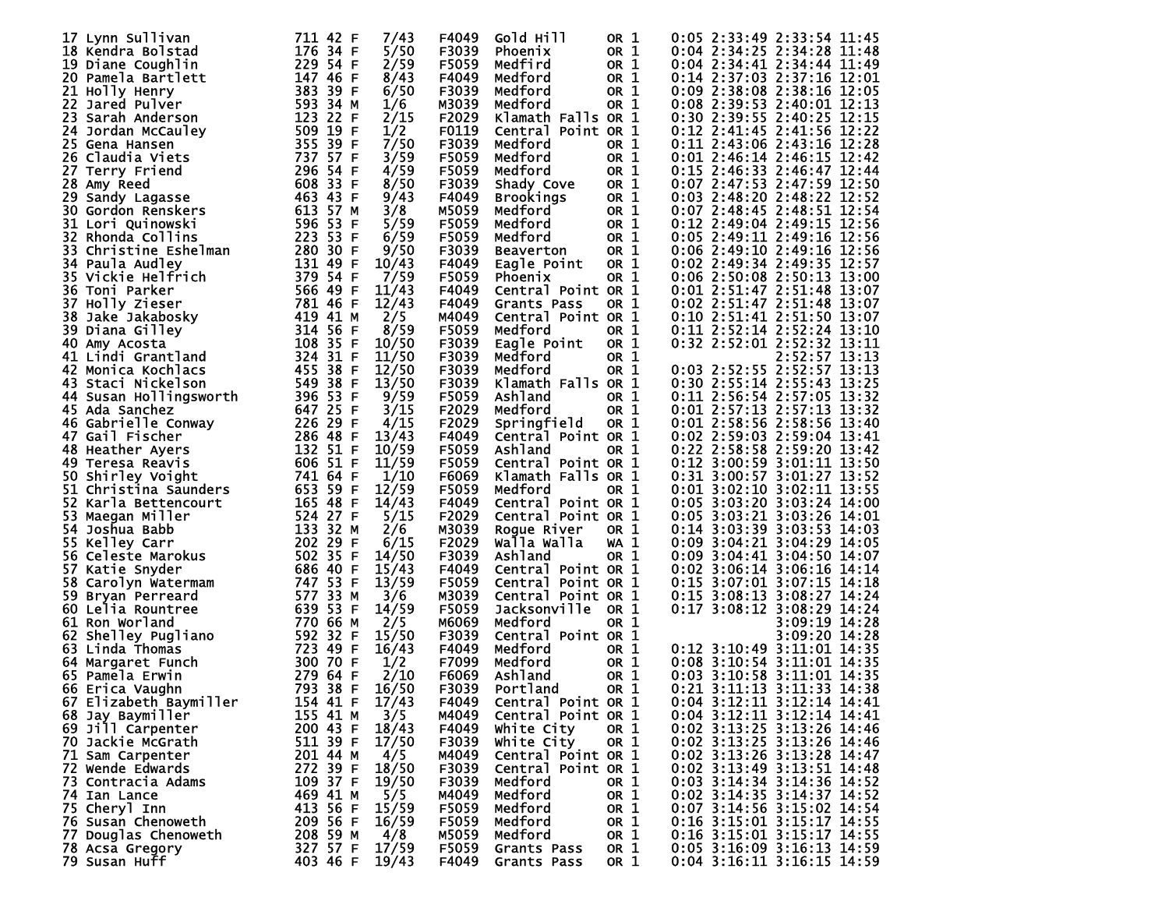| 17 Lynn Sullivan                       | 711 42 F | 7/43  | F4049 | Gold Hill          | OR <sub>1</sub> | $0:05$ 2:33:49 2:33:54 11:45 |
|----------------------------------------|----------|-------|-------|--------------------|-----------------|------------------------------|
| 18 Kendra Bolstad                      | 176 34 F | 5/50  | F3039 | Phoenix            | OR 1            | 0:04 2:34:25 2:34:28 11:48   |
| 19 Diane Coughlin                      | 229 54 F | 2/59  | F5059 | Medfird            | OR 1            | 0:04 2:34:41 2:34:44 11:49   |
| 20 Pamela Bartlett                     | 147 46 F | 8/43  | F4049 | Medford            | OR 1            | 0:14 2:37:03 2:37:16 12:01   |
| 21 Holly Henry                         | 383 39 F | 6/50  | F3039 | Medford            | OR 1            | 0:09 2:38:08 2:38:16 12:05   |
| 22 Jared Pulver                        | 593 34 M | 1/6   | M3039 | Medford            | OR 1            | 0:08 2:39:53 2:40:01 12:13   |
| 23 Sarah Anderson                      | 123 22 F | 2/15  | F2029 | Klamath Falls OR 1 |                 | 0:30 2:39:55 2:40:25 12:15   |
| 24 Jordan McCauley                     | 509 19 F | 1/2   | F0119 | Central Point OR 1 |                 | 0:12 2:41:45 2:41:56 12:22   |
| 25 Gena Hansen                         | 355 39 F | 7/50  | F3039 | Medford            | OR 1            | 0:11 2:43:06 2:43:16 12:28   |
| 26 Claudia Viets                       | 737 57 F | 3/59  | F5059 | Medford            | OR 1            | 0:01 2:46:14 2:46:15 12:42   |
| 27 Terry Friend                        | 296 54 F | 4/59  | F5059 | Medford            | OR 1            | 0:15 2:46:33 2:46:47 12:44   |
| 28 Amy Reed                            | 608 33 F | 8/50  | F3039 | Shady Cove         | OR 1            | 0:07 2:47:53 2:47:59 12:50   |
| 29 Sandy Lagasse                       | 463 43 F | 9/43  | F4049 | <b>Brookings</b>   | OR 1            | 0:03 2:48:20 2:48:22 12:52   |
| <b>30 Gordon Renskers</b>              | 613 57 M | 3/8   | M5059 | Medford            | OR 1            | 0:07 2:48:45 2:48:51 12:54   |
|                                        | 596 53 F |       |       |                    |                 |                              |
| 31 Lori Quinowski<br>32 Rhonda Collins | 223 53 F | 5/59  | F5059 | Medford            | OR 1            | 0:12 2:49:04 2:49:15 12:56   |
|                                        |          | 6/59  | F5059 | Medford            | OR 1            | 0:05 2:49:11 2:49:16 12:56   |
| 33 Christine Eshelman                  | 280 30 F | 9/50  | F3039 | <b>Beaverton</b>   | OR 1            | 0:06 2:49:10 2:49:16 12:56   |
| 34 Paula Audley                        | 131 49 F | 10/43 | F4049 | Eagle Point        | OR 1            | 0:02 2:49:34 2:49:35 12:57   |
| 35 Vickie Helfrich                     | 379 54 F | 7/59  | F5059 | Phoenix            | OR 1            | 0:06 2:50:08 2:50:13 13:00   |
| 36 Toni Parker                         | 566 49 F | 11/43 | F4049 | Central Point OR 1 |                 | 0:01 2:51:47 2:51:48 13:07   |
| 37 Holly Zieser                        | 781 46 F | 12/43 | F4049 | Grants Pass        | OR 1            | 0:02 2:51:47 2:51:48 13:07   |
| 38 Jake Jakabosky                      | 419 41 M | 2/5   | M4049 | Central Point OR 1 |                 | 0:10 2:51:41 2:51:50 13:07   |
| 39 Diana Gilley                        | 314 56 F | 8/59  | F5059 | Medford            | OR 1            | 0:11 2:52:14 2:52:24 13:10   |
| 40 Amy Acosta                          | 108 35 F | 10/50 | F3039 | Eagle Point        | OR 1            | 0:32 2:52:01 2:52:32 13:11   |
| 41 Lindi Grantland                     | 324 31 F | 11/50 | F3039 | Medford            | OR 1            | 2:52:57 13:13                |
| 42 Monica Kochlacs                     | 455 38 F | 12/50 | F3039 | Medford            | OR 1            | 0:03 2:52:55 2:52:57 13:13   |
| 43 Staci Nickelson                     | 549 38 F | 13/50 | F3039 | Klamath Falls OR 1 |                 | 0:30 2:55:14 2:55:43 13:25   |
| 44 Susan Hollingsworth                 | 396 53 F | 9/59  | F5059 | Ashland            | OR 1            | 0:11 2:56:54 2:57:05 13:32   |
| 45 Ada Sanchez                         | 647 25 F | 3/15  | F2029 | Medford            | OR 1            | 0:01 2:57:13 2:57:13 13:32   |
| 46 Gabrielle Conway                    | 226 29 F | 4/15  | F2029 | Springfield        | OR 1            | 0:01 2:58:56 2:58:56 13:40   |
| 47 Gail Fischer                        | 286 48 F | 13/43 | F4049 | Central Point OR 1 |                 | 0:02 2:59:03 2:59:04 13:41   |
| 48 Heather Ayers                       | 132 51 F | 10/59 | F5059 | Ashland            | OR 1            | 0:22 2:58:58 2:59:20 13:42   |
| 49 Teresa Reavis                       | 606 51 F | 11/59 | F5059 | Central Point OR 1 |                 | 0:12 3:00:59 3:01:11 13:50   |
| 50 Shirley Voight                      | 741 64 F | 1/10  | F6069 | Klamath Falls OR 1 |                 | 0:31 3:00:57 3:01:27 13:52   |
| 51 Christina Saunders                  | 653 59 F | 12/59 | F5059 | Medford            | OR 1            | 0:01 3:02:10 3:02:11 13:55   |
| 52 Karla Bettencourt                   | 165 48 F | 14/43 | F4049 | Central Point OR 1 |                 | 0:05 3:03:20 3:03:24 14:00   |
| 53 Maegan Miller                       | 524 27 F | 5/15  | F2029 | Central Point OR 1 |                 | 0:05 3:03:21 3:03:26 14:01   |
| 54 Joshua Babb                         | 133 32 M | 2/6   | M3039 | Roque River        | OR 1            | 0:14 3:03:39 3:03:53 14:03   |
| 55 Kelley Carr                         | 202 29 F | 6/15  | F2029 | Walla Walla        | WA 1            | 0:09 3:04:21 3:04:29 14:05   |
| 56 Celeste Marokus                     | 502 35 F | 14/50 | F3039 | Ashland            | OR 1            | 0:09 3:04:41 3:04:50 14:07   |
| 57 Katie Snyder                        | 686 40 F | 15/43 | F4049 | Central Point OR 1 |                 | 0:02 3:06:14 3:06:16 14:14   |
| 58 Carolyn Watermam                    | 747 53 F | 13/59 | F5059 | Central Point OR 1 |                 | 0:15 3:07:01 3:07:15 14:18   |
| 59 Bryan Perreard                      | 577 33 M | 3/6   | M3039 | Central Point OR 1 |                 | 0:15 3:08:13 3:08:27 14:24   |
| 60 Lelia Rountree                      | 639 53 F | 14/59 | F5059 | Jacksonville       | OR 1            | 0:17 3:08:12 3:08:29 14:24   |
| 61 Ron Worland                         | 770 66 M | 2/5   | м6069 | Medford            | OR 1            | 3:09:19 14:28                |
| 62 Shelley Pugliano                    | 592 32 F | 15/50 | F3039 | Central Point OR 1 |                 | 3:09:20 14:28                |
| 63 Linda Thomas                        | 723 49 F | 16/43 | F4049 | Medford            | OR 1            | 0:12 3:10:49 3:11:01 14:35   |
| 64 Margaret Funch                      | 300 70 F | 1/2   | F7099 | Medford            | OR 1            | 0:08 3:10:54 3:11:01 14:35   |
| 65 Pamela Erwin                        | 279 64 F | 2/10  | F6069 | Ashland            | OR 1            | 0:03 3:10:58 3:11:01 14:35   |
| 66 Erica Vaughn                        | 793 38 F | 16/50 | F3039 | Portland           | OR 1            | $0:21$ 3:11:13 3:11:33 14:38 |
| 67 Elizabeth Baymiller                 | 154 41 F | 17/43 | F4049 | Central Point OR 1 |                 | 0:04 3:12:11 3:12:14 14:41   |
| 68 Jay Baymiller                       | 155 41 M | 3/5   | M4049 | Central Point OR 1 |                 | 0:04 3:12:11 3:12:14 14:41   |
| 69 Jill Carpenter                      | 200 43 F | 18/43 | F4049 | White City         | OR 1            | 0:02 3:13:25 3:13:26 14:46   |
| 70 Jackie McGrath                      | 511 39 F | 17/50 | F3039 | White City         | OR 1            | 0:02 3:13:25 3:13:26 14:46   |
| 71 Sam Carpenter                       | 201 44 M | 4/5   | M4049 | Central Point OR 1 |                 | 0:02 3:13:26 3:13:28 14:47   |
| 72 Wende Edwards                       | 272 39 F | 18/50 | F3039 | Central Point OR 1 |                 | 0:02 3:13:49 3:13:51 14:48   |
| 73 Contracia Adams                     | 109 37 F | 19/50 | F3039 | Medford            | OR 1            | 0:03 3:14:34 3:14:36 14:52   |
| 74 Ian Lance                           | 469 41 M | 5/5   | M4049 | Medford            | OR 1            | 0:02 3:14:35 3:14:37 14:52   |
| 75 Cheryl Inn                          | 413 56 F | 15/59 | F5059 | Medford            | OR 1            | 0:07 3:14:56 3:15:02 14:54   |
| 76 Susan Chenoweth                     | 209 56 F | 16/59 | F5059 | Medford            | OR 1            | 0:16 3:15:01 3:15:17 14:55   |
| 77 Douglas Chenoweth                   | 208 59 M | 4/8   | M5059 | Medford            | OR 1            | 0:16 3:15:01 3:15:17 14:55   |
| 78 Acsa Gregory                        | 327 57 F | 17/59 | F5059 | Grants Pass        | OR 1            | 0:05 3:16:09 3:16:13 14:59   |
| 79 Susan Huff                          | 403 46 F | 19/43 | F4049 | Grants Pass        | OR 1            | 0:04 3:16:11 3:16:15 14:59   |
|                                        |          |       |       |                    |                 |                              |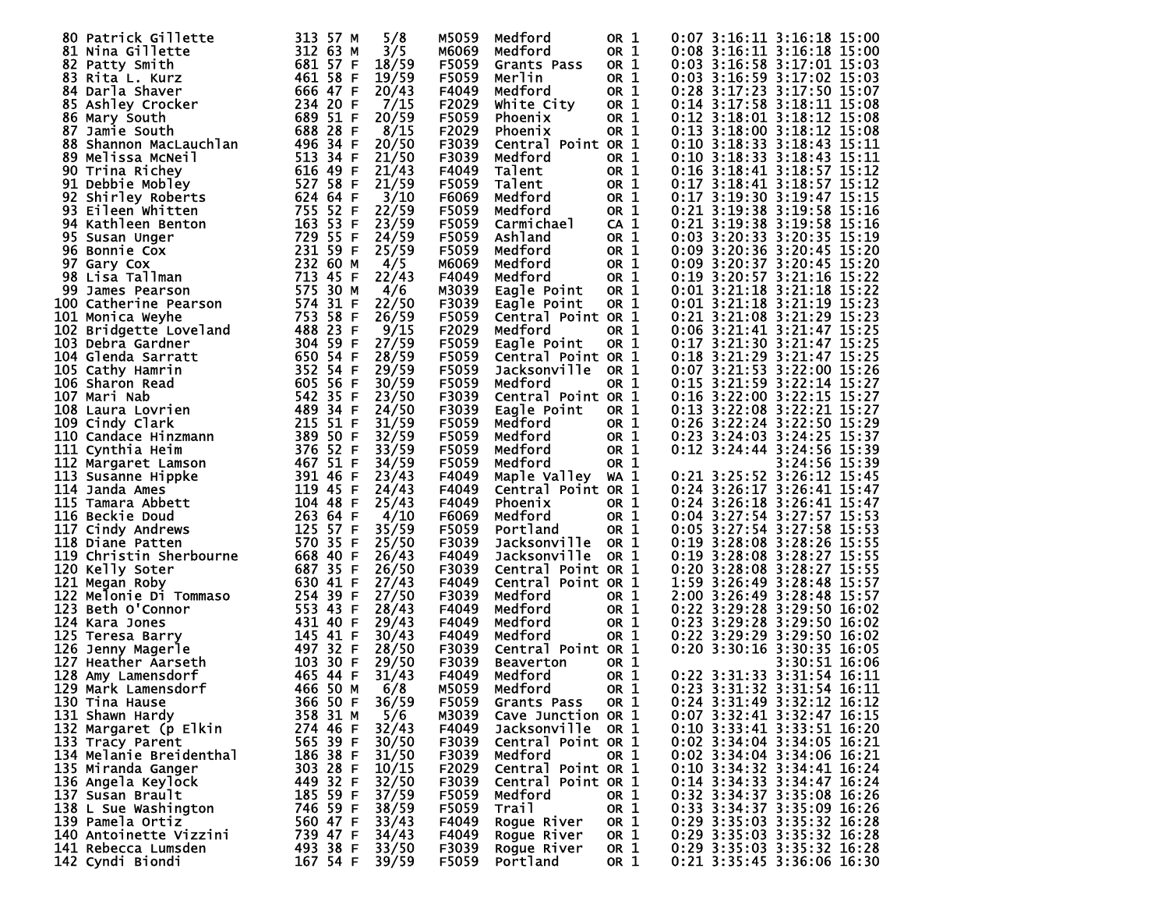| 80 Patrick Gillette     | 313 57 M     | 5/8   | M5059 | Medford            | OR 1            | 0:07 3:16:11 3:16:18 15:00      |
|-------------------------|--------------|-------|-------|--------------------|-----------------|---------------------------------|
| 81 Nina Gillette        | 312 63 M     | 3/5   | M6069 | Medford            | OR 1            | $0:08$ 3:16:11 3:16:18 15:00    |
|                         | 681 57 F     | 18/59 | F5059 |                    |                 | 0:03 3:16:58 3:17:01 15:03      |
| 82 Patty Smith          |              |       |       | Grants Pass        | OR 1            |                                 |
| 83 Rita L. Kurz         | 461 58 F     | 19/59 | F5059 | Merlin             | OR 1            | 0:03 3:16:59 3:17:02 15:03      |
| 84 Darla Shaver         | 666 47 F     | 20/43 | F4049 | Medford            | OR 1            | 0:28 3:17:23 3:17:50 15:07      |
| 85 Ashley Crocker       | 234 20 F     | 7/15  | F2029 | White City         | OR 1            | 0:14 3:17:58 3:18:11 15:08      |
| 86 Mary South           | 689 51 F     | 20/59 | F5059 | Phoenix            | OR 1            | 0:12 3:18:01 3:18:12 15:08      |
| 87 Jamie South          | 688 28 F     | 8/15  | F2029 | Phoenix            | OR 1            | 0:13 3:18:00 3:18:12 15:08      |
| 88 Shannon MacLauchlan  | 496 34 F     | 20/50 | F3039 | Central Point OR 1 |                 | 0:10 3:18:33 3:18:43 15:11      |
| 89 Melissa McNeil       | 513 34 F     | 21/50 | F3039 | Medford            | OR 1            | 0:10 3:18:33 3:18:43 15:11      |
| 90 Trina Richey         | 616 49 F     | 21/43 | F4049 | Talent             | OR 1            | 0:16 3:18:41 3:18:57 15:12      |
|                         |              |       |       |                    |                 |                                 |
| 91 Debbie Mobley        | 527 58 F     | 21/59 | F5059 | Talent             | OR 1            | 0:17 3:18:41 3:18:57 15:12      |
| 92 Shirley Roberts      | 624 64 F     | 3/10  | F6069 | Medford            | OR 1            | 0:17 3:19:30 3:19:47 15:15      |
| 93 Eileen Whitten       | 755 52 F     | 22/59 | F5059 | Medford            | OR 1            | 0:21 3:19:38 3:19:58 15:16      |
| 94 Kathleen Benton      | 163 53<br>-F | 23/59 | F5059 | Carmichael         | CA <sub>1</sub> | 0:21 3:19:38 3:19:58 15:16      |
| 95 Susan Unger          | 729 55 F     | 24/59 | F5059 | Ashland            | OR 1            | 0:03 3:20:33 3:20:35 15:19      |
| 96 Bonnie Cox           | 231 59 F     | 25/59 | F5059 | Medford            | OR 1            | 0:09 3:20:36 3:20:45 15:20      |
| 97 Gary Cox             | 232 60 M     | 4/5   | M6069 | Medford            | OR 1            | 0:09 3:20:37 3:20:45 15:20      |
| 98 Lisa Tallman         | 713 45 F     | 22/43 | F4049 | Medford            | OR 1            | 0:19 3:20:57 3:21:16 15:22      |
|                         | 575 30 M     | 4/6   |       |                    |                 |                                 |
| 99 James Pearson        |              |       | M3039 | Eagle Point        | OR 1            | 0:01 3:21:18 3:21:18 15:22      |
| 100 Catherine Pearson   | 574 31 F     | 22/50 | F3039 | Eagle Point        | OR 1            | 0:01 3:21:18 3:21:19 15:23      |
| 101 Monica Weyhe        | 753 58 F     | 26/59 | F5059 | Central Point OR 1 |                 | 0:21 3:21:08 3:21:29 15:23      |
| 102 Bridgette Loveland  | 488 23 F     | 9/15  | F2029 | Medford            | OR 1            | 0:06 3:21:41 3:21:47 15:25      |
| 103 Debra Gardner       | 304 59 F     | 27/59 | F5059 | Eagle Point        | OR 1            | 0:17 3:21:30 3:21:47 15:25      |
| 104 Glenda Sarratt      | 650 54 F     | 28/59 | F5059 | Central Point OR 1 |                 | 0:18 3:21:29 3:21:47 15:25      |
| 105 Cathy Hamrin        | 352 54 F     | 29/59 | F5059 | Jacksonville       | OR 1            | 0:07 3:21:53 3:22:00 15:26      |
| 106 Sharon Read         | 605 56 F     | 30/59 | F5059 | Medford            | OR 1            | 0:15 3:21:59 3:22:14 15:27      |
| 107 Mari Nab            | 542 35 F     | 23/50 | F3039 | Central Point OR 1 |                 | 0:16 3:22:00 3:22:15 15:27      |
|                         | 489 34 F     | 24/50 |       |                    |                 |                                 |
| 108 Laura Lovrien       |              |       | F3039 | Eagle Point        | OR 1            | 0:13 3:22:08 3:22:21 15:27      |
| 109 Cindy Clark         | 215 51 F     | 31/59 | F5059 | Medford            | OR 1            | 0:26 3:22:24 3:22:50 15:29      |
| 110 Candace Hinzmann    | 389 50 F     | 32/59 | F5059 | Medford            | OR 1            | 0:23 3:24:03 3:24:25 15:37      |
| 111 Cynthia Heim        | 376 52 F     | 33/59 | F5059 | Medford            | OR 1            | 0:12 3:24:44 3:24:56 15:39      |
| 112 Margaret Lamson     | 467 51 F     | 34/59 | F5059 | Medford            | OR 1            | 3:24:56 15:39                   |
| 113 Susanne Hippke      | 391 46 F     | 23/43 | F4049 | Maple Valley       | <b>WA 1</b>     | 0:21 3:25:52 3:26:12 15:45      |
| 114 Janda Ames          | 119 45 F     | 24/43 | F4049 | Central Point OR 1 |                 | 0:24 3:26:17 3:26:41 15:47      |
| 115 Tamara Abbett       | 104 48 F     | 25/43 | F4049 | Phoenix            | OR 1            | 0:24 3:26:18 3:26:41 15:47      |
| <b>116 Beckie Doud</b>  | 263 64 F     | 4/10  | F6069 | Medford            | OR 1            | 0:04 3:27:54 3:27:57 15:53      |
|                         |              |       |       |                    |                 |                                 |
| 117 Cindy Andrews       | 125 57 F     | 35/59 | F5059 | Portland           | OR 1            | 0:05 3:27:54 3:27:58 15:53      |
| 118 Diane Patten        | 570 35 F     | 25/50 | F3039 | Jacksonville       | OR 1            | 0:19 3:28:08 3:28:26 15:55      |
| 119 Christin Sherbourne | 668 40 F     | 26/43 | F4049 | Jacksonville       | OR 1            | 0:19 3:28:08 3:28:27 15:55      |
| 120 Kelly Soter         | 687 35 F     | 26/50 | F3039 | Central Point OR 1 |                 | $0:20$ 3:28:08<br>3:28:27 15:55 |
| 121 Megan Roby          | 630 41 F     | 27/43 | F4049 | Central Point OR 1 |                 | 1:59 3:26:49 3:28:48 15:57      |
| 122 Melonie Di Tommaso  | 254 39<br>-F | 27/50 | F3039 | Medford            | OR 1            | 2:00 3:26:49<br>3:28:48 15:57   |
| 123 Beth O'Connor       | 553 43 F     | 28/43 | F4049 | Medford            | OR 1            | 0:22 3:29:28 3:29:50 16:02      |
| 124 Kara Jones          | 431 40 F     | 29/43 | F4049 | Medford            | OR 1            | $0:23$ 3:29:28<br>3:29:50 16:02 |
| 125 Teresa Barry        | 145 41 F     | 30/43 | F4049 | Medford            | OR 1            | $0:22$ 3:29:29<br>3:29:50 16:02 |
|                         | 497 32 F     | 28/50 | F3039 | Central Point OR 1 |                 | $0:20$ 3:30:16<br>3:30:35 16:05 |
| 126 Jenny Magerle       |              |       |       |                    |                 |                                 |
| 127 Heather Aarseth     | 103 30 F     | 29/50 | F3039 | <b>Beaverton</b>   | OR 1            | 3:30:51 16:06                   |
| 128 Amy Lamensdorf      | 465 44 F     | 31/43 | F4049 | Medford            | OR 1            | 0:22 3:31:33 3:31:54 16:11      |
| 129 Mark Lamensdorf     | 466 50 M     | 6/8   | M5059 | Medford            | OR 1            | 0:23 3:31:32 3:31:54 16:11      |
| 130 Tina Hause          | 366 50 F     | 36/59 | F5059 | Grants Pass        | OR 1            | 0:24 3:31:49 3:32:12 16:12      |
| 131 Shawn Hardy         | 358 31 M     | 5/6   | M3039 | Cave Junction OR 1 |                 | 0:07 3:32:41 3:32:47 16:15      |
| 132 Margaret (p Elkin   | 274 46 F     | 32/43 | F4049 | Jacksonville OR 1  |                 | 0:10 3:33:41 3:33:51 16:20      |
| 133 Tracy Parent        | 565 39 F     | 30/50 | F3039 | Central Point OR 1 |                 | 0:02 3:34:04 3:34:05 16:21      |
| 134 Melanie Breidenthal | 186 38 F     | 31/50 | F3039 | Medford            | OR 1            | 0:02 3:34:04 3:34:06 16:21      |
|                         |              |       |       |                    |                 | 0:10 3:34:32 3:34:41 16:24      |
| 135 Miranda Ganger      | 303 28 F     | 10/15 | F2029 | Central Point OR 1 |                 |                                 |
| 136 Angela Keylock      | 449 32 F     | 32/50 | F3039 | Central Point OR 1 |                 | 0:14 3:34:33 3:34:47 16:24      |
| 137 Susan Brault        | 185 59 F     | 37/59 | F5059 | Medford            | OR 1            | 0:32 3:34:37 3:35:08 16:26      |
| 138 L Sue Washington    | 746 59 F     | 38/59 | F5059 | Trail              | OR 1            | 0:33 3:34:37 3:35:09 16:26      |
| 139 Pamela Ortiz        | 560 47 F     | 33/43 | F4049 | Rogue River        | OR 1            | 0:29 3:35:03 3:35:32 16:28      |
| 140 Antoinette Vizzini  | 739 47 F     | 34/43 | F4049 | Rogue River        | OR 1            | 0:29 3:35:03 3:35:32 16:28      |
| 141 Rebecca Lumsden     | 493 38 F     | 33/50 | F3039 | Rogue River        | OR 1            | 0:29 3:35:03 3:35:32 16:28      |
| 142 Cyndi Biondi        | 167 54 F     | 39/59 | F5059 | Portland           | OR 1            | 0:21 3:35:45 3:36:06 16:30      |
|                         |              |       |       |                    |                 |                                 |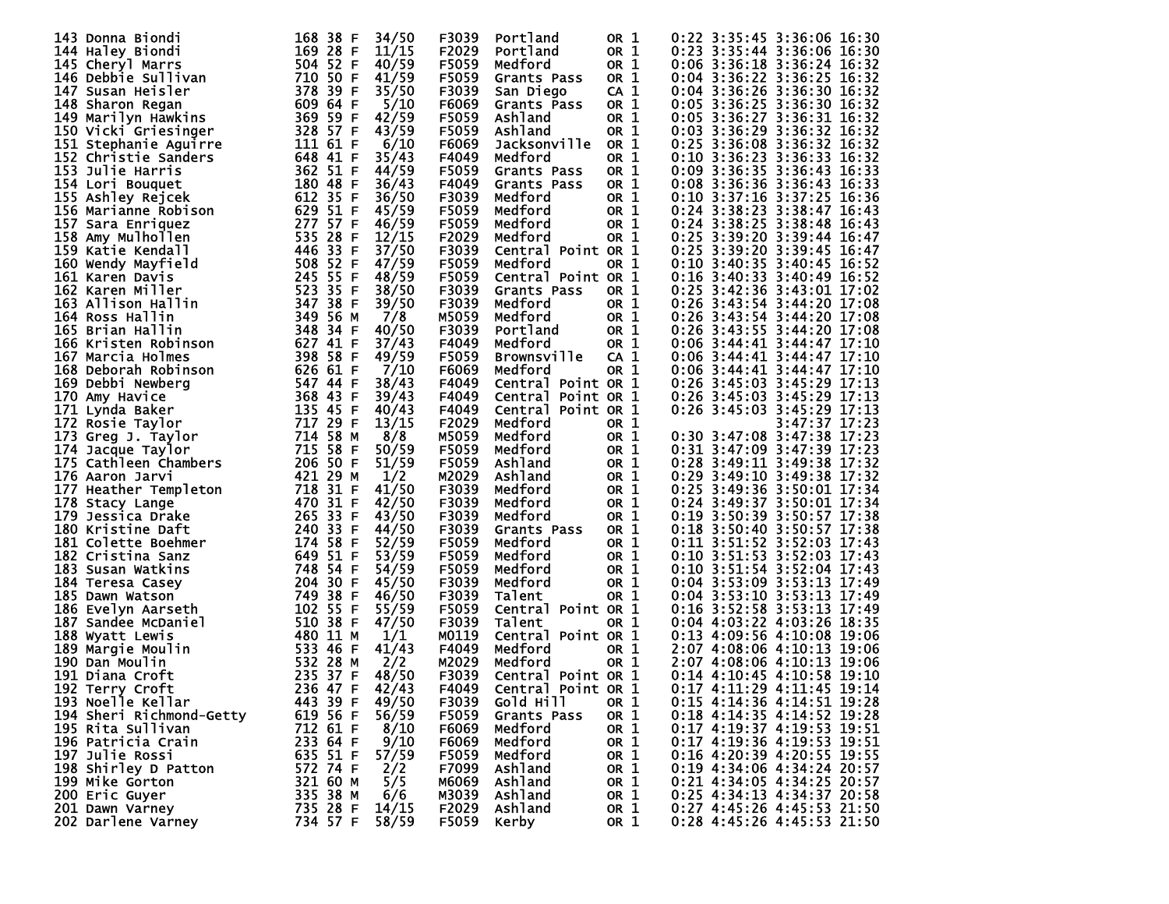| 143 Donna Biondi         | 168 38 F | 34/50 | F3039 | Portland              | OR 1            | 0:22 3:35:45 3:36:06 16:30   |
|--------------------------|----------|-------|-------|-----------------------|-----------------|------------------------------|
| 144 Haley Biondi         | 169 28 F | 11/15 | F2029 | Portland              | OR 1            | 0:23 3:35:44 3:36:06 16:30   |
| 145 Cheryl Marrs         | 504 52 F | 40/59 | F5059 | Medford               | OR 1            | 0:06 3:36:18 3:36:24 16:32   |
| 146 Debbie Sullivan      | 710 50 F | 41/59 | F5059 | Grants Pass           | OR 1            | 0:04 3:36:22 3:36:25 16:32   |
| 147 Susan Heisler        | 378 39 F | 35/50 | F3039 | San Diego             | CA <sub>1</sub> | 0:04 3:36:26 3:36:30 16:32   |
| 148 Sharon Regan         | 609 64 F | 5/10  | F6069 | Grants Pass           | OR 1            | 0:05 3:36:25 3:36:30 16:32   |
| 149 Marilyn Hawkins      | 369 59 F | 42/59 | F5059 | Ashland               | OR 1            | 0:05 3:36:27 3:36:31 16:32   |
|                          |          |       |       | Ashland               |                 | 0:03 3:36:29 3:36:32 16:32   |
| 150 Vicki Griesinger     | 328 57 F | 43/59 | F5059 |                       | OR 1            |                              |
| 151 Stephanie Aguirre    | 111 61 F | 6/10  | F6069 | Jacksonville          | OR 1            | 0:25 3:36:08 3:36:32 16:32   |
| 152 Christie Sanders     | 648 41 F | 35/43 | F4049 | Medford               | OR 1            | 0:10 3:36:23 3:36:33 16:32   |
| 153 Julie Harris         | 362 51 F | 44/59 | F5059 | Grants Pass           | OR 1            | 0:09 3:36:35 3:36:43 16:33   |
| 154 Lori Bouquet         | 180 48 F | 36/43 | F4049 | Grants Pass           | OR 1            | 0:08 3:36:36 3:36:43 16:33   |
| 155 Ashley Rejcek        | 612 35 F | 36/50 | F3039 | Medford               | OR 1            | 0:10 3:37:16 3:37:25 16:36   |
| 156 Marianne Robison     | 629 51 F | 45/59 | F5059 | Medford               | OR 1            | 0:24 3:38:23 3:38:47 16:43   |
| 157 Sara Enriquez        | 277 57 F | 46/59 | F5059 | Medford               | OR 1            | 0:24 3:38:25 3:38:48 16:43   |
| 158 Amy Mulhollen        | 535 28 F | 12/15 | F2029 | Medford               | OR 1            | 0:25 3:39:20 3:39:44 16:47   |
| 159 Katie Kendall        | 446 33 F | 37/50 | F3039 | Central Point OR 1    |                 | 0:25 3:39:20 3:39:45 16:47   |
| 160 Wendy Mayfield       | 508 52 F | 47/59 | F5059 | Medford               | OR 1            | 0:10 3:40:35 3:40:45 16:52   |
| 161 Karen Davis          | 245 55 F | 48/59 | F5059 | Central Point OR 1    |                 | 0:16 3:40:33 3:40:49 16:52   |
| 162 Karen Miller         | 523 35 F | 38/50 | F3039 | Grants Pass           | OR 1            | 0:25 3:42:36 3:43:01 17:02   |
| 163 Allison Hallin       | 347 38 F | 39/50 | F3039 | Medford               | OR 1            | 0:26 3:43:54 3:44:20 17:08   |
|                          | 349 56 M |       | M5059 | Medford               | OR 1            | 0:26 3:43:54 3:44:20 17:08   |
| 164 Ross Hallin          | 348 34 F | 7/8   | F3039 | Portland              |                 | 0:26 3:43:55 3:44:20 17:08   |
| 165 Brian Hallin         |          | 40/50 |       |                       | OR 1            |                              |
| 166 Kristen Robinson     | 627 41 F | 37/43 | F4049 | Medford               | OR 1            | $0:06$ 3:44:41 3:44:47 17:10 |
| 167 Marcia Holmes        | 398 58 F | 49/59 | F5059 | <b>Brownsville</b>    | CA <sub>1</sub> | 0:06 3:44:41 3:44:47 17:10   |
| 168 Deborah Robinson     | 626 61 F | 7/10  | F6069 | Medford               | OR 1            | $0:06$ 3:44:41 3:44:47 17:10 |
| 169 Debbi Newberg        | 547 44 F | 38/43 | F4049 | Central Point OR 1    |                 | 0:26 3:45:03 3:45:29 17:13   |
| 170 Amy Havice           | 368 43 F | 39/43 | F4049 | Central<br>Point OR 1 |                 | 0:26 3:45:03 3:45:29 17:13   |
| 171 Lynda Baker          | 135 45 F | 40/43 | F4049 | Central Point OR 1    |                 | 0:26 3:45:03 3:45:29 17:13   |
| 172 Rosie Taylor         | 717 29 F | 13/15 | F2029 | Medford               | OR 1            | 3:47:37 17:23                |
| 173 Greg J. Taylor       | 714 58 M | 8/8   | M5059 | Medford               | OR 1            | 0:30 3:47:08 3:47:38 17:23   |
| 174 Jacque Taylor        | 715 58 F | 50/59 | F5059 | Medford               | OR 1            | 0:31 3:47:09 3:47:39 17:23   |
| 175 Cathleen Chambers    | 206 50 F | 51/59 | F5059 | Ashland               | OR 1            | 0:28 3:49:11 3:49:38 17:32   |
| 176 Aaron Jarvi          | 421 29 M | 1/2   | M2029 | Ashland               | OR 1            | 0:29 3:49:10 3:49:38 17:32   |
| 177 Heather Templeton    | 718 31 F | 41/50 | F3039 | Medford               | OR 1            | 0:25 3:49:36 3:50:01 17:34   |
| 178 Stacy Lange          | 470 31 F | 42/50 | F3039 | Medford               | OR 1            | 0:24 3:49:37 3:50:01 17:34   |
| 179 Jessica Drake        | 265 33 F | 43/50 | F3039 | Medford               | OR 1            | 0:19 3:50:39 3:50:57 17:38   |
| 180 Kristine Daft        | 240 33 F | 44/50 | F3039 | Grants Pass           | OR 1            | 0:18 3:50:40 3:50:57 17:38   |
| 181 Colette Boehmer      | 174 58 F | 52/59 | F5059 | Medford               | OR 1            | 0:11 3:51:52 3:52:03 17:43   |
| 182 Cristina Sanz        | 649 51 F | 53/59 | F5059 | Medford               | OR 1            | 0:10 3:51:53 3:52:03 17:43   |
| 183 Susan Watkins        | 748 54 F | 54/59 | F5059 | Medford               | OR 1            | 0:10 3:51:54 3:52:04 17:43   |
|                          | 204 30 F | 45/50 | F3039 | Medford               |                 | 0:04 3:53:09 3:53:13 17:49   |
| 184 Teresa Casey         |          |       |       |                       | OR 1            | 0:04 3:53:10 3:53:13 17:49   |
| 185 Dawn Watson          | 749 38 F | 46/50 | F3039 | Talent                | OR 1            |                              |
| 186 Evelyn Aarseth       | 102 55 F | 55/59 | F5059 | Central Point OR 1    |                 | 0:16 3:52:58 3:53:13 17:49   |
| 187 Sandee McDaniel      | 510 38 F | 47/50 | F3039 | Talent                | OR 1            | 0:04 4:03:22 4:03:26 18:35   |
| 188 Wyatt Lewis          | 480 11 M | 1/1   | M0119 | Central Point OR 1    |                 | 0:13 4:09:56 4:10:08 19:06   |
| 189 Margie Moulin        | 533 46 F | 41/43 | F4049 | Medford               | OR 1            | 2:07 4:08:06 4:10:13 19:06   |
| 190 Dan Moulin           | 532 28 M | 2/2   | M2029 | Medford               | OR 1            | 2:07 4:08:06 4:10:13 19:06   |
| 191 Diana Croft          | 235 37 F | 48/50 | F3039 | Central Point OR 1    |                 | 0:14 4:10:45 4:10:58 19:10   |
| 192 Terry Croft          | 236 47 F | 42/43 | F4049 | Central Point OR 1    |                 | 0:17 4:11:29 4:11:45 19:14   |
| 193 Noelle Kellar        | 443 39 F | 49/50 | F3039 | Gold Hill             | OR 1            | 0:15 4:14:36 4:14:51 19:28   |
| 194 Sheri Richmond-Getty | 619 56 F | 56/59 | F5059 | Grants Pass           | OR 1            | 0:18 4:14:35 4:14:52 19:28   |
| 195 Rita Sullivan        | 712 61 F | 8/10  | F6069 | Medford               | OR 1            | 0:17 4:19:37 4:19:53 19:51   |
| 196 Patricia Crain       | 233 64 F | 9/10  | F6069 | Medford               | OR 1            | 0:17 4:19:36 4:19:53 19:51   |
| 197 Julie Rossi          | 635 51 F | 57/59 | F5059 | Medford               | OR 1            | 0:16 4:20:39 4:20:55 19:55   |
| 198 Shirley D Patton     | 572 74 F | 2/2   | F7099 | Ashland               | OR 1            | 0:19 4:34:06 4:34:24 20:57   |
| 199 Mike Gorton          | 321 60 M | 5/5   | м6069 | Ashland               | OR 1            | 0:21 4:34:05 4:34:25 20:57   |
| 200 Eric Guyer           | 335 38 M | 6/6   | M3039 | Ashland               | OR 1            | 0:25 4:34:13 4:34:37 20:58   |
| 201 Dawn Varney          | 735 28 F | 14/15 | F2029 | Ashland               | OR 1            | 0:27 4:45:26 4:45:53 21:50   |
| 202 Darlene Varney       | 734 57 F | 58/59 | F5059 | Kerby                 | OR 1            | 0:28 4:45:26 4:45:53 21:50   |
|                          |          |       |       |                       |                 |                              |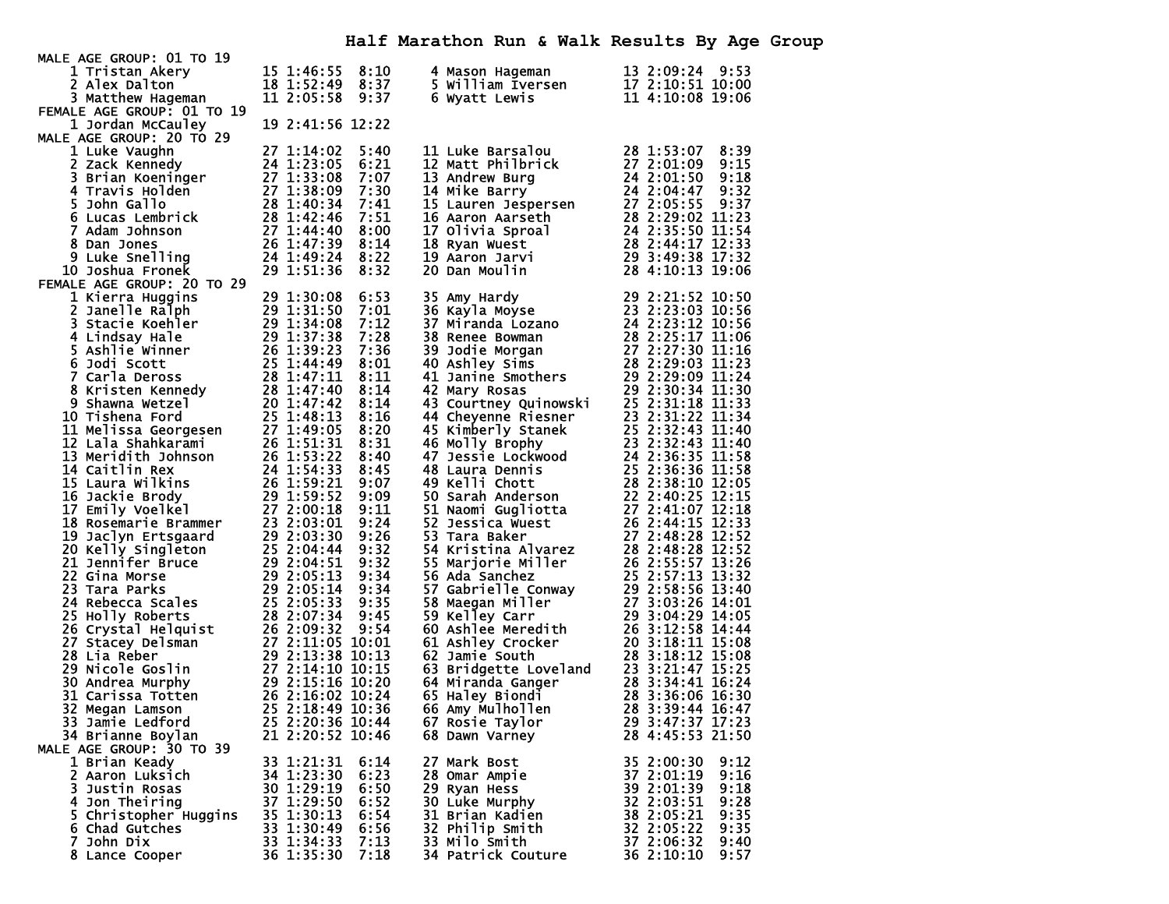| MALE AGE GROUP: 01 TO 19                                                                                                                                                                                                                                       |                  |      |                                                                                                                                                                                                                                                        |                    |
|----------------------------------------------------------------------------------------------------------------------------------------------------------------------------------------------------------------------------------------------------------------|------------------|------|--------------------------------------------------------------------------------------------------------------------------------------------------------------------------------------------------------------------------------------------------------|--------------------|
| 1 Tristan Akery                                                                                                                                                                                                                                                | 15 1:46:55       | 8:10 | 4 Mason Hageman<br>4 Mason Hageman<br>5 William Iversen<br>6 Wyatt Lewis                                                                                                                                                                               | 13 2:09:24 9:53    |
| 2 Alex Dalton                                                                                                                                                                                                                                                  | 18 1:52:49       | 8:37 |                                                                                                                                                                                                                                                        | 17 2:10:51 10:00   |
| 3 Matthew Hageman                                                                                                                                                                                                                                              | 11 2:05:58       | 9:37 |                                                                                                                                                                                                                                                        | 11 4:10:08 19:06   |
| FEMALE AGE GROUP: 01 TO 19                                                                                                                                                                                                                                     |                  |      |                                                                                                                                                                                                                                                        |                    |
| 1 Jordan McCauley                                                                                                                                                                                                                                              | 19 2:41:56 12:22 |      |                                                                                                                                                                                                                                                        |                    |
| MALE AGE GROUP: 20 TO 29                                                                                                                                                                                                                                       |                  |      |                                                                                                                                                                                                                                                        |                    |
| 27 1:14:02<br>27 1:14:02<br>27 1:14:02<br>27 1:14:02<br>27 1:33:05<br>3 Brian Koeninger<br>4 Travis Holden<br>5 John Gallo<br>5 John Gallo<br>6 Lucas Lembrick<br>7 Adam Johnson<br>8 Dan Johnson<br>27 1:38:09<br>27 1:38:09<br>27 1:38:09<br>27 1:38:09<br>2 |                  | 5:40 | 11 Luke Barsalou                                                                                                                                                                                                                                       | 28 1:53:07<br>8:39 |
|                                                                                                                                                                                                                                                                |                  | 6:21 | 11 Luke Barsalou<br>12 Matt Philbrick<br>13 Andrew Burg<br>13 Andrew Burg<br>14 Mike Barry<br>14 Mike Barry<br>15 Lauren Jespersen<br>24 2:01:50 9:18<br>16 Aaron Aarseth<br>28 2:29:02 11:23<br>16 Aaron Aarseth<br>28 2:29:02 11:23<br>17 Olivia Spr |                    |
|                                                                                                                                                                                                                                                                |                  | 7:07 |                                                                                                                                                                                                                                                        |                    |
|                                                                                                                                                                                                                                                                |                  | 7:30 |                                                                                                                                                                                                                                                        |                    |
|                                                                                                                                                                                                                                                                |                  |      |                                                                                                                                                                                                                                                        |                    |
|                                                                                                                                                                                                                                                                |                  | 7:41 |                                                                                                                                                                                                                                                        |                    |
|                                                                                                                                                                                                                                                                |                  | 7:51 |                                                                                                                                                                                                                                                        |                    |
|                                                                                                                                                                                                                                                                |                  | 8:00 |                                                                                                                                                                                                                                                        |                    |
|                                                                                                                                                                                                                                                                |                  | 8:14 |                                                                                                                                                                                                                                                        |                    |
|                                                                                                                                                                                                                                                                |                  | 8:22 |                                                                                                                                                                                                                                                        |                    |
| 10 Joshua Fronek                                                                                                                                                                                                                                               |                  | 8:32 |                                                                                                                                                                                                                                                        |                    |
| FEMALE AGE GROUP: 20 TO 29                                                                                                                                                                                                                                     |                  |      |                                                                                                                                                                                                                                                        |                    |
|                                                                                                                                                                                                                                                                |                  |      |                                                                                                                                                                                                                                                        |                    |
|                                                                                                                                                                                                                                                                |                  |      |                                                                                                                                                                                                                                                        |                    |
|                                                                                                                                                                                                                                                                |                  |      |                                                                                                                                                                                                                                                        |                    |
|                                                                                                                                                                                                                                                                |                  |      |                                                                                                                                                                                                                                                        |                    |
|                                                                                                                                                                                                                                                                |                  |      |                                                                                                                                                                                                                                                        |                    |
|                                                                                                                                                                                                                                                                |                  |      |                                                                                                                                                                                                                                                        |                    |
|                                                                                                                                                                                                                                                                |                  |      |                                                                                                                                                                                                                                                        |                    |
|                                                                                                                                                                                                                                                                |                  |      |                                                                                                                                                                                                                                                        |                    |
|                                                                                                                                                                                                                                                                |                  |      |                                                                                                                                                                                                                                                        |                    |
|                                                                                                                                                                                                                                                                |                  |      |                                                                                                                                                                                                                                                        |                    |
|                                                                                                                                                                                                                                                                |                  |      |                                                                                                                                                                                                                                                        |                    |
|                                                                                                                                                                                                                                                                |                  |      |                                                                                                                                                                                                                                                        |                    |
| 10 Josina Fronek<br>AALE AGE GROUP: 20 TO 29<br>1 xierra Huggins<br>29 1:31:30 8:53<br>2 1 xierra Huggins<br>29 1:31:50 8:53<br>3 Stacie Koehler<br>29 1:31:58 7:12<br>4 Lindsay Hale<br>4 Sashie Winner<br>20 1:37:38 7:28<br>5 Jodi Scott<br>26 1:33         |                  |      | 20 Dan Moulin 28 4:10:13 19:06<br>35 Amy Hardy 29 2:21:52 10:50<br>37 Amy Hardy 29 2:21:52 10:56<br>37 Miranda Lozano 24 2:23:12 112.56<br>37 Miranda Lozano 24 2:23:12 112.56<br>38 Renee Bowman 28 2:25:17 11:06<br>40 Ashley Sims 27 2:             |                    |
|                                                                                                                                                                                                                                                                |                  |      |                                                                                                                                                                                                                                                        |                    |
|                                                                                                                                                                                                                                                                |                  |      |                                                                                                                                                                                                                                                        |                    |
|                                                                                                                                                                                                                                                                |                  |      |                                                                                                                                                                                                                                                        |                    |
|                                                                                                                                                                                                                                                                |                  |      |                                                                                                                                                                                                                                                        |                    |
|                                                                                                                                                                                                                                                                |                  |      |                                                                                                                                                                                                                                                        |                    |
|                                                                                                                                                                                                                                                                |                  |      |                                                                                                                                                                                                                                                        |                    |
|                                                                                                                                                                                                                                                                |                  |      |                                                                                                                                                                                                                                                        |                    |
|                                                                                                                                                                                                                                                                |                  |      |                                                                                                                                                                                                                                                        |                    |
|                                                                                                                                                                                                                                                                |                  |      |                                                                                                                                                                                                                                                        |                    |
|                                                                                                                                                                                                                                                                |                  |      |                                                                                                                                                                                                                                                        |                    |
|                                                                                                                                                                                                                                                                |                  |      |                                                                                                                                                                                                                                                        |                    |
|                                                                                                                                                                                                                                                                |                  |      |                                                                                                                                                                                                                                                        |                    |
|                                                                                                                                                                                                                                                                |                  |      |                                                                                                                                                                                                                                                        |                    |
|                                                                                                                                                                                                                                                                |                  |      |                                                                                                                                                                                                                                                        |                    |
|                                                                                                                                                                                                                                                                |                  |      |                                                                                                                                                                                                                                                        |                    |
|                                                                                                                                                                                                                                                                |                  |      |                                                                                                                                                                                                                                                        |                    |
|                                                                                                                                                                                                                                                                |                  |      |                                                                                                                                                                                                                                                        |                    |
|                                                                                                                                                                                                                                                                |                  |      |                                                                                                                                                                                                                                                        |                    |
|                                                                                                                                                                                                                                                                |                  |      |                                                                                                                                                                                                                                                        |                    |
|                                                                                                                                                                                                                                                                |                  |      |                                                                                                                                                                                                                                                        |                    |
|                                                                                                                                                                                                                                                                |                  |      |                                                                                                                                                                                                                                                        |                    |
| 33 Jamie Ledford                                                                                                                                                                                                                                               | 25 2:20:36 10:44 |      | 67 Rosie Taylor                                                                                                                                                                                                                                        | 29 3:47:37 17:23   |
| 34 Brianne Boylan                                                                                                                                                                                                                                              | 21 2:20:52 10:46 |      | 68 Dawn Varney                                                                                                                                                                                                                                         | 28 4:45:53 21:50   |
| MALE AGE GROUP: 30 TO 39                                                                                                                                                                                                                                       |                  |      |                                                                                                                                                                                                                                                        |                    |
| 1 Brian Keady                                                                                                                                                                                                                                                  | 33 1:21:31       | 6:14 | 27 Mark Bost                                                                                                                                                                                                                                           | 35 2:00:30<br>9:12 |
| 2 Aaron Luksich                                                                                                                                                                                                                                                | 34 1:23:30       | 6:23 | 28 Omar Ampie                                                                                                                                                                                                                                          | 9:16<br>37 2:01:19 |
| Justin Rosas                                                                                                                                                                                                                                                   | 30 1:29:19       | 6:50 |                                                                                                                                                                                                                                                        | 9:18               |
| 3.                                                                                                                                                                                                                                                             |                  |      | 29 Ryan Hess                                                                                                                                                                                                                                           | 39 2:01:39         |
| 4 Jon Theiring                                                                                                                                                                                                                                                 | 37 1:29:50       | 6:52 | 30 Luke Murphy                                                                                                                                                                                                                                         | 32 2:03:51<br>9:28 |
| 5 Christopher Huggins                                                                                                                                                                                                                                          | 35 1:30:13       | 6:54 | 31 Brian Kadien                                                                                                                                                                                                                                        | 38 2:05:21<br>9:35 |
| 6 Chad Gutches                                                                                                                                                                                                                                                 | 33 1:30:49       | 6:56 | 32 Philip Smith                                                                                                                                                                                                                                        | 32 2:05:22<br>9:35 |
| 7 John Dix                                                                                                                                                                                                                                                     | 33 1:34:33       | 7:13 | 33 Milo Smith                                                                                                                                                                                                                                          | 9:40<br>37 2:06:32 |
| 8 Lance Cooper                                                                                                                                                                                                                                                 | 36 1:35:30       | 7:18 | 34 Patrick Couture                                                                                                                                                                                                                                     | 36 2:10:10<br>9:57 |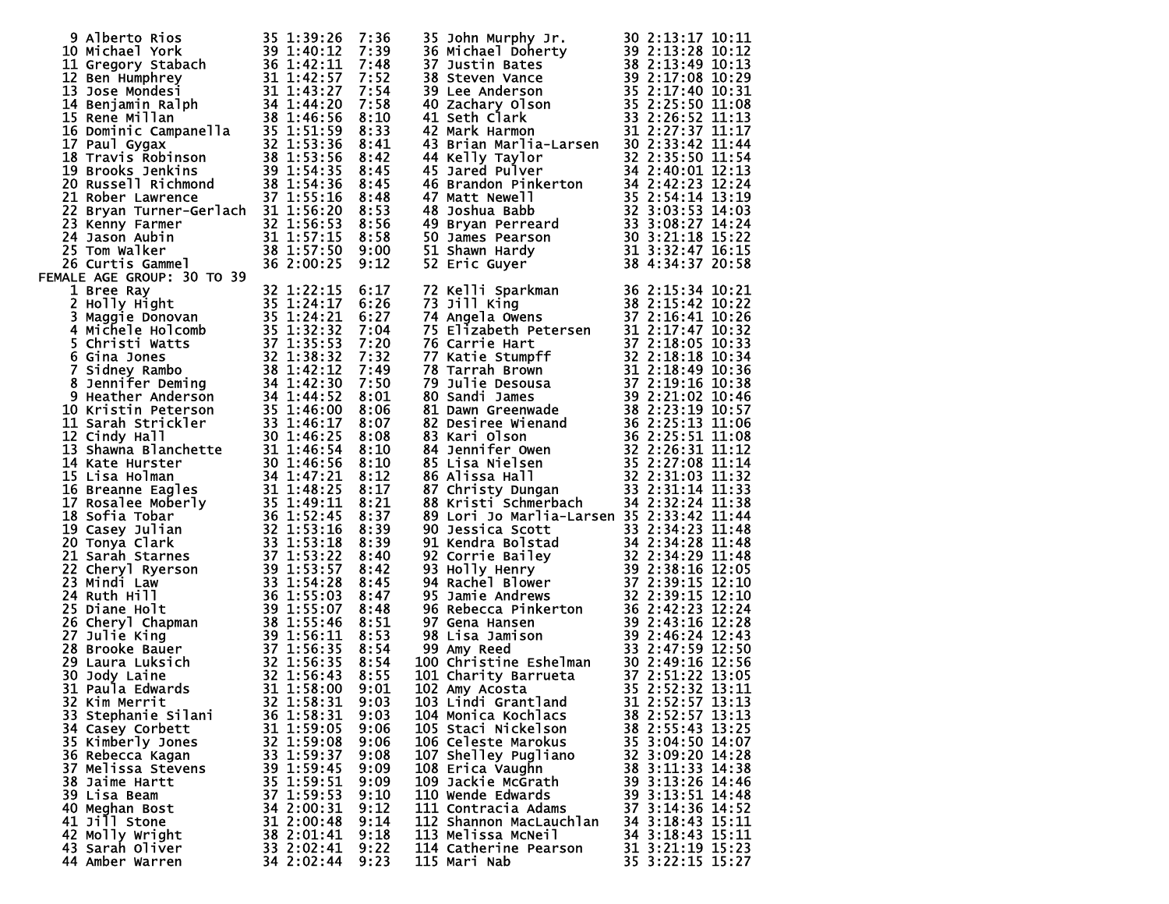| 9 Alberto Rios 35 1:39:26 7:36<br>10 Michael York 39 1:40:12 7:39<br>11 Gregory Stabach 36 1:42:11 7:48<br>12 Ben Humphrey 31 1:42:57 7:52<br>13 Jose Mondesi 31 1:42:57 7:55<br>14 Benjamin Ralph 34 1:44:20 7:58<br>15 Rene Millan 38 1:                                               |                          | 7:48<br>7:52<br>7:54 | 35 John Murphy Jr. 30 2:13:17 10:11<br>36 Michael Doherty 39 2:13:17 10:11<br>37 Justin Bates 38 2:13:28 10:12<br>37 Justin Bates 38 2:13:49 10:13<br>38 Lee Anderson<br>35 2:17:08 10:33<br>40 Zachary Olson<br>41 Seth Clark 33 2:25:50 11           |                                      |
|------------------------------------------------------------------------------------------------------------------------------------------------------------------------------------------------------------------------------------------------------------------------------------------|--------------------------|----------------------|--------------------------------------------------------------------------------------------------------------------------------------------------------------------------------------------------------------------------------------------------------|--------------------------------------|
|                                                                                                                                                                                                                                                                                          |                          | 7:58                 |                                                                                                                                                                                                                                                        |                                      |
|                                                                                                                                                                                                                                                                                          |                          |                      |                                                                                                                                                                                                                                                        |                                      |
|                                                                                                                                                                                                                                                                                          |                          |                      |                                                                                                                                                                                                                                                        |                                      |
|                                                                                                                                                                                                                                                                                          |                          |                      |                                                                                                                                                                                                                                                        |                                      |
|                                                                                                                                                                                                                                                                                          |                          |                      |                                                                                                                                                                                                                                                        |                                      |
|                                                                                                                                                                                                                                                                                          |                          |                      |                                                                                                                                                                                                                                                        |                                      |
|                                                                                                                                                                                                                                                                                          |                          | 8:58                 |                                                                                                                                                                                                                                                        |                                      |
|                                                                                                                                                                                                                                                                                          |                          | 9:00                 |                                                                                                                                                                                                                                                        |                                      |
| FEMALE AGE GROUP: 30 TO 39<br>26 Curtis Gammel<br>18 AGE GROUP: 30 TO 39<br>18 Thee Ray<br>2 Holly Hight<br>36 2:00:25<br>18 Thee Ray<br>2 Holly Hight<br>4 Michele Holcomb<br>35 1:24:17<br>4 Michele Holcomb<br>35 1:32:32<br>5 Crina Jones<br>6 Sidney Rambo<br>38 1:42:32<br>6 Grina |                          |                      |                                                                                                                                                                                                                                                        |                                      |
|                                                                                                                                                                                                                                                                                          |                          | 6:17                 | 72 Kelli Sparkman<br>73 Jill King<br>73 Jill King<br>74 Angela Owens<br>75 Blizabeth Petersen<br>76 Carrie Hart<br>76 Carrie Hart<br>77 Katie Stumpff<br>77 Katie Stumpff<br>77 Xatie Stumpff<br>78 Tarrah Brown<br>78 Tarrah Brown<br>79 Julie Desous |                                      |
|                                                                                                                                                                                                                                                                                          |                          | 6:26<br>6:27         |                                                                                                                                                                                                                                                        |                                      |
|                                                                                                                                                                                                                                                                                          |                          | 7:04                 |                                                                                                                                                                                                                                                        |                                      |
|                                                                                                                                                                                                                                                                                          |                          | 7:20<br>7:32         |                                                                                                                                                                                                                                                        |                                      |
|                                                                                                                                                                                                                                                                                          |                          | 7:49                 |                                                                                                                                                                                                                                                        |                                      |
|                                                                                                                                                                                                                                                                                          |                          | 7:50<br>8:01         |                                                                                                                                                                                                                                                        |                                      |
|                                                                                                                                                                                                                                                                                          |                          | 8:06                 |                                                                                                                                                                                                                                                        |                                      |
|                                                                                                                                                                                                                                                                                          |                          | 8:07<br>8:08         |                                                                                                                                                                                                                                                        |                                      |
|                                                                                                                                                                                                                                                                                          |                          | 8:10                 |                                                                                                                                                                                                                                                        |                                      |
|                                                                                                                                                                                                                                                                                          |                          | 8:10<br>8:12         |                                                                                                                                                                                                                                                        |                                      |
|                                                                                                                                                                                                                                                                                          |                          | 8:17                 |                                                                                                                                                                                                                                                        |                                      |
|                                                                                                                                                                                                                                                                                          |                          | 8:21                 |                                                                                                                                                                                                                                                        |                                      |
|                                                                                                                                                                                                                                                                                          |                          | 8:37<br>8:39         | 89 Lori Jo Marlia-Larsen 35 2:33:42 11:44                                                                                                                                                                                                              |                                      |
|                                                                                                                                                                                                                                                                                          |                          | 8:39                 |                                                                                                                                                                                                                                                        |                                      |
|                                                                                                                                                                                                                                                                                          |                          | 8:40<br>8:42         |                                                                                                                                                                                                                                                        |                                      |
|                                                                                                                                                                                                                                                                                          |                          | 8:45                 |                                                                                                                                                                                                                                                        |                                      |
|                                                                                                                                                                                                                                                                                          |                          | 8:47<br>8:48         |                                                                                                                                                                                                                                                        |                                      |
|                                                                                                                                                                                                                                                                                          |                          | 8:51                 |                                                                                                                                                                                                                                                        |                                      |
|                                                                                                                                                                                                                                                                                          |                          | 8:53<br>8:54         |                                                                                                                                                                                                                                                        |                                      |
|                                                                                                                                                                                                                                                                                          |                          | 8:54                 |                                                                                                                                                                                                                                                        |                                      |
|                                                                                                                                                                                                                                                                                          |                          | 8:55<br>9:01         | 89 Lori Jo Marlia-Larsen 35 2:33:42 11:44<br>90 Jessica Scott 33 2:34:23 11:48<br>91 Kendra Bolstad 34 2:34:28 11:48<br>92 Corrie Bailey 32 2:34:29 11:48<br>92 Corrie Bailey 32 2:34:29 11:48<br>93 2:34:29 11:48<br>93 2:38:16 12:10<br>95           |                                      |
| 32 Kim Merrit                                                                                                                                                                                                                                                                            | 32 1:58:31               | 9:03                 | 103 Lindi Grantland                                                                                                                                                                                                                                    | 31 2:52:57 13:13                     |
| 33 Stephanie Silani<br>34 Casey Corbett                                                                                                                                                                                                                                                  | 36 1:58:31<br>31 1:59:05 | 9:03<br>9:06         | 104 Monica Kochlacs<br>105 Staci Nickelson                                                                                                                                                                                                             | 38 2:52:57 13:13<br>38 2:55:43 13:25 |
| 35 Kimberly Jones                                                                                                                                                                                                                                                                        | 32 1:59:08               | 9:06                 | 106 Celeste Marokus                                                                                                                                                                                                                                    | 35 3:04:50 14:07                     |
| 36 Rebecca Kagan                                                                                                                                                                                                                                                                         | 33 1:59:37<br>39 1:59:45 | 9:08<br>9:09         | 107 Shelley Pugliano                                                                                                                                                                                                                                   | 32 3:09:20 14:28<br>38 3:11:33 14:38 |
| 37 Melissa Stevens<br>38 Jaime Hartt                                                                                                                                                                                                                                                     | 35 1:59:51               | 9:09                 | 108 Erica Vaughn<br>109 Jackie McGrath                                                                                                                                                                                                                 | 39 3:13:26 14:46                     |
| 39 Lisa Beam                                                                                                                                                                                                                                                                             | 37 1:59:53               | 9:10                 | 110 Wende Edwards                                                                                                                                                                                                                                      | 39 3:13:51 14:48                     |
| 40 Meghan Bost<br>41 Jill Stone                                                                                                                                                                                                                                                          | 34 2:00:31<br>31 2:00:48 | 9:12<br>9:14         | 111 Contracia Adams<br>112 Shannon MacLauchlan                                                                                                                                                                                                         | 37 3:14:36 14:52<br>34 3:18:43 15:11 |
| 42 Molly Wright                                                                                                                                                                                                                                                                          | 38 2:01:41               | 9:18                 | 113 Melissa McNeil                                                                                                                                                                                                                                     | 34 3:18:43 15:11                     |
| 43 Sarah Oliver<br>44 Amber Warren                                                                                                                                                                                                                                                       | 33 2:02:41<br>34 2:02:44 | 9:22<br>9:23         | 114 Catherine Pearson<br>115 Mari Nab                                                                                                                                                                                                                  | 31 3:21:19 15:23<br>35 3:22:15 15:27 |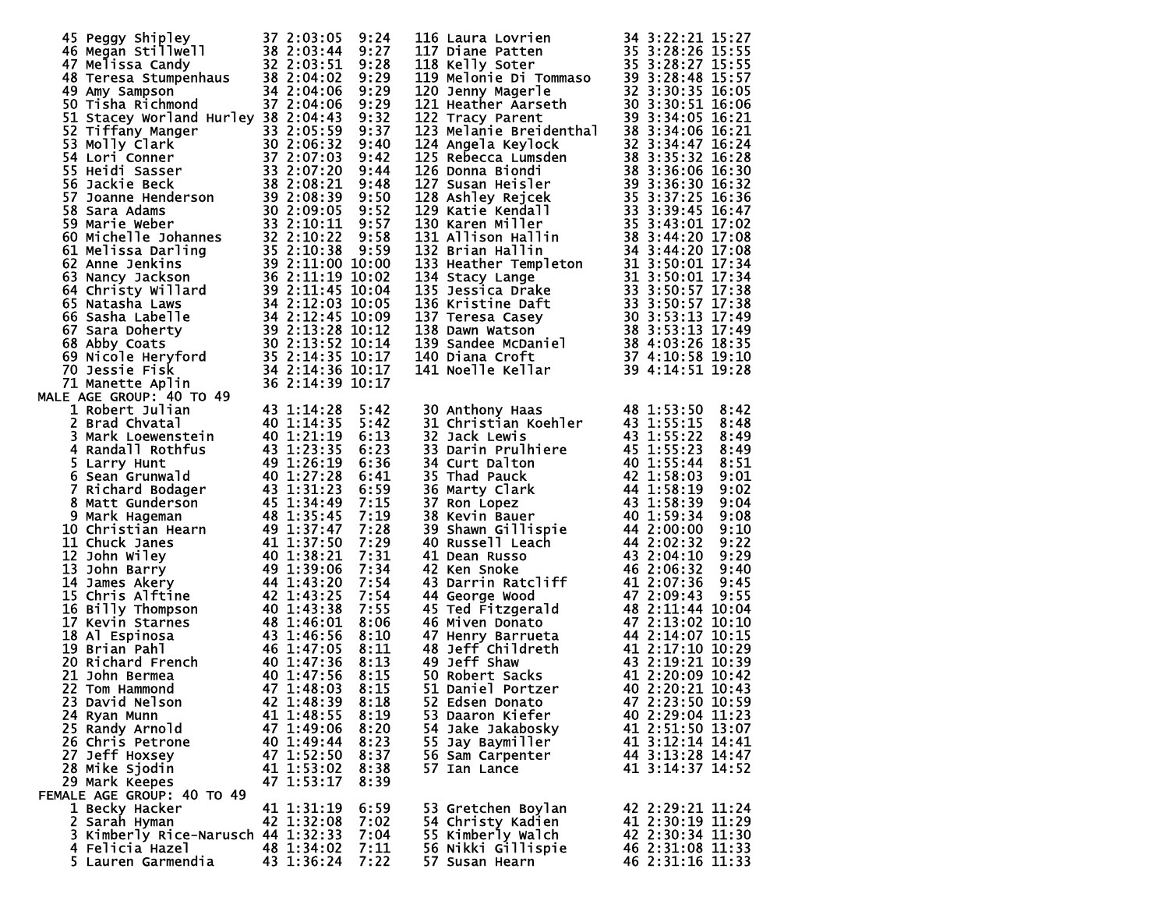| 45 Peggy Shipley 37 2:03:05 9:24<br>46 Megan Stillwell 38 2:03:44 9:27<br>47 Melissa Candy 32 2:03:51 9:28<br>48 Teresa Stumpenhaus 38 2:04:02 9:29<br>49 Amy Sampson 34 2:04:06 9:29<br>50 Tisha Richmond 37 2:04:06 9:29<br>51 Stacey Worland        |            |      |                                                                                                                                                                                                                                                        |                  |
|--------------------------------------------------------------------------------------------------------------------------------------------------------------------------------------------------------------------------------------------------------|------------|------|--------------------------------------------------------------------------------------------------------------------------------------------------------------------------------------------------------------------------------------------------------|------------------|
|                                                                                                                                                                                                                                                        |            |      |                                                                                                                                                                                                                                                        |                  |
|                                                                                                                                                                                                                                                        |            |      |                                                                                                                                                                                                                                                        |                  |
|                                                                                                                                                                                                                                                        |            |      |                                                                                                                                                                                                                                                        |                  |
| 31 Stacey Worland Hurley 38 2:04:43 9:32<br>52 Tiffany Manger<br>53 Molly Clark<br>53 Molly Clark<br>53 Molly Clark<br>53 Molly Clark<br>53 Sackie Beck<br>54 Stackie Beck<br>57 Joanne Henderson<br>32 2:07:20 9:44<br>56 Jackie Beck<br>38 2:07:20   |            |      | 116 Laura Lovrien<br>117 Diane Patten<br>117 Nelly Soter<br>117 Nelly Soter<br>118 Kelly Soter<br>118 Nelly Soter<br>120 Jenny Magerle<br>120 Jenny Magerle<br>120 Jenny Magerle<br>122 Tracy Parent<br>122 Tracy Parent<br>122 Tracy Parent<br>122 Tr |                  |
|                                                                                                                                                                                                                                                        |            |      |                                                                                                                                                                                                                                                        |                  |
|                                                                                                                                                                                                                                                        |            |      |                                                                                                                                                                                                                                                        |                  |
|                                                                                                                                                                                                                                                        |            |      |                                                                                                                                                                                                                                                        |                  |
|                                                                                                                                                                                                                                                        |            |      |                                                                                                                                                                                                                                                        |                  |
|                                                                                                                                                                                                                                                        |            |      |                                                                                                                                                                                                                                                        |                  |
|                                                                                                                                                                                                                                                        |            |      |                                                                                                                                                                                                                                                        |                  |
|                                                                                                                                                                                                                                                        |            |      |                                                                                                                                                                                                                                                        |                  |
|                                                                                                                                                                                                                                                        |            |      |                                                                                                                                                                                                                                                        |                  |
|                                                                                                                                                                                                                                                        |            |      |                                                                                                                                                                                                                                                        |                  |
|                                                                                                                                                                                                                                                        |            |      |                                                                                                                                                                                                                                                        |                  |
|                                                                                                                                                                                                                                                        |            |      |                                                                                                                                                                                                                                                        |                  |
|                                                                                                                                                                                                                                                        |            |      |                                                                                                                                                                                                                                                        |                  |
|                                                                                                                                                                                                                                                        |            |      |                                                                                                                                                                                                                                                        |                  |
|                                                                                                                                                                                                                                                        |            |      |                                                                                                                                                                                                                                                        |                  |
|                                                                                                                                                                                                                                                        |            |      |                                                                                                                                                                                                                                                        |                  |
|                                                                                                                                                                                                                                                        |            |      |                                                                                                                                                                                                                                                        |                  |
|                                                                                                                                                                                                                                                        |            |      |                                                                                                                                                                                                                                                        |                  |
|                                                                                                                                                                                                                                                        |            |      |                                                                                                                                                                                                                                                        |                  |
|                                                                                                                                                                                                                                                        |            |      |                                                                                                                                                                                                                                                        |                  |
|                                                                                                                                                                                                                                                        |            |      |                                                                                                                                                                                                                                                        |                  |
|                                                                                                                                                                                                                                                        |            |      |                                                                                                                                                                                                                                                        |                  |
| 14 Marette AGE GROUP: 40 TO 49<br>16 AGE GROUP: 40 TO 49<br>16 AGE GROUP: 40 TO 49<br>17 A3 1:14:28<br>28 Brad Chvatal<br>40 1:21:19<br>4 Randall Rothfus<br>40 1:22:19<br>4 Randall Rothfus<br>40 1:22:19<br>5 Larry Hunt<br>6 Sean Grunwald<br>40 1: |            |      | 30 Anthony Haas<br>31 Christian Koehler<br>48 1:53:50 8:42<br>31 Christian Koehler<br>43 1:55:15 8:48<br>32 Jack Lewis<br>43 1:55:22 8:49<br>33 Darin Prullhiere<br>45 1:55:23 8:49<br>34 Curt Dalton<br>40 1:55:44 8:51<br>35 Thad Pauck<br>42 1:58:3 |                  |
|                                                                                                                                                                                                                                                        |            | 5:42 |                                                                                                                                                                                                                                                        |                  |
|                                                                                                                                                                                                                                                        |            | 5:42 |                                                                                                                                                                                                                                                        |                  |
|                                                                                                                                                                                                                                                        |            | 6:13 |                                                                                                                                                                                                                                                        |                  |
|                                                                                                                                                                                                                                                        |            | 6:23 |                                                                                                                                                                                                                                                        |                  |
|                                                                                                                                                                                                                                                        |            | 6:36 |                                                                                                                                                                                                                                                        |                  |
|                                                                                                                                                                                                                                                        |            | 6:41 |                                                                                                                                                                                                                                                        |                  |
|                                                                                                                                                                                                                                                        |            | 6:59 |                                                                                                                                                                                                                                                        |                  |
|                                                                                                                                                                                                                                                        |            |      |                                                                                                                                                                                                                                                        |                  |
|                                                                                                                                                                                                                                                        |            | 7:15 |                                                                                                                                                                                                                                                        |                  |
|                                                                                                                                                                                                                                                        |            | 7:19 |                                                                                                                                                                                                                                                        |                  |
|                                                                                                                                                                                                                                                        |            | 7:28 |                                                                                                                                                                                                                                                        |                  |
|                                                                                                                                                                                                                                                        |            | 7:29 |                                                                                                                                                                                                                                                        |                  |
|                                                                                                                                                                                                                                                        |            | 7:31 |                                                                                                                                                                                                                                                        |                  |
|                                                                                                                                                                                                                                                        |            | 7:34 |                                                                                                                                                                                                                                                        |                  |
|                                                                                                                                                                                                                                                        |            | 7:54 |                                                                                                                                                                                                                                                        |                  |
|                                                                                                                                                                                                                                                        |            |      |                                                                                                                                                                                                                                                        |                  |
|                                                                                                                                                                                                                                                        |            | 7:54 |                                                                                                                                                                                                                                                        |                  |
|                                                                                                                                                                                                                                                        |            | 7:55 |                                                                                                                                                                                                                                                        |                  |
|                                                                                                                                                                                                                                                        |            | 8:06 |                                                                                                                                                                                                                                                        |                  |
|                                                                                                                                                                                                                                                        |            | 8:10 |                                                                                                                                                                                                                                                        |                  |
|                                                                                                                                                                                                                                                        |            | 8:11 |                                                                                                                                                                                                                                                        |                  |
|                                                                                                                                                                                                                                                        |            | 8:13 |                                                                                                                                                                                                                                                        |                  |
|                                                                                                                                                                                                                                                        |            |      |                                                                                                                                                                                                                                                        |                  |
|                                                                                                                                                                                                                                                        |            | 8:15 |                                                                                                                                                                                                                                                        |                  |
| 22 Tom Hammond 47 1:48:03                                                                                                                                                                                                                              |            | 8:15 |                                                                                                                                                                                                                                                        |                  |
| 23 David Nelson                                                                                                                                                                                                                                        | 42 1:48:39 | 8:18 | 52 Edsen Donato                                                                                                                                                                                                                                        | 47 2:23:50 10:59 |
| 24 Ryan Munn                                                                                                                                                                                                                                           | 41 1:48:55 | 8:19 | 53 Daaron Kiefer                                                                                                                                                                                                                                       | 40 2:29:04 11:23 |
| 25 Randy Arnold                                                                                                                                                                                                                                        | 47 1:49:06 | 8:20 | 54 Jake Jakabosky                                                                                                                                                                                                                                      | 41 2:51:50 13:07 |
| 26 Chris Petrone                                                                                                                                                                                                                                       | 40 1:49:44 | 8:23 | 55 Jay Baymiller                                                                                                                                                                                                                                       | 41 3:12:14 14:41 |
| 27 Jeff Hoxsey                                                                                                                                                                                                                                         | 47 1:52:50 | 8:37 |                                                                                                                                                                                                                                                        | 44 3:13:28 14:47 |
|                                                                                                                                                                                                                                                        |            |      | 56 Sam Carpenter                                                                                                                                                                                                                                       |                  |
| 28 Mike Sjodin                                                                                                                                                                                                                                         | 41 1:53:02 | 8:38 | 57 Ian Lance                                                                                                                                                                                                                                           | 41 3:14:37 14:52 |
| 29 Mark Keepes                                                                                                                                                                                                                                         | 47 1:53:17 | 8:39 |                                                                                                                                                                                                                                                        |                  |
| FEMALE AGE GROUP: 40 TO 49                                                                                                                                                                                                                             |            |      |                                                                                                                                                                                                                                                        |                  |
| 1 Becky Hacker                                                                                                                                                                                                                                         | 41 1:31:19 | 6:59 | 53 Gretchen Boylan                                                                                                                                                                                                                                     | 42 2:29:21 11:24 |
| 2 Sarah Hyman                                                                                                                                                                                                                                          | 42 1:32:08 | 7:02 | 54 Christy Kadien                                                                                                                                                                                                                                      | 41 2:30:19 11:29 |
| 3 Kimberly Rice-Narusch 44 1:32:33                                                                                                                                                                                                                     |            | 7:04 | 55 Kimberly Walch                                                                                                                                                                                                                                      | 42 2:30:34 11:30 |
|                                                                                                                                                                                                                                                        |            |      |                                                                                                                                                                                                                                                        | 46 2:31:08 11:33 |
| 4 Felicia Hazel                                                                                                                                                                                                                                        | 48 1:34:02 | 7:11 | 56 Nikki Gillispie                                                                                                                                                                                                                                     |                  |
| 5 Lauren Garmendia 43 1:36:24 7:22                                                                                                                                                                                                                     |            |      | 57 Susan Hearn 46 2:31:16 11:33                                                                                                                                                                                                                        |                  |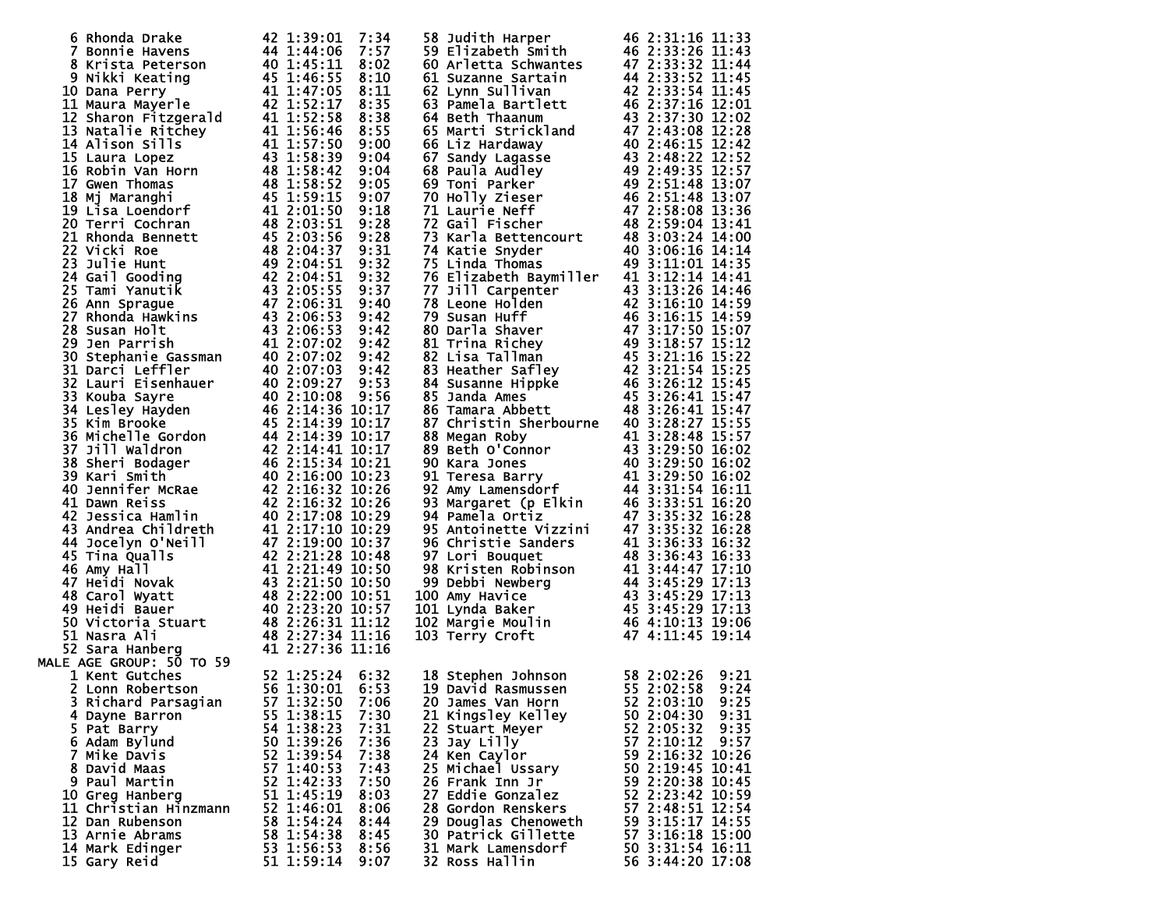| 6 Rhonda Drake                                                                                                                                                                                                                                                                                                                            | 42 1:39:01             | 7:34 | 58 Judith Harper                                                                                                                                                                                                                                                   | 46 2:31:16 11:33   |
|-------------------------------------------------------------------------------------------------------------------------------------------------------------------------------------------------------------------------------------------------------------------------------------------------------------------------------------------|------------------------|------|--------------------------------------------------------------------------------------------------------------------------------------------------------------------------------------------------------------------------------------------------------------------|--------------------|
| 7 Bonnie Havens<br>7 Bonnie Havens<br>8 Krista Peterson<br>9 Nikki Keating<br>9 Nikki Keating<br>9 Nikki Keating<br>40 1:45:11<br>9 Nikki Keating<br>40 1:45:11<br>10 Dana Perry<br>41 1:47:05<br>11 Maura Mayerle<br>42 1:58:546<br>14 Alison Sills<br>41 1:52:58<br>13 Nata                                                             | $44\overline{1:}44:06$ | 7:57 |                                                                                                                                                                                                                                                                    |                    |
|                                                                                                                                                                                                                                                                                                                                           |                        |      |                                                                                                                                                                                                                                                                    |                    |
|                                                                                                                                                                                                                                                                                                                                           |                        | 8:02 | 59 Elizabeth Smith<br>60 Arletta Schwantes<br>61 Suzanne Sartain<br>62 Lynn Sullivan<br>63 Pamela Bartlett<br>64 Beth Thaanum<br>65 Marti Strickland<br>66 Liz Hardaway<br>67 Sandy Lagasse<br>68 Paula Audley<br>69 Toni Parker<br>70 Holly Zieser<br>70 Holly Zi | 47 2:33:32 11:44   |
|                                                                                                                                                                                                                                                                                                                                           |                        | 8:10 |                                                                                                                                                                                                                                                                    | 44 2:33:52 11:45   |
|                                                                                                                                                                                                                                                                                                                                           |                        |      |                                                                                                                                                                                                                                                                    |                    |
|                                                                                                                                                                                                                                                                                                                                           |                        | 8:11 |                                                                                                                                                                                                                                                                    | 42 2:33:54 11:45   |
|                                                                                                                                                                                                                                                                                                                                           |                        | 8:35 |                                                                                                                                                                                                                                                                    | 46 2:37:16 12:01   |
|                                                                                                                                                                                                                                                                                                                                           |                        | 8:38 |                                                                                                                                                                                                                                                                    | 43 2:37:30 12:02   |
|                                                                                                                                                                                                                                                                                                                                           |                        |      |                                                                                                                                                                                                                                                                    |                    |
|                                                                                                                                                                                                                                                                                                                                           |                        | 8:55 |                                                                                                                                                                                                                                                                    | 47 2:43:08 12:28   |
|                                                                                                                                                                                                                                                                                                                                           |                        | 9:00 |                                                                                                                                                                                                                                                                    | 40 2:46:15 12:42   |
|                                                                                                                                                                                                                                                                                                                                           |                        |      |                                                                                                                                                                                                                                                                    |                    |
|                                                                                                                                                                                                                                                                                                                                           |                        | 9:04 |                                                                                                                                                                                                                                                                    | 43 2:48:22 12:52   |
|                                                                                                                                                                                                                                                                                                                                           |                        | 9:04 |                                                                                                                                                                                                                                                                    | 49 2:49:35 12:57   |
|                                                                                                                                                                                                                                                                                                                                           |                        |      |                                                                                                                                                                                                                                                                    |                    |
|                                                                                                                                                                                                                                                                                                                                           |                        | 9:05 |                                                                                                                                                                                                                                                                    | 49 2:51:48 13:07   |
|                                                                                                                                                                                                                                                                                                                                           |                        | 9:07 |                                                                                                                                                                                                                                                                    | 46 2:51:48 13:07   |
|                                                                                                                                                                                                                                                                                                                                           |                        | 9:18 |                                                                                                                                                                                                                                                                    | 47 2:58:08 13:36   |
|                                                                                                                                                                                                                                                                                                                                           |                        |      | 71 Laurie Neff<br>72 Gail Fischer<br>73 Karla Bettencourt<br>74 Katie Snyder<br>74 Katie Snyder                                                                                                                                                                    |                    |
|                                                                                                                                                                                                                                                                                                                                           |                        | 9:28 |                                                                                                                                                                                                                                                                    | 48 2:59:04 13:41   |
|                                                                                                                                                                                                                                                                                                                                           |                        | 9:28 |                                                                                                                                                                                                                                                                    | 48 3:03:24 14:00   |
|                                                                                                                                                                                                                                                                                                                                           |                        |      |                                                                                                                                                                                                                                                                    |                    |
|                                                                                                                                                                                                                                                                                                                                           |                        | 9:31 |                                                                                                                                                                                                                                                                    | 40 3:06:16 14:14   |
|                                                                                                                                                                                                                                                                                                                                           |                        | 9:32 |                                                                                                                                                                                                                                                                    | 49 3:11:01 14:35   |
|                                                                                                                                                                                                                                                                                                                                           |                        | 9:32 | 76 Elizabeth Baymiller                                                                                                                                                                                                                                             | 41 3:12:14 14:41   |
|                                                                                                                                                                                                                                                                                                                                           |                        |      |                                                                                                                                                                                                                                                                    |                    |
|                                                                                                                                                                                                                                                                                                                                           |                        | 9:37 |                                                                                                                                                                                                                                                                    |                    |
|                                                                                                                                                                                                                                                                                                                                           |                        | 9:40 |                                                                                                                                                                                                                                                                    |                    |
|                                                                                                                                                                                                                                                                                                                                           |                        |      | 77 Jill Carpenter<br>77 Jill Carpenter<br>77 Jill Carpenter<br>43 3:13:26 14:46<br>79 Susan Huff<br>46 3:16:15 14:59<br>80 Darla Shaver<br>47 3:17:50 15:07<br>81 Trina Richey<br>47 3:17:50 15:07<br>81 Trina Richey<br>49 3:18:57 15:12<br>82 Lisa T             |                    |
|                                                                                                                                                                                                                                                                                                                                           |                        | 9:42 |                                                                                                                                                                                                                                                                    |                    |
|                                                                                                                                                                                                                                                                                                                                           |                        | 9:42 |                                                                                                                                                                                                                                                                    |                    |
|                                                                                                                                                                                                                                                                                                                                           |                        | 9:42 |                                                                                                                                                                                                                                                                    |                    |
|                                                                                                                                                                                                                                                                                                                                           |                        |      |                                                                                                                                                                                                                                                                    |                    |
|                                                                                                                                                                                                                                                                                                                                           |                        | 9:42 |                                                                                                                                                                                                                                                                    |                    |
|                                                                                                                                                                                                                                                                                                                                           |                        | 9:42 |                                                                                                                                                                                                                                                                    |                    |
|                                                                                                                                                                                                                                                                                                                                           |                        |      |                                                                                                                                                                                                                                                                    |                    |
|                                                                                                                                                                                                                                                                                                                                           |                        |      |                                                                                                                                                                                                                                                                    |                    |
|                                                                                                                                                                                                                                                                                                                                           |                        |      |                                                                                                                                                                                                                                                                    |                    |
|                                                                                                                                                                                                                                                                                                                                           |                        |      |                                                                                                                                                                                                                                                                    |                    |
|                                                                                                                                                                                                                                                                                                                                           |                        |      |                                                                                                                                                                                                                                                                    |                    |
|                                                                                                                                                                                                                                                                                                                                           |                        |      | 87 Christin Sherbourne 40 3:28:27 15:55                                                                                                                                                                                                                            |                    |
|                                                                                                                                                                                                                                                                                                                                           |                        |      |                                                                                                                                                                                                                                                                    |                    |
|                                                                                                                                                                                                                                                                                                                                           |                        |      |                                                                                                                                                                                                                                                                    |                    |
|                                                                                                                                                                                                                                                                                                                                           |                        |      |                                                                                                                                                                                                                                                                    |                    |
|                                                                                                                                                                                                                                                                                                                                           |                        |      |                                                                                                                                                                                                                                                                    |                    |
|                                                                                                                                                                                                                                                                                                                                           |                        |      |                                                                                                                                                                                                                                                                    |                    |
|                                                                                                                                                                                                                                                                                                                                           |                        |      |                                                                                                                                                                                                                                                                    |                    |
|                                                                                                                                                                                                                                                                                                                                           |                        |      |                                                                                                                                                                                                                                                                    |                    |
|                                                                                                                                                                                                                                                                                                                                           |                        |      |                                                                                                                                                                                                                                                                    |                    |
|                                                                                                                                                                                                                                                                                                                                           |                        |      |                                                                                                                                                                                                                                                                    |                    |
|                                                                                                                                                                                                                                                                                                                                           |                        |      |                                                                                                                                                                                                                                                                    |                    |
|                                                                                                                                                                                                                                                                                                                                           |                        |      |                                                                                                                                                                                                                                                                    |                    |
|                                                                                                                                                                                                                                                                                                                                           |                        |      |                                                                                                                                                                                                                                                                    |                    |
|                                                                                                                                                                                                                                                                                                                                           |                        |      |                                                                                                                                                                                                                                                                    |                    |
|                                                                                                                                                                                                                                                                                                                                           |                        |      |                                                                                                                                                                                                                                                                    |                    |
|                                                                                                                                                                                                                                                                                                                                           |                        |      |                                                                                                                                                                                                                                                                    |                    |
|                                                                                                                                                                                                                                                                                                                                           |                        |      |                                                                                                                                                                                                                                                                    |                    |
|                                                                                                                                                                                                                                                                                                                                           |                        |      |                                                                                                                                                                                                                                                                    |                    |
|                                                                                                                                                                                                                                                                                                                                           |                        |      |                                                                                                                                                                                                                                                                    |                    |
|                                                                                                                                                                                                                                                                                                                                           |                        |      |                                                                                                                                                                                                                                                                    |                    |
|                                                                                                                                                                                                                                                                                                                                           |                        |      |                                                                                                                                                                                                                                                                    |                    |
|                                                                                                                                                                                                                                                                                                                                           |                        |      |                                                                                                                                                                                                                                                                    |                    |
|                                                                                                                                                                                                                                                                                                                                           |                        |      |                                                                                                                                                                                                                                                                    |                    |
| 31 Darci Leffler<br>32 Lauri Eisenhauer<br>40 2:07:03 9:33<br>33 Kouba Sayre<br>40 2:10:08 9:56<br>34 Lesley Hayden<br>46 2:14:36 10:17<br>36 Michelle Gordon<br>44 2:14:39 10:17<br>37 Jill Waldron<br>44 2:14:39 10:17<br>37 Jill Waldron<br>44 2:14<br>48 2:27:34 11:16<br>41 2:27:36 11:16 MALE AGE GROUP: 50 TO 59<br>1 Kent Gutches |                        |      | 87 Christin Sherbourne 40 3:28:27 15:55<br>88 Megan Roby 41 3:28:48 15:57<br>89 Beth O'Connor 43 3:29:50 16:02<br>90 Kara Jones 40 3:29:50 16:02<br>91 Teresa Barry 41 3:29:50 16:02<br>91 Teresa Barry 41 3:31:54 16:11<br>92 Amy Lamensd                         |                    |
|                                                                                                                                                                                                                                                                                                                                           |                        |      |                                                                                                                                                                                                                                                                    |                    |
|                                                                                                                                                                                                                                                                                                                                           |                        |      |                                                                                                                                                                                                                                                                    |                    |
|                                                                                                                                                                                                                                                                                                                                           |                        |      |                                                                                                                                                                                                                                                                    |                    |
|                                                                                                                                                                                                                                                                                                                                           |                        |      | 18 Stephen Johnson                                                                                                                                                                                                                                                 | 58 2:02:26<br>9:21 |
| 2 Lonn Robertson 56 1:30:01 6:53                                                                                                                                                                                                                                                                                                          |                        |      | 19 David Rasmussen 55 2:02:58 9:24                                                                                                                                                                                                                                 |                    |
| 3 Richard Parsagian                                                                                                                                                                                                                                                                                                                       | 57 1:32:50             | 7:06 | 20 James Van Horn                                                                                                                                                                                                                                                  | 52 2:03:10<br>9:25 |
|                                                                                                                                                                                                                                                                                                                                           |                        |      |                                                                                                                                                                                                                                                                    |                    |
| 4 Dayne Barron                                                                                                                                                                                                                                                                                                                            | 55 1:38:15             | 7:30 | 21 Kingsley Kelley                                                                                                                                                                                                                                                 | 50 2:04:30<br>9:31 |
| 5 Pat Barry                                                                                                                                                                                                                                                                                                                               | 54 1:38:23             | 7:31 | 22 Stuart Meyer                                                                                                                                                                                                                                                    | 52 2:05:32<br>9:35 |
|                                                                                                                                                                                                                                                                                                                                           | 50 1:39:26             | 7:36 | 23 Jay Lilly                                                                                                                                                                                                                                                       | 57 2:10:12<br>9:57 |
| 6 Adam Bylund                                                                                                                                                                                                                                                                                                                             |                        |      |                                                                                                                                                                                                                                                                    |                    |
| 7 Mike Davis                                                                                                                                                                                                                                                                                                                              | 52 1:39:54             | 7:38 | 24 Ken Caylor                                                                                                                                                                                                                                                      | 59 2:16:32 10:26   |
| 8 David Maas                                                                                                                                                                                                                                                                                                                              | 57 1:40:53             | 7:43 | 25 Michael Ussary                                                                                                                                                                                                                                                  | 50 2:19:45 10:41   |
|                                                                                                                                                                                                                                                                                                                                           |                        |      |                                                                                                                                                                                                                                                                    |                    |
| 9 Paul Martin                                                                                                                                                                                                                                                                                                                             | 52 1:42:33             | 7:50 | 26 Frank Inn Jr                                                                                                                                                                                                                                                    | 59 2:20:38 10:45   |
| 10 Greg Hanberg                                                                                                                                                                                                                                                                                                                           | 51 1:45:19             | 8:03 | 27 Eddie Gonzalez                                                                                                                                                                                                                                                  | 52 2:23:42 10:59   |
| 11 Christian Hinzmann                                                                                                                                                                                                                                                                                                                     | 52 1:46:01             | 8:06 | <b>28 Gordon Renskers</b>                                                                                                                                                                                                                                          | 57 2:48:51 12:54   |
|                                                                                                                                                                                                                                                                                                                                           |                        |      |                                                                                                                                                                                                                                                                    |                    |
| 12 Dan Rubenson                                                                                                                                                                                                                                                                                                                           | 58 1:54:24             | 8:44 | 29 Douglas Chenoweth                                                                                                                                                                                                                                               | 59 3:15:17 14:55   |
| 13 Arnie Abrams                                                                                                                                                                                                                                                                                                                           | 58 1:54:38             | 8:45 | 30 Patrick Gillette                                                                                                                                                                                                                                                | 57 3:16:18 15:00   |
|                                                                                                                                                                                                                                                                                                                                           |                        |      |                                                                                                                                                                                                                                                                    |                    |
| 14 Mark Edinger                                                                                                                                                                                                                                                                                                                           | 53 1:56:53             | 8:56 | <b>31 Mark Lamensdorf</b>                                                                                                                                                                                                                                          | 50 3:31:54 16:11   |
| 15 Gary Reid                                                                                                                                                                                                                                                                                                                              | 51 1:59:14             | 9:07 | 32 Ross Hallin                                                                                                                                                                                                                                                     | 56 3:44:20 17:08   |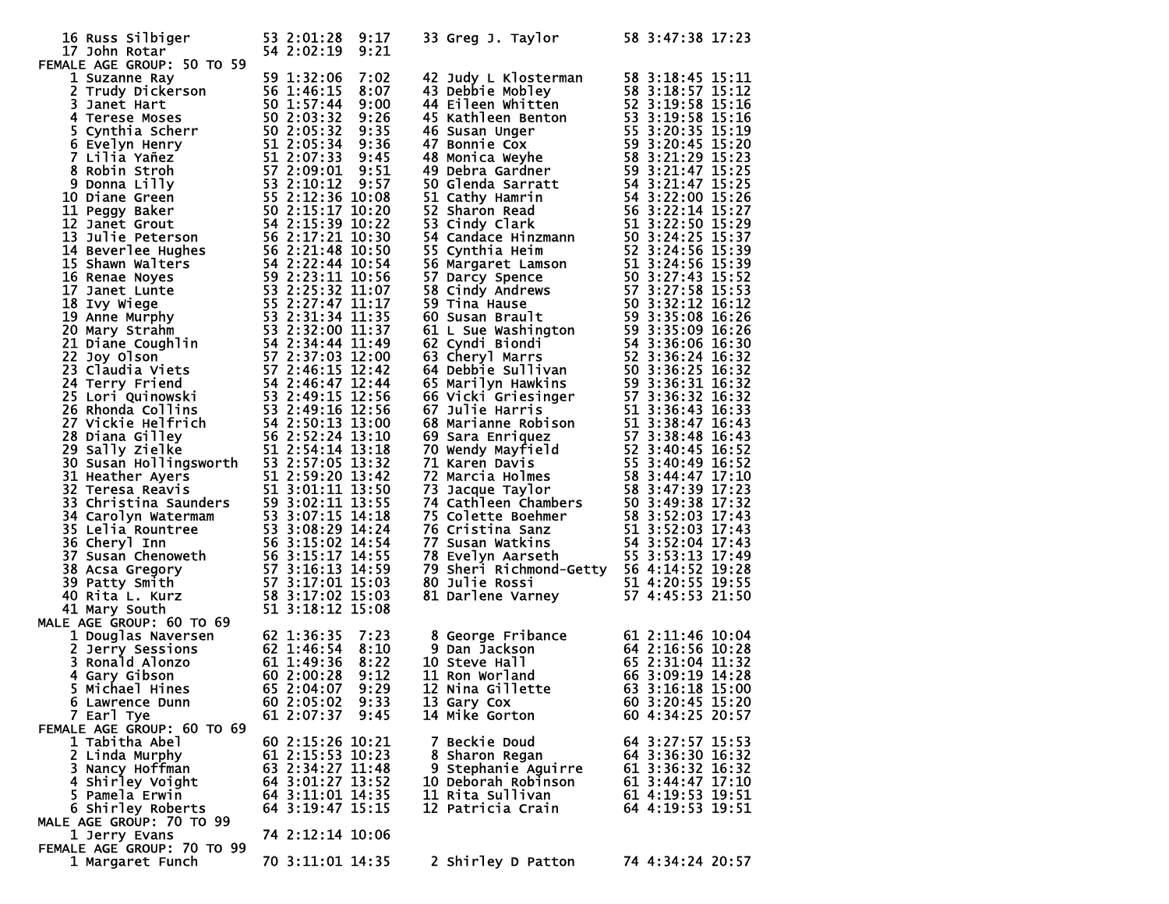| 16 Russ Silbiger<br>17 John Rotar                                                                                                                                                                                                                                                    | 53 2:01:28 9:17<br>54 2:02:19<br>9:21                                     | 33 Greg J. Taylor                                                                                                                                                                                                                                   | 58 3:47:38 17:23 |
|--------------------------------------------------------------------------------------------------------------------------------------------------------------------------------------------------------------------------------------------------------------------------------------|---------------------------------------------------------------------------|-----------------------------------------------------------------------------------------------------------------------------------------------------------------------------------------------------------------------------------------------------|------------------|
| FEMALE AGE GROUP: 50 TO 59<br>17 John Rotar<br>MALE AGE GROUP: 50 TO 59<br>1 Suzanne Ray<br>1 Suzanne Ray<br>1 Suzanne Ray<br>1 Suzanne Ray<br>1 Suzanne Ray<br>1 Suzanne Ray<br>1 Suzanne Ray<br>1 Susan Barch 1 S0 1:57:44 9:00<br>4 Terres Moses<br>5 1:446:15 8 2:03:32 9:35<br> | 59 1:32:06                                                                | 33 Judy L Klostermann 58 3:18:45 15:11<br>44 Diebe Mobley 58 3:18:45 15:11<br>44 Diebe Mobley 58 3:18:58 15:12<br>44 Diebe Mohley 52 3:19:58 15:12<br>46 Kathleen Benton 53 3:19:58 15:12<br>46 Susan Unger<br>47 Bonnie Cox<br>49 Debra Gardner 53 |                  |
|                                                                                                                                                                                                                                                                                      |                                                                           |                                                                                                                                                                                                                                                     |                  |
|                                                                                                                                                                                                                                                                                      |                                                                           |                                                                                                                                                                                                                                                     |                  |
|                                                                                                                                                                                                                                                                                      |                                                                           |                                                                                                                                                                                                                                                     |                  |
|                                                                                                                                                                                                                                                                                      |                                                                           |                                                                                                                                                                                                                                                     |                  |
|                                                                                                                                                                                                                                                                                      |                                                                           |                                                                                                                                                                                                                                                     |                  |
|                                                                                                                                                                                                                                                                                      |                                                                           |                                                                                                                                                                                                                                                     |                  |
|                                                                                                                                                                                                                                                                                      |                                                                           |                                                                                                                                                                                                                                                     |                  |
|                                                                                                                                                                                                                                                                                      |                                                                           |                                                                                                                                                                                                                                                     |                  |
|                                                                                                                                                                                                                                                                                      |                                                                           |                                                                                                                                                                                                                                                     |                  |
|                                                                                                                                                                                                                                                                                      |                                                                           |                                                                                                                                                                                                                                                     |                  |
|                                                                                                                                                                                                                                                                                      |                                                                           |                                                                                                                                                                                                                                                     |                  |
|                                                                                                                                                                                                                                                                                      |                                                                           |                                                                                                                                                                                                                                                     |                  |
|                                                                                                                                                                                                                                                                                      |                                                                           |                                                                                                                                                                                                                                                     |                  |
|                                                                                                                                                                                                                                                                                      |                                                                           |                                                                                                                                                                                                                                                     |                  |
|                                                                                                                                                                                                                                                                                      |                                                                           |                                                                                                                                                                                                                                                     |                  |
|                                                                                                                                                                                                                                                                                      |                                                                           |                                                                                                                                                                                                                                                     |                  |
|                                                                                                                                                                                                                                                                                      |                                                                           |                                                                                                                                                                                                                                                     |                  |
|                                                                                                                                                                                                                                                                                      |                                                                           |                                                                                                                                                                                                                                                     |                  |
|                                                                                                                                                                                                                                                                                      |                                                                           |                                                                                                                                                                                                                                                     |                  |
|                                                                                                                                                                                                                                                                                      |                                                                           |                                                                                                                                                                                                                                                     |                  |
|                                                                                                                                                                                                                                                                                      |                                                                           |                                                                                                                                                                                                                                                     |                  |
|                                                                                                                                                                                                                                                                                      |                                                                           |                                                                                                                                                                                                                                                     |                  |
|                                                                                                                                                                                                                                                                                      |                                                                           |                                                                                                                                                                                                                                                     |                  |
|                                                                                                                                                                                                                                                                                      |                                                                           |                                                                                                                                                                                                                                                     |                  |
|                                                                                                                                                                                                                                                                                      |                                                                           |                                                                                                                                                                                                                                                     |                  |
|                                                                                                                                                                                                                                                                                      |                                                                           |                                                                                                                                                                                                                                                     |                  |
|                                                                                                                                                                                                                                                                                      |                                                                           |                                                                                                                                                                                                                                                     |                  |
|                                                                                                                                                                                                                                                                                      |                                                                           |                                                                                                                                                                                                                                                     |                  |
|                                                                                                                                                                                                                                                                                      |                                                                           |                                                                                                                                                                                                                                                     |                  |
|                                                                                                                                                                                                                                                                                      |                                                                           |                                                                                                                                                                                                                                                     |                  |
|                                                                                                                                                                                                                                                                                      |                                                                           |                                                                                                                                                                                                                                                     |                  |
|                                                                                                                                                                                                                                                                                      |                                                                           |                                                                                                                                                                                                                                                     |                  |
|                                                                                                                                                                                                                                                                                      |                                                                           |                                                                                                                                                                                                                                                     |                  |
|                                                                                                                                                                                                                                                                                      |                                                                           |                                                                                                                                                                                                                                                     |                  |
|                                                                                                                                                                                                                                                                                      |                                                                           |                                                                                                                                                                                                                                                     |                  |
|                                                                                                                                                                                                                                                                                      |                                                                           |                                                                                                                                                                                                                                                     |                  |
|                                                                                                                                                                                                                                                                                      |                                                                           |                                                                                                                                                                                                                                                     |                  |
| MALE AGE GROUP: 60 TO 69                                                                                                                                                                                                                                                             |                                                                           |                                                                                                                                                                                                                                                     |                  |
| 1 Douglas Naversen                                                                                                                                                                                                                                                                   | 62 1:36:35<br>7:23                                                        | 8 George Fribance<br>9 Dan Jackson<br>10 Steve Hall<br>10 Steve Hall<br>11 Ron Worland<br>12 Nina Gillette<br>12 Nina Gillette<br>12 Nina Gillette<br>12 06 3:09:19 14:28                                                                           |                  |
| 2 Jerry Sessions                                                                                                                                                                                                                                                                     | s<br>$62$ 1:46:54<br>$61$ 1:49:36<br>$60$ 2:00:28<br>$65$ 2:00:28<br>8:10 | 9 Dan Jackson                                                                                                                                                                                                                                       |                  |
| 3 Ronald Alonzo                                                                                                                                                                                                                                                                      | 8:22                                                                      | 10 Steve Hall                                                                                                                                                                                                                                       |                  |
| 4 Gary Gibson                                                                                                                                                                                                                                                                        | 9:12                                                                      | 11 Ron Worland                                                                                                                                                                                                                                      |                  |
| 5 Michael Hines 65 2:04:07 9:29                                                                                                                                                                                                                                                      |                                                                           | 12 Nina Gillette 63 3:16:18 15:00                                                                                                                                                                                                                   |                  |
| 6 Lawrence Dunn                                                                                                                                                                                                                                                                      | 60 2:05:02<br>9:33                                                        | 13 Gary Cox                                                                                                                                                                                                                                         | 60 3:20:45 15:20 |
| 7 Earl Tye<br>FEMALE AGE GROUP: 60 TO 69                                                                                                                                                                                                                                             | 61 2:07:37<br>9:45                                                        | 14 Mike Gorton                                                                                                                                                                                                                                      | 60 4:34:25 20:57 |
| 1 Tabitha Abel                                                                                                                                                                                                                                                                       | 60 2:15:26 10:21                                                          | 7 Beckie Doud                                                                                                                                                                                                                                       | 64 3:27:57 15:53 |
| 2 Linda Murphy                                                                                                                                                                                                                                                                       | 61 2:15:53 10:23                                                          | 8 Sharon Regan                                                                                                                                                                                                                                      | 64 3:36:30 16:32 |
| 3 Nancy Hoffman                                                                                                                                                                                                                                                                      | 63 2:34:27 11:48                                                          | 9 Stephanie Aguirre                                                                                                                                                                                                                                 | 61 3:36:32 16:32 |
| 4 Shirley Voight                                                                                                                                                                                                                                                                     | 64 3:01:27 13:52                                                          | 10 Deborah Robinson                                                                                                                                                                                                                                 | 61 3:44:47 17:10 |
| 5 Pamela Erwin                                                                                                                                                                                                                                                                       | 64 3:11:01 14:35                                                          | 11 Rita Sullivan                                                                                                                                                                                                                                    | 61 4:19:53 19:51 |
| 6 Shirley Roberts                                                                                                                                                                                                                                                                    | 64 3:19:47 15:15                                                          | 12 Patricia Crain                                                                                                                                                                                                                                   | 64 4:19:53 19:51 |
| MALE AGE GROUP: 70 TO 99                                                                                                                                                                                                                                                             |                                                                           |                                                                                                                                                                                                                                                     |                  |
| 1 Jerry Evans                                                                                                                                                                                                                                                                        | 74 2:12:14 10:06                                                          |                                                                                                                                                                                                                                                     |                  |
| FEMALE AGE GROUP: 70 TO 99                                                                                                                                                                                                                                                           |                                                                           |                                                                                                                                                                                                                                                     |                  |
| 1 Margaret Funch                                                                                                                                                                                                                                                                     | 70 3:11:01 14:35                                                          | 2 Shirley D Patton                                                                                                                                                                                                                                  | 74 4:34:24 20:57 |